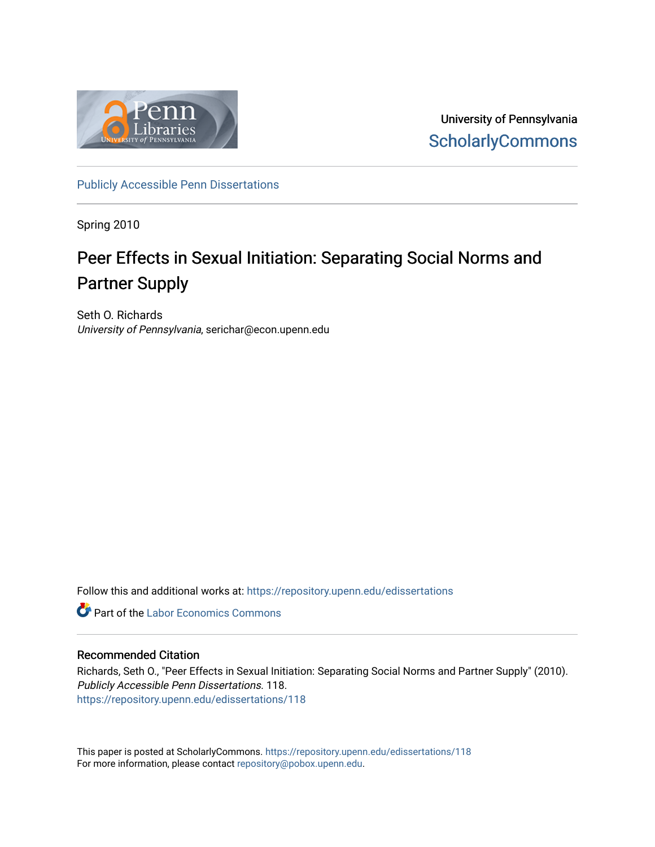

University of Pennsylvania **ScholarlyCommons** 

[Publicly Accessible Penn Dissertations](https://repository.upenn.edu/edissertations)

Spring 2010

### Peer Effects in Sexual Initiation: Separating Social Norms and Partner Supply

Seth O. Richards University of Pennsylvania, serichar@econ.upenn.edu

Follow this and additional works at: [https://repository.upenn.edu/edissertations](https://repository.upenn.edu/edissertations?utm_source=repository.upenn.edu%2Fedissertations%2F118&utm_medium=PDF&utm_campaign=PDFCoverPages) 

**Part of the [Labor Economics Commons](http://network.bepress.com/hgg/discipline/349?utm_source=repository.upenn.edu%2Fedissertations%2F118&utm_medium=PDF&utm_campaign=PDFCoverPages)** 

### Recommended Citation

Richards, Seth O., "Peer Effects in Sexual Initiation: Separating Social Norms and Partner Supply" (2010). Publicly Accessible Penn Dissertations. 118. [https://repository.upenn.edu/edissertations/118](https://repository.upenn.edu/edissertations/118?utm_source=repository.upenn.edu%2Fedissertations%2F118&utm_medium=PDF&utm_campaign=PDFCoverPages) 

This paper is posted at ScholarlyCommons.<https://repository.upenn.edu/edissertations/118> For more information, please contact [repository@pobox.upenn.edu.](mailto:repository@pobox.upenn.edu)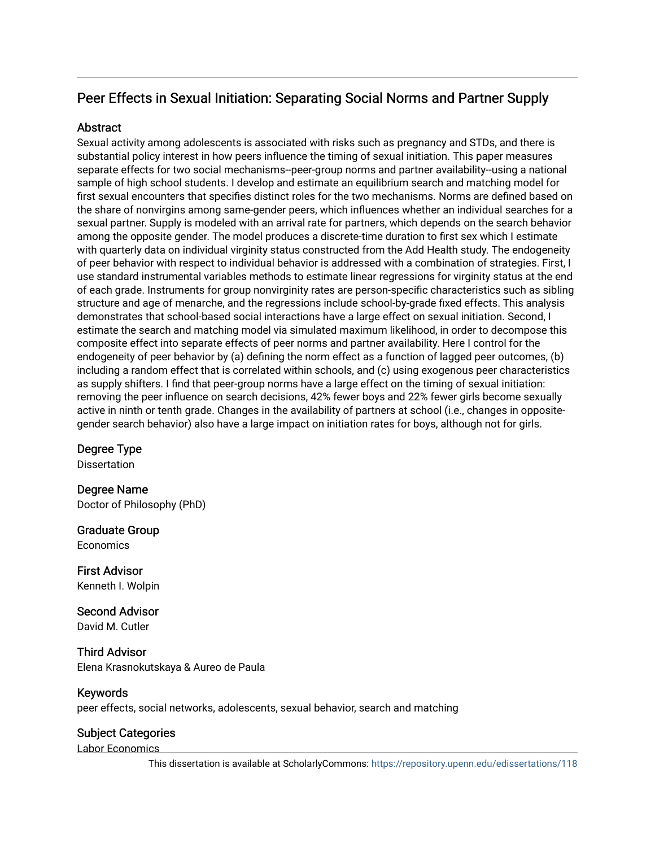### Peer Effects in Sexual Initiation: Separating Social Norms and Partner Supply

### **Abstract**

Sexual activity among adolescents is associated with risks such as pregnancy and STDs, and there is substantial policy interest in how peers influence the timing of sexual initiation. This paper measures separate effects for two social mechanisms--peer-group norms and partner availability--using a national sample of high school students. I develop and estimate an equilibrium search and matching model for first sexual encounters that specifies distinct roles for the two mechanisms. Norms are defined based on the share of nonvirgins among same-gender peers, which influences whether an individual searches for a sexual partner. Supply is modeled with an arrival rate for partners, which depends on the search behavior among the opposite gender. The model produces a discrete-time duration to first sex which I estimate with quarterly data on individual virginity status constructed from the Add Health study. The endogeneity of peer behavior with respect to individual behavior is addressed with a combination of strategies. First, I use standard instrumental variables methods to estimate linear regressions for virginity status at the end of each grade. Instruments for group nonvirginity rates are person-specific characteristics such as sibling structure and age of menarche, and the regressions include school-by-grade fixed effects. This analysis demonstrates that school-based social interactions have a large effect on sexual initiation. Second, I estimate the search and matching model via simulated maximum likelihood, in order to decompose this composite effect into separate effects of peer norms and partner availability. Here I control for the endogeneity of peer behavior by (a) defining the norm effect as a function of lagged peer outcomes, (b) including a random effect that is correlated within schools, and (c) using exogenous peer characteristics as supply shifters. I find that peer-group norms have a large effect on the timing of sexual initiation: removing the peer influence on search decisions, 42% fewer boys and 22% fewer girls become sexually active in ninth or tenth grade. Changes in the availability of partners at school (i.e., changes in oppositegender search behavior) also have a large impact on initiation rates for boys, although not for girls.

Degree Type

Dissertation

Degree Name Doctor of Philosophy (PhD)

Graduate Group **Economics** 

First Advisor Kenneth I. Wolpin

Second Advisor David M. Cutler

Third Advisor Elena Krasnokutskaya & Aureo de Paula

### Keywords

peer effects, social networks, adolescents, sexual behavior, search and matching

### Subject Categories

Labor Economics

This dissertation is available at ScholarlyCommons:<https://repository.upenn.edu/edissertations/118>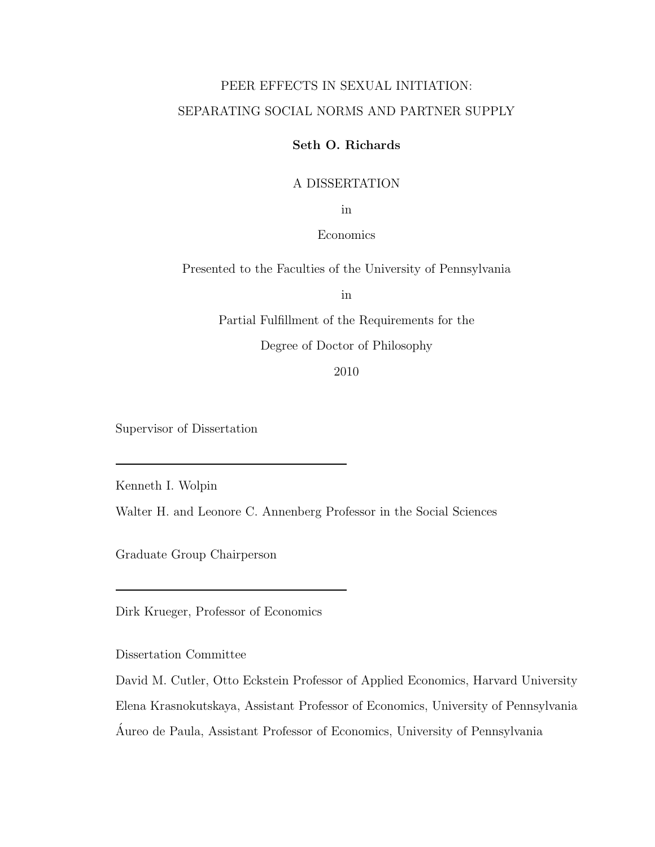### PEER EFFECTS IN SEXUAL INITIATION: SEPARATING SOCIAL NORMS AND PARTNER SUPPLY

#### Seth O. Richards

#### A DISSERTATION

in

### Economics

Presented to the Faculties of the University of Pennsylvania

in

Partial Fulfillment of the Requirements for the

Degree of Doctor of Philosophy

2010

Supervisor of Dissertation

Kenneth I. Wolpin

Walter H. and Leonore C. Annenberg Professor in the Social Sciences

Graduate Group Chairperson

Dirk Krueger, Professor of Economics

Dissertation Committee

David M. Cutler, Otto Eckstein Professor of Applied Economics, Harvard University Elena Krasnokutskaya, Assistant Professor of Economics, University of Pennsylvania Aureo de Paula, Assistant Professor of Economics, University of Pennsylvania ´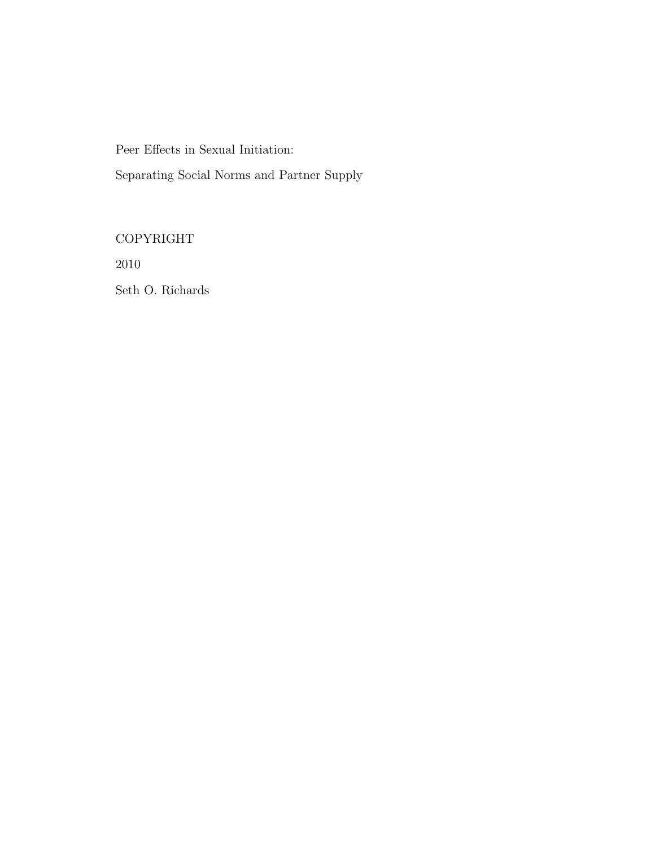Peer Effects in Sexual Initiation:

Separating Social Norms and Partner Supply

COPYRIGHT

2010

Seth O. Richards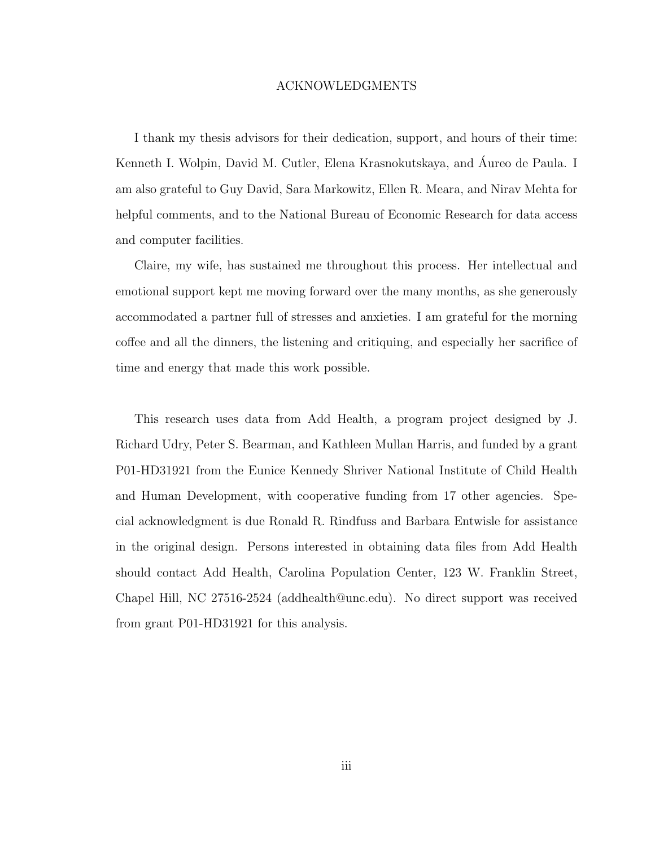#### ACKNOWLEDGMENTS

I thank my thesis advisors for their dedication, support, and hours of their time: Kenneth I. Wolpin, David M. Cutler, Elena Krasnokutskaya, and Aureo de Paula. I ´ am also grateful to Guy David, Sara Markowitz, Ellen R. Meara, and Nirav Mehta for helpful comments, and to the National Bureau of Economic Research for data access and computer facilities.

Claire, my wife, has sustained me throughout this process. Her intellectual and emotional support kept me moving forward over the many months, as she generously accommodated a partner full of stresses and anxieties. I am grateful for the morning coffee and all the dinners, the listening and critiquing, and especially her sacrifice of time and energy that made this work possible.

This research uses data from Add Health, a program project designed by J. Richard Udry, Peter S. Bearman, and Kathleen Mullan Harris, and funded by a grant P01-HD31921 from the Eunice Kennedy Shriver National Institute of Child Health and Human Development, with cooperative funding from 17 other agencies. Special acknowledgment is due Ronald R. Rindfuss and Barbara Entwisle for assistance in the original design. Persons interested in obtaining data files from Add Health should contact Add Health, Carolina Population Center, 123 W. Franklin Street, Chapel Hill, NC 27516-2524 (addhealth@unc.edu). No direct support was received from grant P01-HD31921 for this analysis.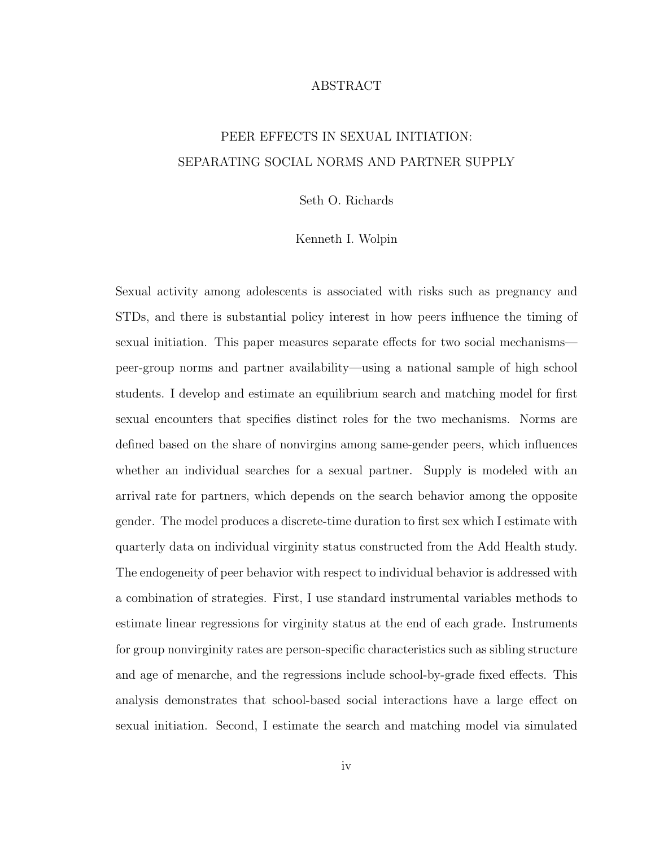#### ABSTRACT

### PEER EFFECTS IN SEXUAL INITIATION: SEPARATING SOCIAL NORMS AND PARTNER SUPPLY

Seth O. Richards

#### Kenneth I. Wolpin

Sexual activity among adolescents is associated with risks such as pregnancy and STDs, and there is substantial policy interest in how peers influence the timing of sexual initiation. This paper measures separate effects for two social mechanisms peer-group norms and partner availability—using a national sample of high school students. I develop and estimate an equilibrium search and matching model for first sexual encounters that specifies distinct roles for the two mechanisms. Norms are defined based on the share of nonvirgins among same-gender peers, which influences whether an individual searches for a sexual partner. Supply is modeled with an arrival rate for partners, which depends on the search behavior among the opposite gender. The model produces a discrete-time duration to first sex which I estimate with quarterly data on individual virginity status constructed from the Add Health study. The endogeneity of peer behavior with respect to individual behavior is addressed with a combination of strategies. First, I use standard instrumental variables methods to estimate linear regressions for virginity status at the end of each grade. Instruments for group nonvirginity rates are person-specific characteristics such as sibling structure and age of menarche, and the regressions include school-by-grade fixed effects. This analysis demonstrates that school-based social interactions have a large effect on sexual initiation. Second, I estimate the search and matching model via simulated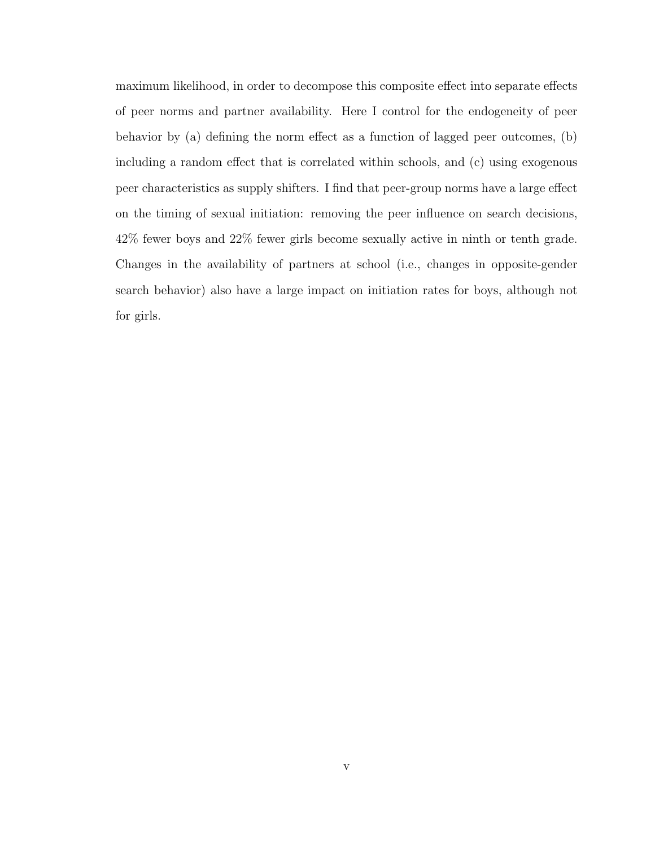maximum likelihood, in order to decompose this composite effect into separate effects of peer norms and partner availability. Here I control for the endogeneity of peer behavior by (a) defining the norm effect as a function of lagged peer outcomes, (b) including a random effect that is correlated within schools, and (c) using exogenous peer characteristics as supply shifters. I find that peer-group norms have a large effect on the timing of sexual initiation: removing the peer influence on search decisions, 42% fewer boys and 22% fewer girls become sexually active in ninth or tenth grade. Changes in the availability of partners at school (i.e., changes in opposite-gender search behavior) also have a large impact on initiation rates for boys, although not for girls.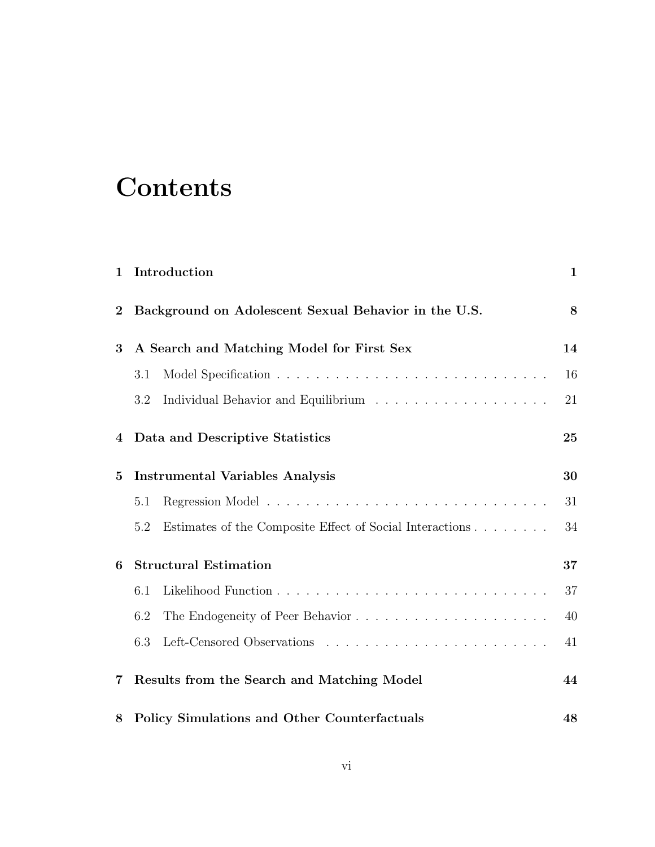# **Contents**

| $\mathbf{1}$ | Introduction                                                    | $\mathbf{1}$ |
|--------------|-----------------------------------------------------------------|--------------|
| $\bf{2}$     | Background on Adolescent Sexual Behavior in the U.S.            | 8            |
| 3            | A Search and Matching Model for First Sex                       | 14           |
|              | 3.1                                                             | 16           |
|              | 3.2                                                             | 21           |
| 4            | Data and Descriptive Statistics                                 | 25           |
| $\bf{5}$     | <b>Instrumental Variables Analysis</b>                          | 30           |
|              | 5.1                                                             | 31           |
|              | Estimates of the Composite Effect of Social Interactions<br>5.2 | 34           |
| 6            | <b>Structural Estimation</b>                                    | 37           |
|              | 6.1                                                             | 37           |
|              | 6.2                                                             | 40           |
|              | 6.3                                                             | 41           |
| 7            | Results from the Search and Matching Model                      | 44           |
| 8            | <b>Policy Simulations and Other Counterfactuals</b>             | 48           |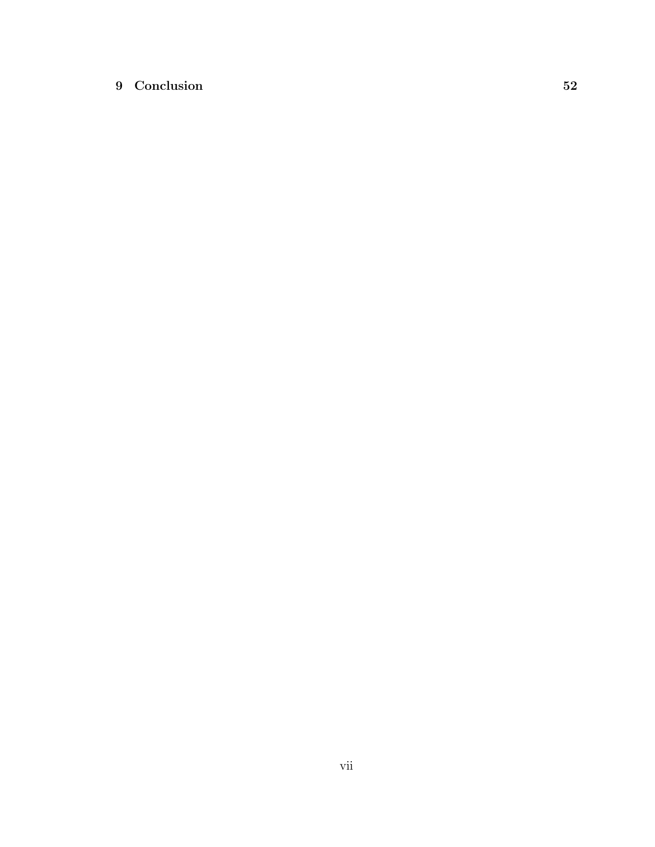### 9 Conclusion 52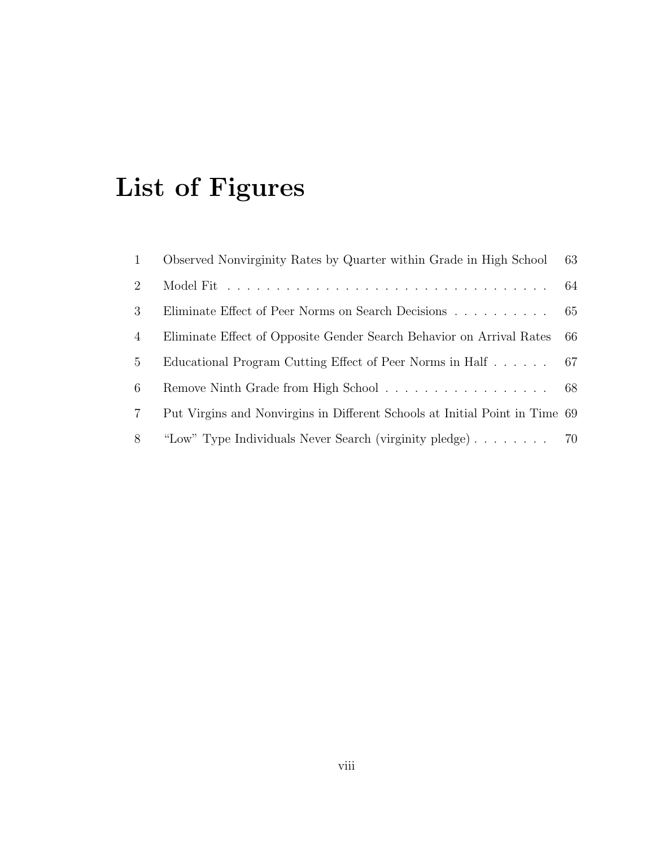# List of Figures

| $\mathbf{1}$   | Observed Nonvirginity Rates by Quarter within Grade in High School          | 63 |
|----------------|-----------------------------------------------------------------------------|----|
| 2              |                                                                             | 64 |
| 3              | Eliminate Effect of Peer Norms on Search Decisions 65                       |    |
| 4              | Eliminate Effect of Opposite Gender Search Behavior on Arrival Rates        | 66 |
| $5^{\circ}$    | Educational Program Cutting Effect of Peer Norms in Half 67                 |    |
| 6              |                                                                             |    |
| $\overline{7}$ | Put Virgins and Nonvirgins in Different Schools at Initial Point in Time 69 |    |
| 8              | "Low" Type Individuals Never Search (virginity pledge) 70                   |    |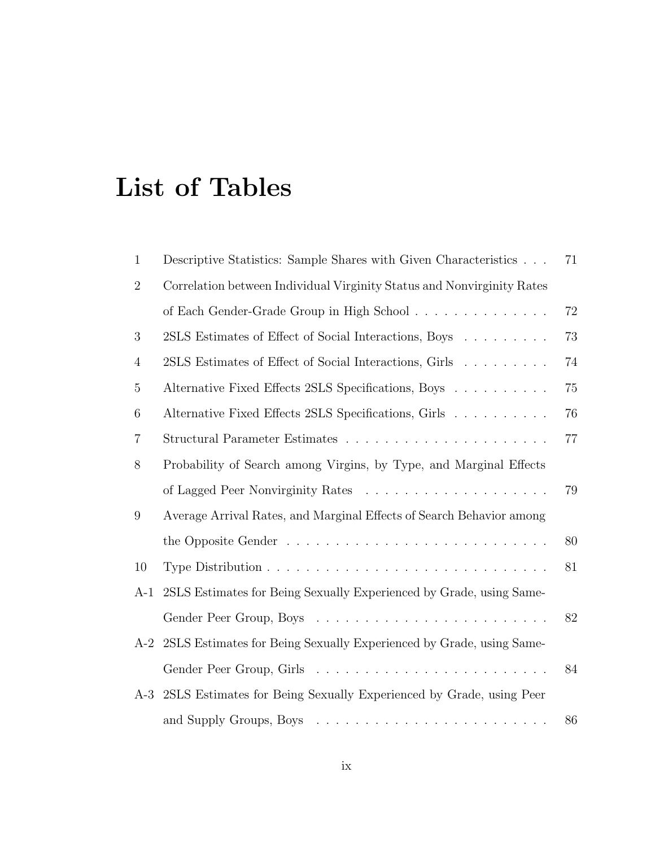# List of Tables

| $\mathbf{1}$     | Descriptive Statistics: Sample Shares with Given Characteristics        | 71 |
|------------------|-------------------------------------------------------------------------|----|
| $\overline{2}$   | Correlation between Individual Virginity Status and Nonvirginity Rates  |    |
|                  | of Each Gender-Grade Group in High School                               | 72 |
| 3                | 2SLS Estimates of Effect of Social Interactions, Boys                   | 73 |
| $\overline{4}$   | 2SLS Estimates of Effect of Social Interactions, Girls                  | 74 |
| $\overline{5}$   | Alternative Fixed Effects 2SLS Specifications, Boys                     | 75 |
| $\boldsymbol{6}$ | Alternative Fixed Effects 2SLS Specifications, Girls                    | 76 |
| 7                |                                                                         | 77 |
| 8                | Probability of Search among Virgins, by Type, and Marginal Effects      |    |
|                  |                                                                         | 79 |
| 9                | Average Arrival Rates, and Marginal Effects of Search Behavior among    |    |
|                  |                                                                         | 80 |
| 10               |                                                                         | 81 |
| $A-1$            | 2SLS Estimates for Being Sexually Experienced by Grade, using Same-     |    |
|                  |                                                                         | 82 |
|                  | A-2 2SLS Estimates for Being Sexually Experienced by Grade, using Same- |    |
|                  |                                                                         | 84 |
|                  | A-3 2SLS Estimates for Being Sexually Experienced by Grade, using Peer  |    |
|                  |                                                                         | 86 |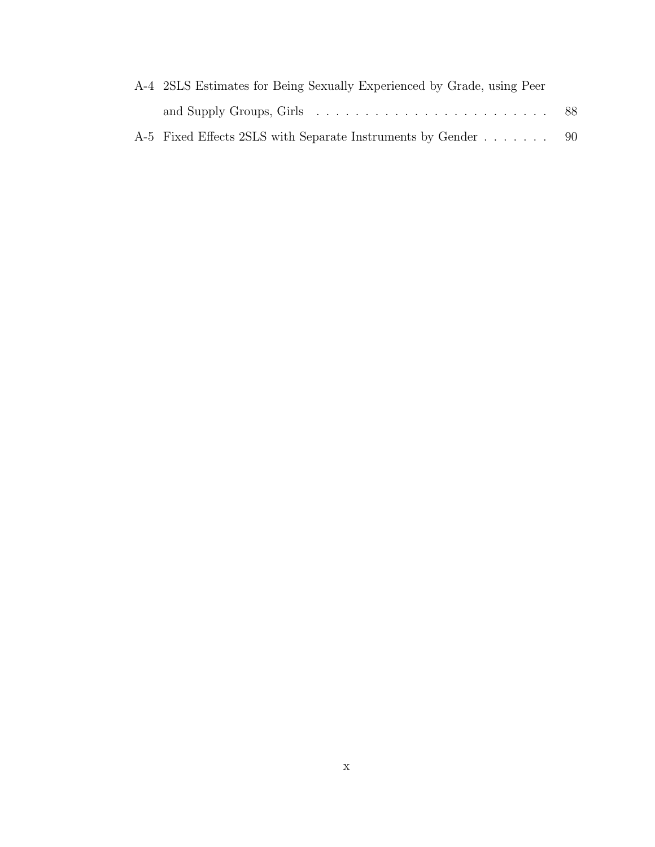| A-4 2SLS Estimates for Being Sexually Experienced by Grade, using Peer |  |
|------------------------------------------------------------------------|--|
|                                                                        |  |
| A-5 Fixed Effects 2SLS with Separate Instruments by Gender 90          |  |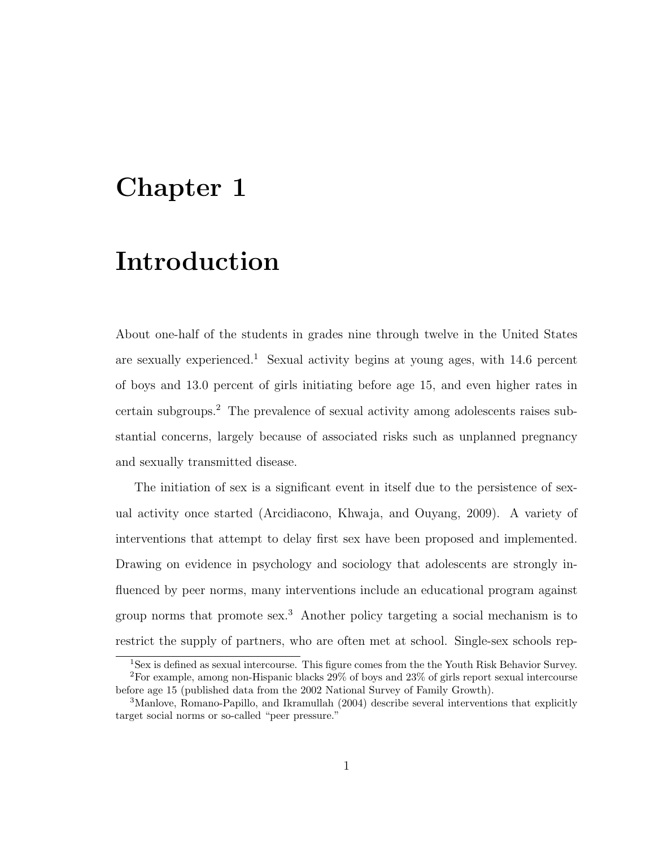# Chapter 1

# Introduction

About one-half of the students in grades nine through twelve in the United States are sexually experienced.<sup>1</sup> Sexual activity begins at young ages, with  $14.6$  percent of boys and 13.0 percent of girls initiating before age 15, and even higher rates in certain subgroups.<sup>2</sup> The prevalence of sexual activity among adolescents raises substantial concerns, largely because of associated risks such as unplanned pregnancy and sexually transmitted disease.

The initiation of sex is a significant event in itself due to the persistence of sexual activity once started (Arcidiacono, Khwaja, and Ouyang, 2009). A variety of interventions that attempt to delay first sex have been proposed and implemented. Drawing on evidence in psychology and sociology that adolescents are strongly influenced by peer norms, many interventions include an educational program against group norms that promote sex.<sup>3</sup> Another policy targeting a social mechanism is to restrict the supply of partners, who are often met at school. Single-sex schools rep-

<sup>&</sup>lt;sup>1</sup>Sex is defined as sexual intercourse. This figure comes from the the Youth Risk Behavior Survey. <sup>2</sup>For example, among non-Hispanic blacks 29% of boys and 23% of girls report sexual intercourse before age 15 (published data from the 2002 National Survey of Family Growth).

<sup>3</sup>Manlove, Romano-Papillo, and Ikramullah (2004) describe several interventions that explicitly target social norms or so-called "peer pressure."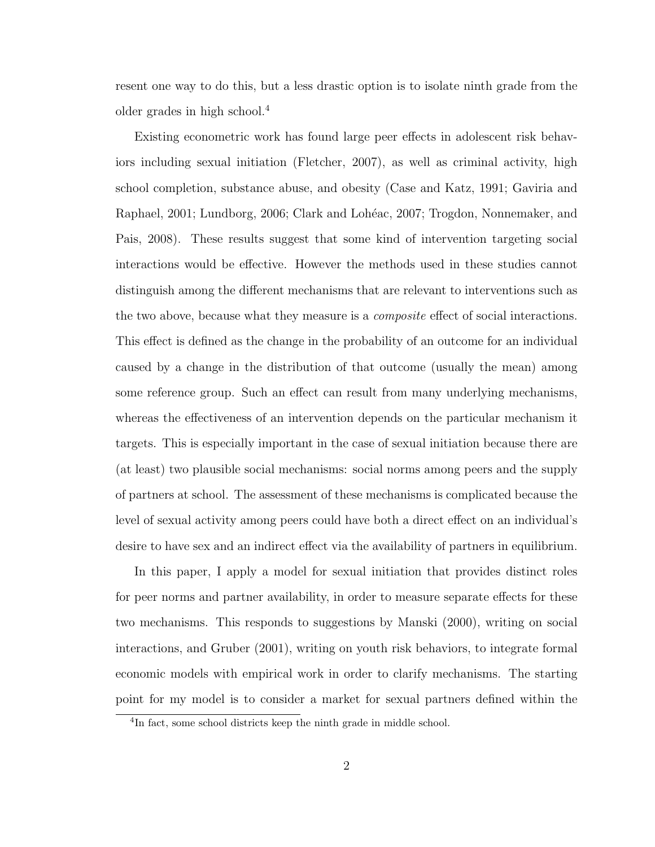resent one way to do this, but a less drastic option is to isolate ninth grade from the older grades in high school.<sup>4</sup>

Existing econometric work has found large peer effects in adolescent risk behaviors including sexual initiation (Fletcher, 2007), as well as criminal activity, high school completion, substance abuse, and obesity (Case and Katz, 1991; Gaviria and Raphael, 2001; Lundborg, 2006; Clark and Lohéac, 2007; Trogdon, Nonnemaker, and Pais, 2008). These results suggest that some kind of intervention targeting social interactions would be effective. However the methods used in these studies cannot distinguish among the different mechanisms that are relevant to interventions such as the two above, because what they measure is a *composite* effect of social interactions. This effect is defined as the change in the probability of an outcome for an individual caused by a change in the distribution of that outcome (usually the mean) among some reference group. Such an effect can result from many underlying mechanisms, whereas the effectiveness of an intervention depends on the particular mechanism it targets. This is especially important in the case of sexual initiation because there are (at least) two plausible social mechanisms: social norms among peers and the supply of partners at school. The assessment of these mechanisms is complicated because the level of sexual activity among peers could have both a direct effect on an individual's desire to have sex and an indirect effect via the availability of partners in equilibrium.

In this paper, I apply a model for sexual initiation that provides distinct roles for peer norms and partner availability, in order to measure separate effects for these two mechanisms. This responds to suggestions by Manski (2000), writing on social interactions, and Gruber (2001), writing on youth risk behaviors, to integrate formal economic models with empirical work in order to clarify mechanisms. The starting point for my model is to consider a market for sexual partners defined within the

<sup>4</sup> In fact, some school districts keep the ninth grade in middle school.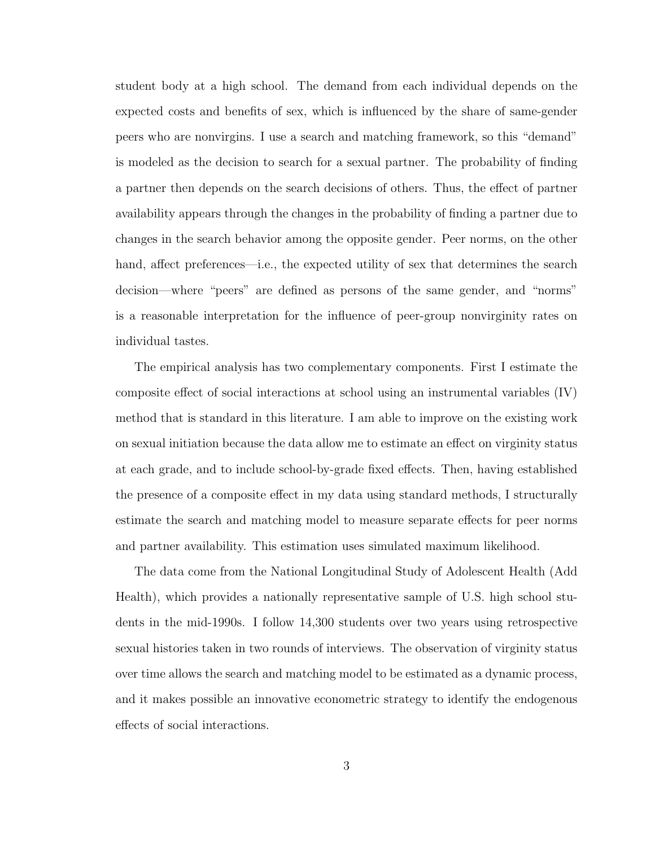student body at a high school. The demand from each individual depends on the expected costs and benefits of sex, which is influenced by the share of same-gender peers who are nonvirgins. I use a search and matching framework, so this "demand" is modeled as the decision to search for a sexual partner. The probability of finding a partner then depends on the search decisions of others. Thus, the effect of partner availability appears through the changes in the probability of finding a partner due to changes in the search behavior among the opposite gender. Peer norms, on the other hand, affect preferences—i.e., the expected utility of sex that determines the search decision—where "peers" are defined as persons of the same gender, and "norms" is a reasonable interpretation for the influence of peer-group nonvirginity rates on individual tastes.

The empirical analysis has two complementary components. First I estimate the composite effect of social interactions at school using an instrumental variables (IV) method that is standard in this literature. I am able to improve on the existing work on sexual initiation because the data allow me to estimate an effect on virginity status at each grade, and to include school-by-grade fixed effects. Then, having established the presence of a composite effect in my data using standard methods, I structurally estimate the search and matching model to measure separate effects for peer norms and partner availability. This estimation uses simulated maximum likelihood.

The data come from the National Longitudinal Study of Adolescent Health (Add Health), which provides a nationally representative sample of U.S. high school students in the mid-1990s. I follow 14,300 students over two years using retrospective sexual histories taken in two rounds of interviews. The observation of virginity status over time allows the search and matching model to be estimated as a dynamic process, and it makes possible an innovative econometric strategy to identify the endogenous effects of social interactions.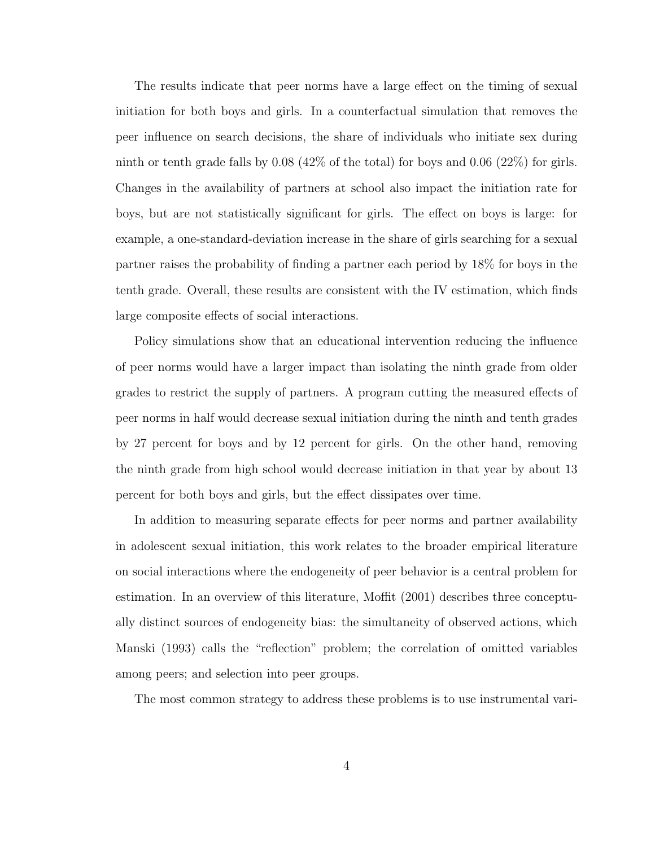The results indicate that peer norms have a large effect on the timing of sexual initiation for both boys and girls. In a counterfactual simulation that removes the peer influence on search decisions, the share of individuals who initiate sex during ninth or tenth grade falls by  $0.08$  (42% of the total) for boys and  $0.06$  (22%) for girls. Changes in the availability of partners at school also impact the initiation rate for boys, but are not statistically significant for girls. The effect on boys is large: for example, a one-standard-deviation increase in the share of girls searching for a sexual partner raises the probability of finding a partner each period by 18% for boys in the tenth grade. Overall, these results are consistent with the IV estimation, which finds large composite effects of social interactions.

Policy simulations show that an educational intervention reducing the influence of peer norms would have a larger impact than isolating the ninth grade from older grades to restrict the supply of partners. A program cutting the measured effects of peer norms in half would decrease sexual initiation during the ninth and tenth grades by 27 percent for boys and by 12 percent for girls. On the other hand, removing the ninth grade from high school would decrease initiation in that year by about 13 percent for both boys and girls, but the effect dissipates over time.

In addition to measuring separate effects for peer norms and partner availability in adolescent sexual initiation, this work relates to the broader empirical literature on social interactions where the endogeneity of peer behavior is a central problem for estimation. In an overview of this literature, Moffit (2001) describes three conceptually distinct sources of endogeneity bias: the simultaneity of observed actions, which Manski (1993) calls the "reflection" problem; the correlation of omitted variables among peers; and selection into peer groups.

The most common strategy to address these problems is to use instrumental vari-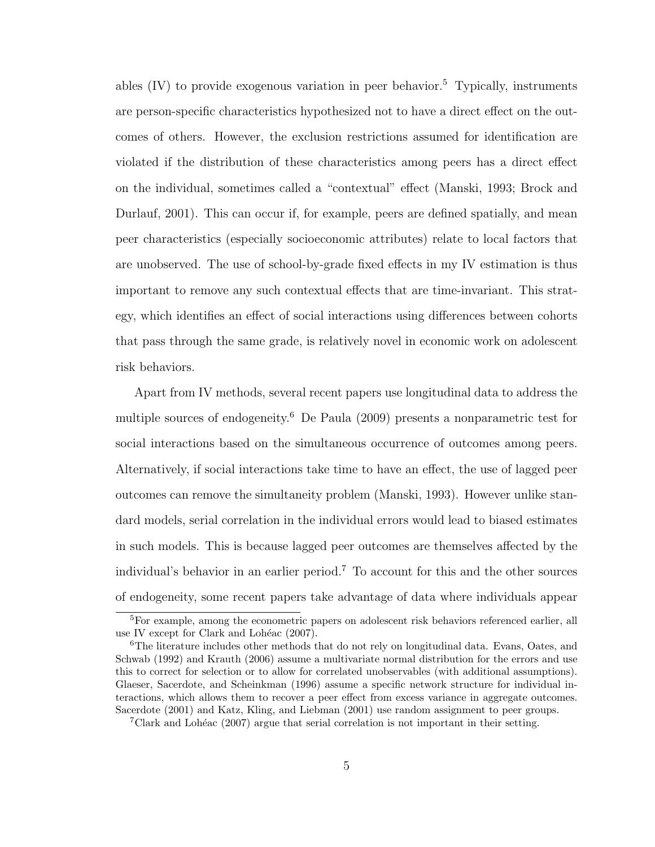ables  $(IV)$  to provide exogenous variation in peer behavior.<sup>5</sup> Typically, instruments are person-specific characteristics hypothesized not to have a direct effect on the outcomes of others. However, the exclusion restrictions assumed for identification are violated if the distribution of these characteristics among peers has a direct effect on the individual, sometimes called a "contextual" effect (Manski, 1993; Brock and Durlauf, 2001). This can occur if, for example, peers are defined spatially, and mean peer characteristics (especially socioeconomic attributes) relate to local factors that are unobserved. The use of school-by-grade fixed effects in my IV estimation is thus important to remove any such contextual effects that are time-invariant. This strategy, which identifies an effect of social interactions using differences between cohorts that pass through the same grade, is relatively novel in economic work on adolescent risk behaviors.

Apart from IV methods, several recent papers use longitudinal data to address the multiple sources of endogeneity.<sup>6</sup> De Paula (2009) presents a nonparametric test for social interactions based on the simultaneous occurrence of outcomes among peers. Alternatively, if social interactions take time to have an effect, the use of lagged peer outcomes can remove the simultaneity problem (Manski, 1993). However unlike standard models, serial correlation in the individual errors would lead to biased estimates in such models. This is because lagged peer outcomes are themselves affected by the individual's behavior in an earlier period.<sup>7</sup> To account for this and the other sources of endogeneity, some recent papers take advantage of data where individuals appear

<sup>&</sup>lt;sup>5</sup>For example, among the econometric papers on adolescent risk behaviors referenced earlier, all use IV except for Clark and Lohéac  $(2007)$ .

<sup>6</sup>The literature includes other methods that do not rely on longitudinal data. Evans, Oates, and Schwab (1992) and Krauth (2006) assume a multivariate normal distribution for the errors and use this to correct for selection or to allow for correlated unobservables (with additional assumptions). Glaeser, Sacerdote, and Scheinkman (1996) assume a specific network structure for individual interactions, which allows them to recover a peer effect from excess variance in aggregate outcomes. Sacerdote (2001) and Katz, Kling, and Liebman (2001) use random assignment to peer groups.

 $7$ Clark and Lohéac (2007) argue that serial correlation is not important in their setting.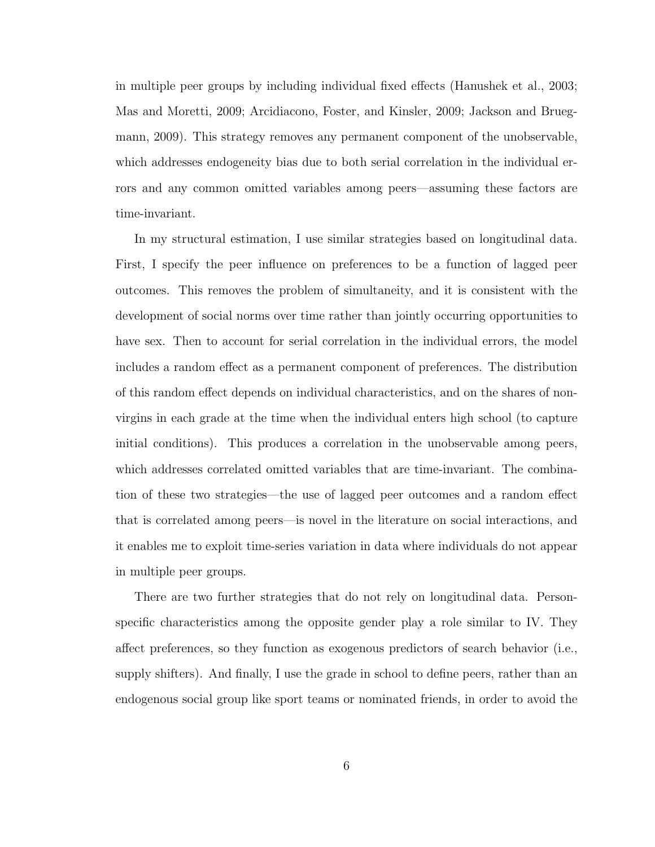in multiple peer groups by including individual fixed effects (Hanushek et al., 2003; Mas and Moretti, 2009; Arcidiacono, Foster, and Kinsler, 2009; Jackson and Bruegmann, 2009). This strategy removes any permanent component of the unobservable, which addresses endogeneity bias due to both serial correlation in the individual errors and any common omitted variables among peers—assuming these factors are time-invariant.

In my structural estimation, I use similar strategies based on longitudinal data. First, I specify the peer influence on preferences to be a function of lagged peer outcomes. This removes the problem of simultaneity, and it is consistent with the development of social norms over time rather than jointly occurring opportunities to have sex. Then to account for serial correlation in the individual errors, the model includes a random effect as a permanent component of preferences. The distribution of this random effect depends on individual characteristics, and on the shares of nonvirgins in each grade at the time when the individual enters high school (to capture initial conditions). This produces a correlation in the unobservable among peers, which addresses correlated omitted variables that are time-invariant. The combination of these two strategies—the use of lagged peer outcomes and a random effect that is correlated among peers—is novel in the literature on social interactions, and it enables me to exploit time-series variation in data where individuals do not appear in multiple peer groups.

There are two further strategies that do not rely on longitudinal data. Personspecific characteristics among the opposite gender play a role similar to IV. They affect preferences, so they function as exogenous predictors of search behavior (i.e., supply shifters). And finally, I use the grade in school to define peers, rather than an endogenous social group like sport teams or nominated friends, in order to avoid the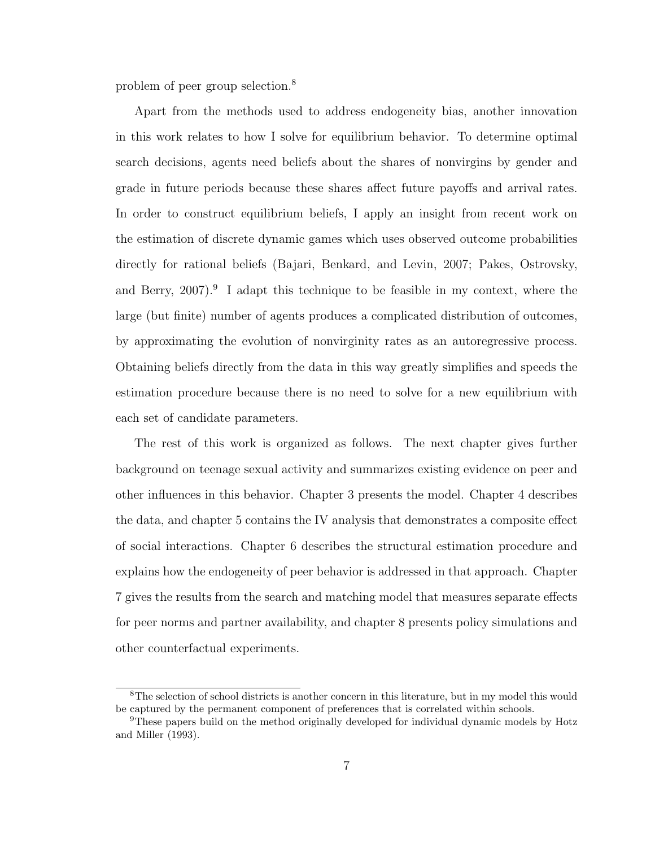problem of peer group selection.<sup>8</sup>

Apart from the methods used to address endogeneity bias, another innovation in this work relates to how I solve for equilibrium behavior. To determine optimal search decisions, agents need beliefs about the shares of nonvirgins by gender and grade in future periods because these shares affect future payoffs and arrival rates. In order to construct equilibrium beliefs, I apply an insight from recent work on the estimation of discrete dynamic games which uses observed outcome probabilities directly for rational beliefs (Bajari, Benkard, and Levin, 2007; Pakes, Ostrovsky, and Berry,  $2007$ .<sup>9</sup> I adapt this technique to be feasible in my context, where the large (but finite) number of agents produces a complicated distribution of outcomes, by approximating the evolution of nonvirginity rates as an autoregressive process. Obtaining beliefs directly from the data in this way greatly simplifies and speeds the estimation procedure because there is no need to solve for a new equilibrium with each set of candidate parameters.

The rest of this work is organized as follows. The next chapter gives further background on teenage sexual activity and summarizes existing evidence on peer and other influences in this behavior. Chapter 3 presents the model. Chapter 4 describes the data, and chapter 5 contains the IV analysis that demonstrates a composite effect of social interactions. Chapter 6 describes the structural estimation procedure and explains how the endogeneity of peer behavior is addressed in that approach. Chapter 7 gives the results from the search and matching model that measures separate effects for peer norms and partner availability, and chapter 8 presents policy simulations and other counterfactual experiments.

<sup>&</sup>lt;sup>8</sup>The selection of school districts is another concern in this literature, but in my model this would be captured by the permanent component of preferences that is correlated within schools.

<sup>&</sup>lt;sup>9</sup>These papers build on the method originally developed for individual dynamic models by Hotz and Miller (1993).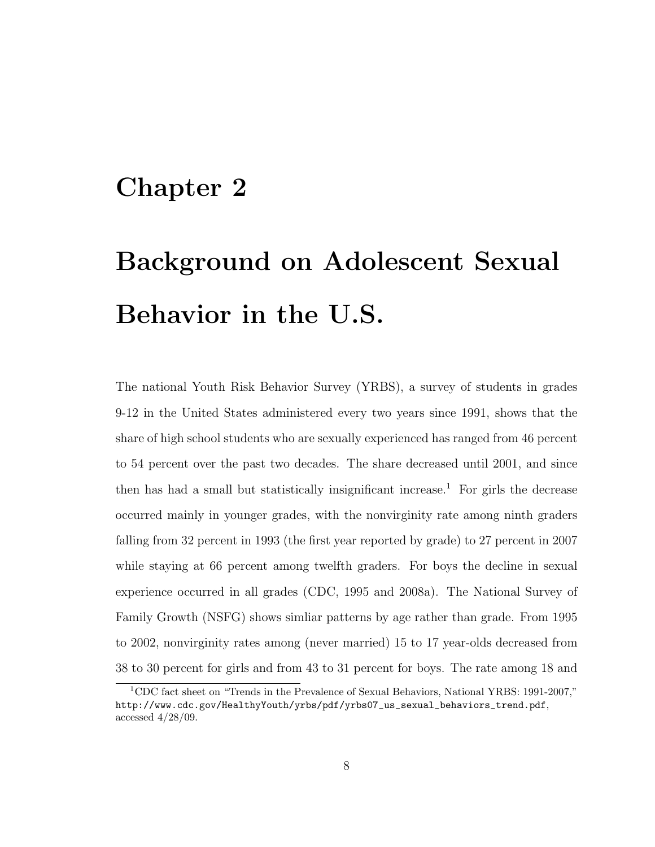## Chapter 2

# Background on Adolescent Sexual Behavior in the U.S.

The national Youth Risk Behavior Survey (YRBS), a survey of students in grades 9-12 in the United States administered every two years since 1991, shows that the share of high school students who are sexually experienced has ranged from 46 percent to 54 percent over the past two decades. The share decreased until 2001, and since then has had a small but statistically insignificant increase.<sup>1</sup> For girls the decrease occurred mainly in younger grades, with the nonvirginity rate among ninth graders falling from 32 percent in 1993 (the first year reported by grade) to 27 percent in 2007 while staying at 66 percent among twelfth graders. For boys the decline in sexual experience occurred in all grades (CDC, 1995 and 2008a). The National Survey of Family Growth (NSFG) shows simliar patterns by age rather than grade. From 1995 to 2002, nonvirginity rates among (never married) 15 to 17 year-olds decreased from 38 to 30 percent for girls and from 43 to 31 percent for boys. The rate among 18 and

<sup>1</sup>CDC fact sheet on "Trends in the Prevalence of Sexual Behaviors, National YRBS: 1991-2007," http://www.cdc.gov/HealthyYouth/yrbs/pdf/yrbs07\_us\_sexual\_behaviors\_trend.pdf, accessed 4/28/09.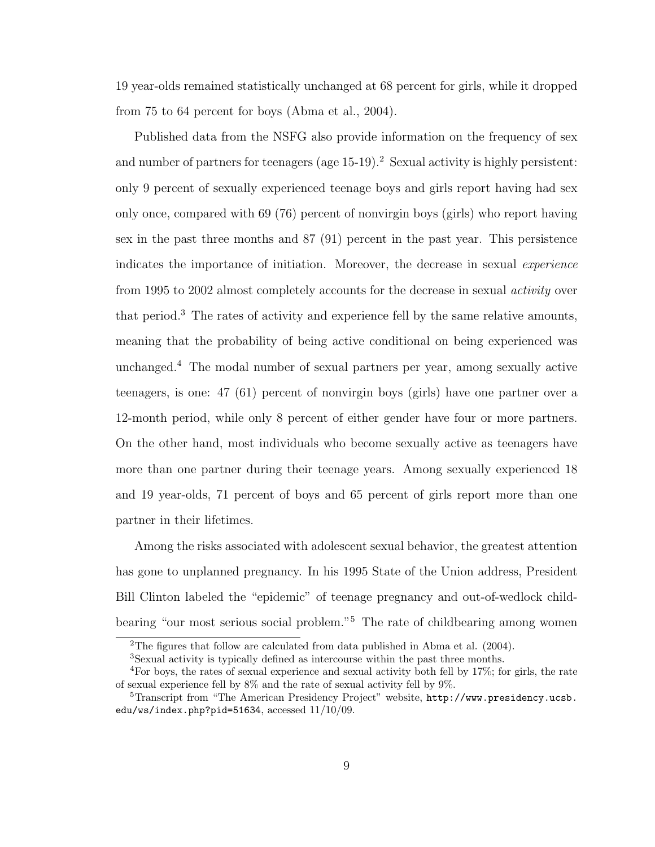19 year-olds remained statistically unchanged at 68 percent for girls, while it dropped from 75 to 64 percent for boys (Abma et al., 2004).

Published data from the NSFG also provide information on the frequency of sex and number of partners for teenagers (age  $15-19$ ).<sup>2</sup> Sexual activity is highly persistent: only 9 percent of sexually experienced teenage boys and girls report having had sex only once, compared with 69 (76) percent of nonvirgin boys (girls) who report having sex in the past three months and 87 (91) percent in the past year. This persistence indicates the importance of initiation. Moreover, the decrease in sexual *experience* from 1995 to 2002 almost completely accounts for the decrease in sexual activity over that period.<sup>3</sup> The rates of activity and experience fell by the same relative amounts, meaning that the probability of being active conditional on being experienced was unchanged.<sup>4</sup> The modal number of sexual partners per year, among sexually active teenagers, is one: 47 (61) percent of nonvirgin boys (girls) have one partner over a 12-month period, while only 8 percent of either gender have four or more partners. On the other hand, most individuals who become sexually active as teenagers have more than one partner during their teenage years. Among sexually experienced 18 and 19 year-olds, 71 percent of boys and 65 percent of girls report more than one partner in their lifetimes.

Among the risks associated with adolescent sexual behavior, the greatest attention has gone to unplanned pregnancy. In his 1995 State of the Union address, President Bill Clinton labeled the "epidemic" of teenage pregnancy and out-of-wedlock childbearing "our most serious social problem."<sup>5</sup> The rate of childbearing among women

<sup>2</sup>The figures that follow are calculated from data published in Abma et al. (2004).

<sup>3</sup>Sexual activity is typically defined as intercourse within the past three months.

<sup>4</sup>For boys, the rates of sexual experience and sexual activity both fell by 17%; for girls, the rate of sexual experience fell by  $8\%$  and the rate of sexual activity fell by  $9\%$ .

<sup>5</sup>Transcript from "The American Presidency Project" website, http://www.presidency.ucsb. edu/ws/index.php?pid=51634, accessed  $11/10/09$ .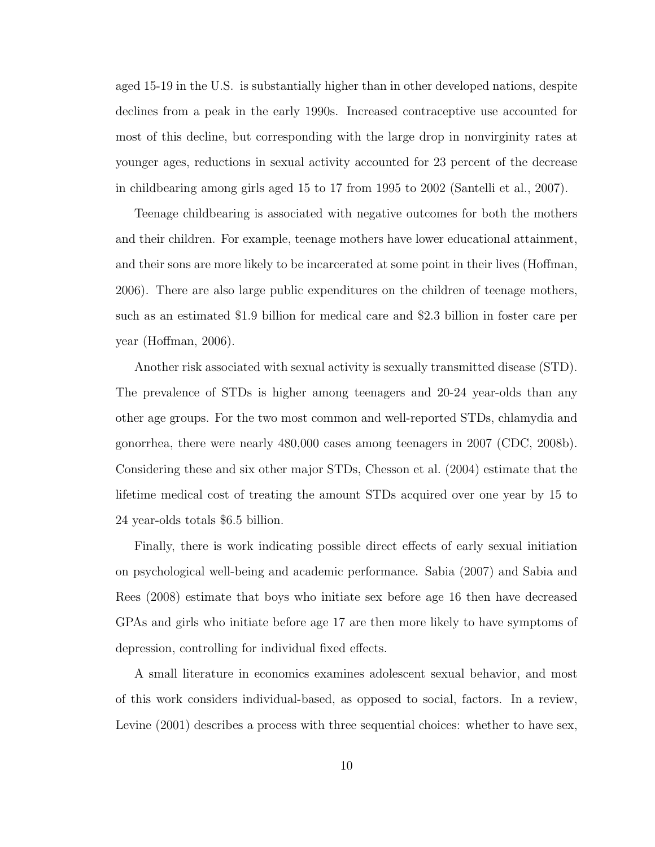aged 15-19 in the U.S. is substantially higher than in other developed nations, despite declines from a peak in the early 1990s. Increased contraceptive use accounted for most of this decline, but corresponding with the large drop in nonvirginity rates at younger ages, reductions in sexual activity accounted for 23 percent of the decrease in childbearing among girls aged 15 to 17 from 1995 to 2002 (Santelli et al., 2007).

Teenage childbearing is associated with negative outcomes for both the mothers and their children. For example, teenage mothers have lower educational attainment, and their sons are more likely to be incarcerated at some point in their lives (Hoffman, 2006). There are also large public expenditures on the children of teenage mothers, such as an estimated \$1.9 billion for medical care and \$2.3 billion in foster care per year (Hoffman, 2006).

Another risk associated with sexual activity is sexually transmitted disease (STD). The prevalence of STDs is higher among teenagers and 20-24 year-olds than any other age groups. For the two most common and well-reported STDs, chlamydia and gonorrhea, there were nearly 480,000 cases among teenagers in 2007 (CDC, 2008b). Considering these and six other major STDs, Chesson et al. (2004) estimate that the lifetime medical cost of treating the amount STDs acquired over one year by 15 to 24 year-olds totals \$6.5 billion.

Finally, there is work indicating possible direct effects of early sexual initiation on psychological well-being and academic performance. Sabia (2007) and Sabia and Rees (2008) estimate that boys who initiate sex before age 16 then have decreased GPAs and girls who initiate before age 17 are then more likely to have symptoms of depression, controlling for individual fixed effects.

A small literature in economics examines adolescent sexual behavior, and most of this work considers individual-based, as opposed to social, factors. In a review, Levine  $(2001)$  describes a process with three sequential choices: whether to have sex,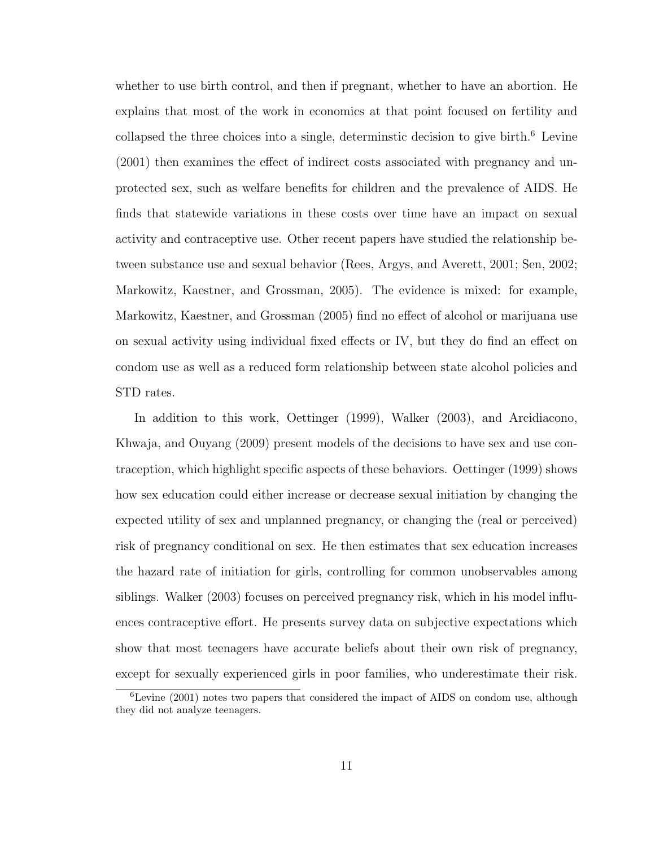whether to use birth control, and then if pregnant, whether to have an abortion. He explains that most of the work in economics at that point focused on fertility and collapsed the three choices into a single, determinstic decision to give birth. $6$  Levine (2001) then examines the effect of indirect costs associated with pregnancy and unprotected sex, such as welfare benefits for children and the prevalence of AIDS. He finds that statewide variations in these costs over time have an impact on sexual activity and contraceptive use. Other recent papers have studied the relationship between substance use and sexual behavior (Rees, Argys, and Averett, 2001; Sen, 2002; Markowitz, Kaestner, and Grossman, 2005). The evidence is mixed: for example, Markowitz, Kaestner, and Grossman (2005) find no effect of alcohol or marijuana use on sexual activity using individual fixed effects or IV, but they do find an effect on condom use as well as a reduced form relationship between state alcohol policies and STD rates.

In addition to this work, Oettinger (1999), Walker (2003), and Arcidiacono, Khwaja, and Ouyang (2009) present models of the decisions to have sex and use contraception, which highlight specific aspects of these behaviors. Oettinger (1999) shows how sex education could either increase or decrease sexual initiation by changing the expected utility of sex and unplanned pregnancy, or changing the (real or perceived) risk of pregnancy conditional on sex. He then estimates that sex education increases the hazard rate of initiation for girls, controlling for common unobservables among siblings. Walker (2003) focuses on perceived pregnancy risk, which in his model influences contraceptive effort. He presents survey data on subjective expectations which show that most teenagers have accurate beliefs about their own risk of pregnancy, except for sexually experienced girls in poor families, who underestimate their risk.

<sup>6</sup>Levine (2001) notes two papers that considered the impact of AIDS on condom use, although they did not analyze teenagers.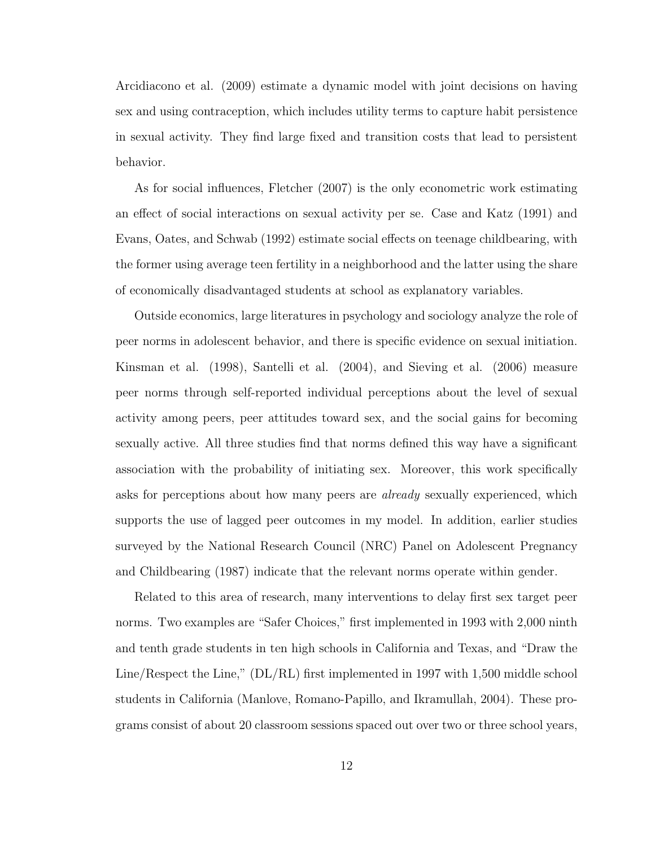Arcidiacono et al. (2009) estimate a dynamic model with joint decisions on having sex and using contraception, which includes utility terms to capture habit persistence in sexual activity. They find large fixed and transition costs that lead to persistent behavior.

As for social influences, Fletcher (2007) is the only econometric work estimating an effect of social interactions on sexual activity per se. Case and Katz (1991) and Evans, Oates, and Schwab (1992) estimate social effects on teenage childbearing, with the former using average teen fertility in a neighborhood and the latter using the share of economically disadvantaged students at school as explanatory variables.

Outside economics, large literatures in psychology and sociology analyze the role of peer norms in adolescent behavior, and there is specific evidence on sexual initiation. Kinsman et al. (1998), Santelli et al. (2004), and Sieving et al. (2006) measure peer norms through self-reported individual perceptions about the level of sexual activity among peers, peer attitudes toward sex, and the social gains for becoming sexually active. All three studies find that norms defined this way have a significant association with the probability of initiating sex. Moreover, this work specifically asks for perceptions about how many peers are *already* sexually experienced, which supports the use of lagged peer outcomes in my model. In addition, earlier studies surveyed by the National Research Council (NRC) Panel on Adolescent Pregnancy and Childbearing (1987) indicate that the relevant norms operate within gender.

Related to this area of research, many interventions to delay first sex target peer norms. Two examples are "Safer Choices," first implemented in 1993 with 2,000 ninth and tenth grade students in ten high schools in California and Texas, and "Draw the Line/Respect the Line," (DL/RL) first implemented in 1997 with 1,500 middle school students in California (Manlove, Romano-Papillo, and Ikramullah, 2004). These programs consist of about 20 classroom sessions spaced out over two or three school years,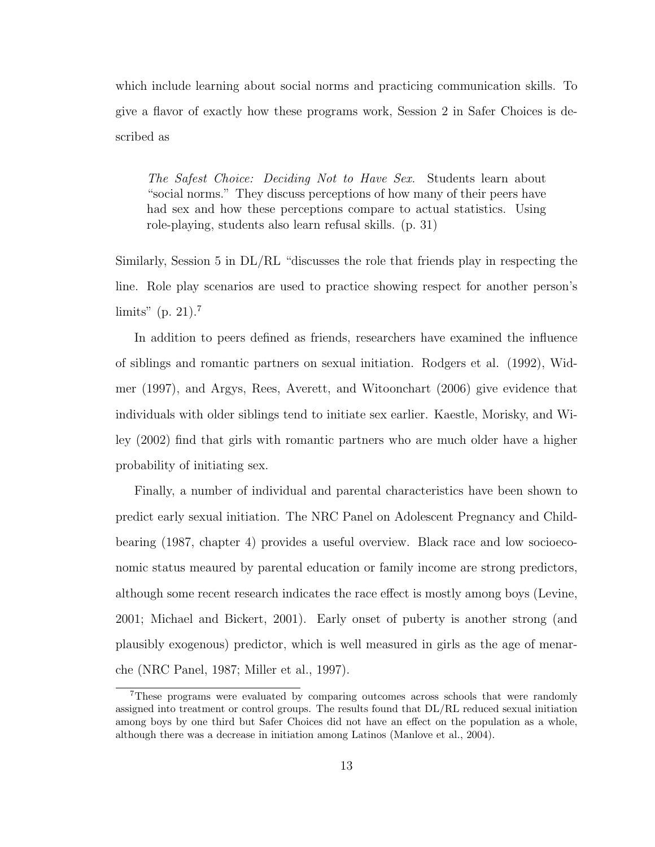which include learning about social norms and practicing communication skills. To give a flavor of exactly how these programs work, Session 2 in Safer Choices is described as

The Safest Choice: Deciding Not to Have Sex. Students learn about "social norms." They discuss perceptions of how many of their peers have had sex and how these perceptions compare to actual statistics. Using role-playing, students also learn refusal skills. (p. 31)

Similarly, Session 5 in DL/RL "discusses the role that friends play in respecting the line. Role play scenarios are used to practice showing respect for another person's limits" (p. 21).<sup>7</sup>

In addition to peers defined as friends, researchers have examined the influence of siblings and romantic partners on sexual initiation. Rodgers et al. (1992), Widmer (1997), and Argys, Rees, Averett, and Witoonchart (2006) give evidence that individuals with older siblings tend to initiate sex earlier. Kaestle, Morisky, and Wiley (2002) find that girls with romantic partners who are much older have a higher probability of initiating sex.

Finally, a number of individual and parental characteristics have been shown to predict early sexual initiation. The NRC Panel on Adolescent Pregnancy and Childbearing (1987, chapter 4) provides a useful overview. Black race and low socioeconomic status meaured by parental education or family income are strong predictors, although some recent research indicates the race effect is mostly among boys (Levine, 2001; Michael and Bickert, 2001). Early onset of puberty is another strong (and plausibly exogenous) predictor, which is well measured in girls as the age of menarche (NRC Panel, 1987; Miller et al., 1997).

<sup>7</sup>These programs were evaluated by comparing outcomes across schools that were randomly assigned into treatment or control groups. The results found that DL/RL reduced sexual initiation among boys by one third but Safer Choices did not have an effect on the population as a whole, although there was a decrease in initiation among Latinos (Manlove et al., 2004).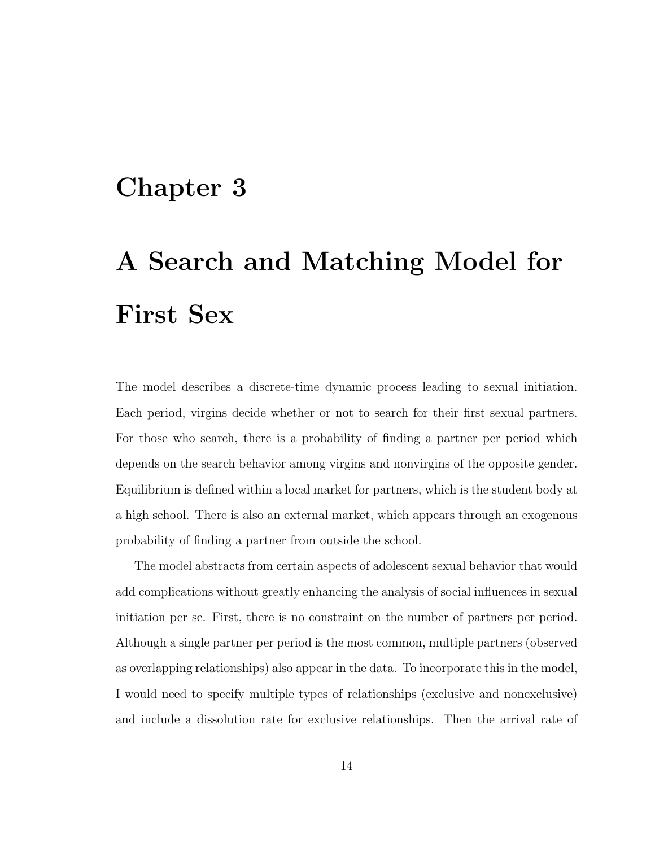## Chapter 3

# A Search and Matching Model for First Sex

The model describes a discrete-time dynamic process leading to sexual initiation. Each period, virgins decide whether or not to search for their first sexual partners. For those who search, there is a probability of finding a partner per period which depends on the search behavior among virgins and nonvirgins of the opposite gender. Equilibrium is defined within a local market for partners, which is the student body at a high school. There is also an external market, which appears through an exogenous probability of finding a partner from outside the school.

The model abstracts from certain aspects of adolescent sexual behavior that would add complications without greatly enhancing the analysis of social influences in sexual initiation per se. First, there is no constraint on the number of partners per period. Although a single partner per period is the most common, multiple partners (observed as overlapping relationships) also appear in the data. To incorporate this in the model, I would need to specify multiple types of relationships (exclusive and nonexclusive) and include a dissolution rate for exclusive relationships. Then the arrival rate of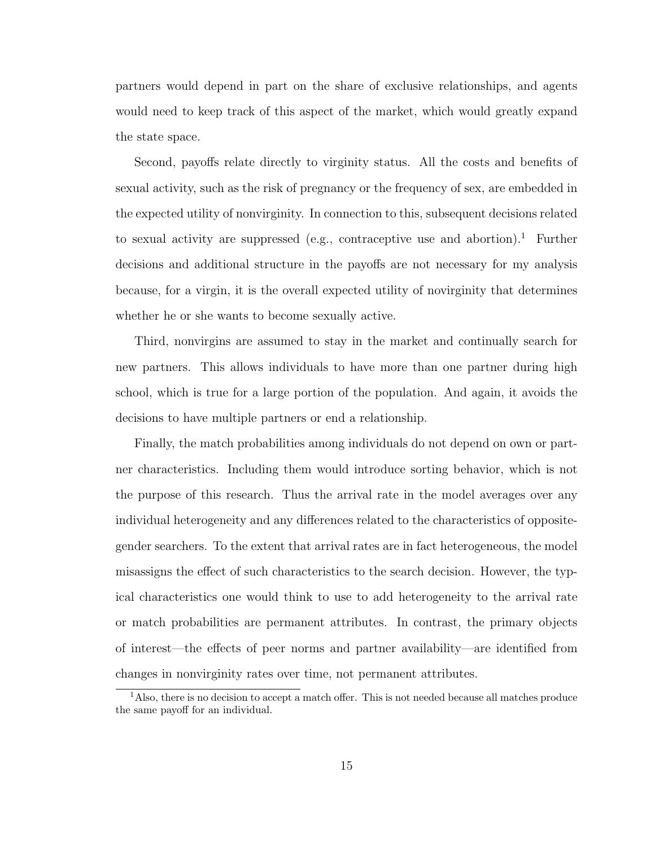partners would depend in part on the share of exclusive relationships, and agents would need to keep track of this aspect of the market, which would greatly expand the state space.

Second, payoffs relate directly to virginity status. All the costs and benefits of sexual activity, such as the risk of pregnancy or the frequency of sex, are embedded in the expected utility of nonvirginity. In connection to this, subsequent decisions related to sexual activity are suppressed (e.g., contraceptive use and abortion).<sup>1</sup> Further decisions and additional structure in the payoffs are not necessary for my analysis because, for a virgin, it is the overall expected utility of novirginity that determines whether he or she wants to become sexually active.

Third, nonvirgins are assumed to stay in the market and continually search for new partners. This allows individuals to have more than one partner during high school, which is true for a large portion of the population. And again, it avoids the decisions to have multiple partners or end a relationship.

Finally, the match probabilities among individuals do not depend on own or partner characteristics. Including them would introduce sorting behavior, which is not the purpose of this research. Thus the arrival rate in the model averages over any individual heterogeneity and any differences related to the characteristics of oppositegender searchers. To the extent that arrival rates are in fact heterogeneous, the model misassigns the effect of such characteristics to the search decision. However, the typical characteristics one would think to use to add heterogeneity to the arrival rate or match probabilities are permanent attributes. In contrast, the primary objects of interest—the effects of peer norms and partner availability—are identified from changes in nonvirginity rates over time, not permanent attributes.

<sup>&</sup>lt;sup>1</sup>Also, there is no decision to accept a match offer. This is not needed because all matches produce the same payoff for an individual.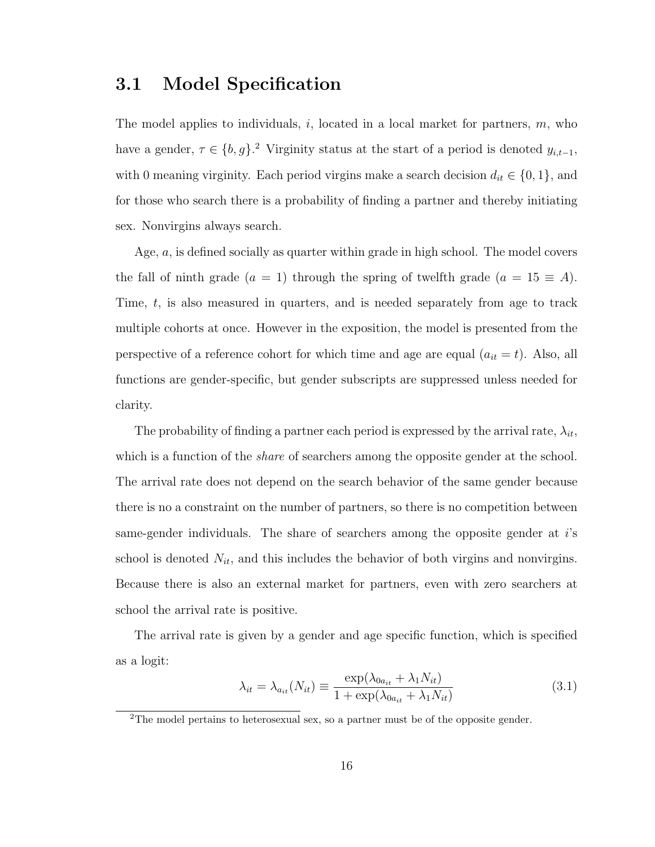### 3.1 Model Specification

The model applies to individuals,  $i$ , located in a local market for partners,  $m$ , who have a gender,  $\tau \in \{b, g\}$ .<sup>2</sup> Virginity status at the start of a period is denoted  $y_{i,t-1}$ , with 0 meaning virginity. Each period virgins make a search decision  $d_{it} \in \{0, 1\}$ , and for those who search there is a probability of finding a partner and thereby initiating sex. Nonvirgins always search.

Age, a, is defined socially as quarter within grade in high school. The model covers the fall of ninth grade (a = 1) through the spring of twelfth grade (a =  $15 \equiv A$ ). Time, t, is also measured in quarters, and is needed separately from age to track multiple cohorts at once. However in the exposition, the model is presented from the perspective of a reference cohort for which time and age are equal  $(a_{it} = t)$ . Also, all functions are gender-specific, but gender subscripts are suppressed unless needed for clarity.

The probability of finding a partner each period is expressed by the arrival rate,  $\lambda_{it}$ , which is a function of the *share* of searchers among the opposite gender at the school. The arrival rate does not depend on the search behavior of the same gender because there is no a constraint on the number of partners, so there is no competition between same-gender individuals. The share of searchers among the opposite gender at i's school is denoted  $N_{it}$ , and this includes the behavior of both virgins and nonvirgins. Because there is also an external market for partners, even with zero searchers at school the arrival rate is positive.

The arrival rate is given by a gender and age specific function, which is specified as a logit:

$$
\lambda_{it} = \lambda_{a_{it}}(N_{it}) \equiv \frac{\exp(\lambda_{0a_{it}} + \lambda_1 N_{it})}{1 + \exp(\lambda_{0a_{it}} + \lambda_1 N_{it})}
$$
(3.1)

<sup>&</sup>lt;sup>2</sup>The model pertains to heterosexual sex, so a partner must be of the opposite gender.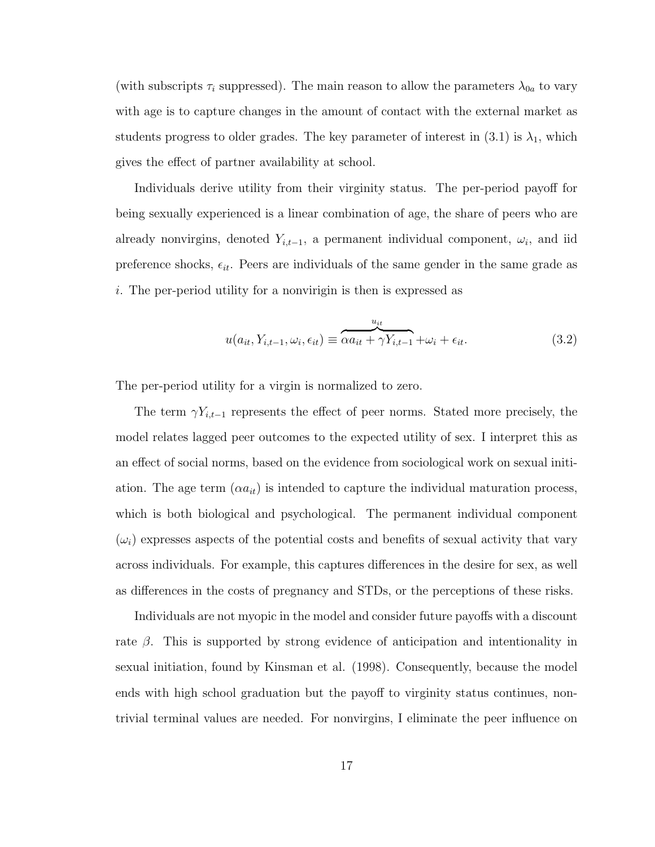(with subscripts  $\tau_i$  suppressed). The main reason to allow the parameters  $\lambda_{0a}$  to vary with age is to capture changes in the amount of contact with the external market as students progress to older grades. The key parameter of interest in  $(3.1)$  is  $\lambda_1$ , which gives the effect of partner availability at school.

Individuals derive utility from their virginity status. The per-period payoff for being sexually experienced is a linear combination of age, the share of peers who are already nonvirgins, denoted  $Y_{i,t-1}$ , a permanent individual component,  $\omega_i$ , and iid preference shocks,  $\epsilon_{it}$ . Peers are individuals of the same gender in the same grade as i. The per-period utility for a nonvirigin is then is expressed as

$$
u(a_{it}, Y_{i,t-1}, \omega_i, \epsilon_{it}) \equiv \overbrace{\alpha a_{it} + \gamma Y_{i,t-1}}^{u_{it}} + \omega_i + \epsilon_{it}.
$$
\n(3.2)

The per-period utility for a virgin is normalized to zero.

The term  $\gamma Y_{i,t-1}$  represents the effect of peer norms. Stated more precisely, the model relates lagged peer outcomes to the expected utility of sex. I interpret this as an effect of social norms, based on the evidence from sociological work on sexual initiation. The age term  $(\alpha a_{it})$  is intended to capture the individual maturation process, which is both biological and psychological. The permanent individual component  $(\omega_i)$  expresses aspects of the potential costs and benefits of sexual activity that vary across individuals. For example, this captures differences in the desire for sex, as well as differences in the costs of pregnancy and STDs, or the perceptions of these risks.

Individuals are not myopic in the model and consider future payoffs with a discount rate  $\beta$ . This is supported by strong evidence of anticipation and intentionality in sexual initiation, found by Kinsman et al. (1998). Consequently, because the model ends with high school graduation but the payoff to virginity status continues, nontrivial terminal values are needed. For nonvirgins, I eliminate the peer influence on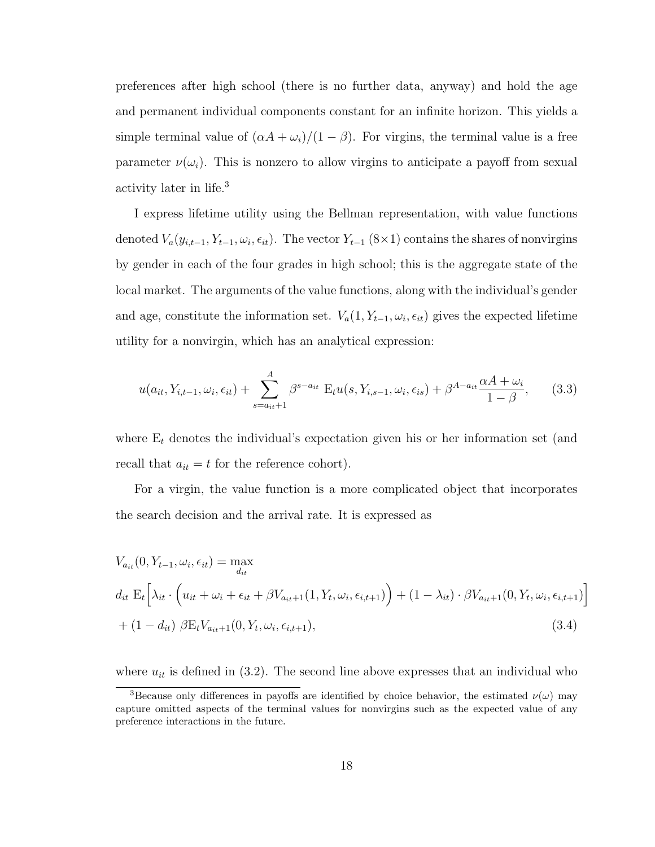preferences after high school (there is no further data, anyway) and hold the age and permanent individual components constant for an infinite horizon. This yields a simple terminal value of  $(\alpha A + \omega_i)/(1 - \beta)$ . For virgins, the terminal value is a free parameter  $\nu(\omega_i)$ . This is nonzero to allow virgins to anticipate a payoff from sexual activity later in life.<sup>3</sup>

I express lifetime utility using the Bellman representation, with value functions denoted  $V_a(y_{i,t-1}, Y_{t-1}, \omega_i, \epsilon_{it})$ . The vector  $Y_{t-1}$  (8×1) contains the shares of nonvirgins by gender in each of the four grades in high school; this is the aggregate state of the local market. The arguments of the value functions, along with the individual's gender and age, constitute the information set.  $V_a(1, Y_{t-1}, \omega_i, \epsilon_{it})$  gives the expected lifetime utility for a nonvirgin, which has an analytical expression:

$$
u(a_{it}, Y_{i,t-1}, \omega_i, \epsilon_{it}) + \sum_{s=a_{it}+1}^{A} \beta^{s-a_{it}} \mathbf{E}_t u(s, Y_{i,s-1}, \omega_i, \epsilon_{is}) + \beta^{A-a_{it}} \frac{\alpha A + \omega_i}{1 - \beta}, \qquad (3.3)
$$

where  $E_t$  denotes the individual's expectation given his or her information set (and recall that  $a_{it} = t$  for the reference cohort).

For a virgin, the value function is a more complicated object that incorporates the search decision and the arrival rate. It is expressed as

$$
V_{a_{it}}(0, Y_{t-1}, \omega_i, \epsilon_{it}) = \max_{d_{it}}
$$
  
\n
$$
d_{it} \mathcal{E}_t \Big[ \lambda_{it} \cdot \Big( u_{it} + \omega_i + \epsilon_{it} + \beta V_{a_{it}+1}(1, Y_t, \omega_i, \epsilon_{i,t+1}) \Big) + (1 - \lambda_{it}) \cdot \beta V_{a_{it}+1}(0, Y_t, \omega_i, \epsilon_{i,t+1}) \Big]
$$
  
\n
$$
+ (1 - d_{it}) \beta \mathcal{E}_t V_{a_{it}+1}(0, Y_t, \omega_i, \epsilon_{i,t+1}), \tag{3.4}
$$

where  $u_{it}$  is defined in (3.2). The second line above expresses that an individual who

<sup>&</sup>lt;sup>3</sup>Because only differences in payoffs are identified by choice behavior, the estimated  $\nu(\omega)$  may capture omitted aspects of the terminal values for nonvirgins such as the expected value of any preference interactions in the future.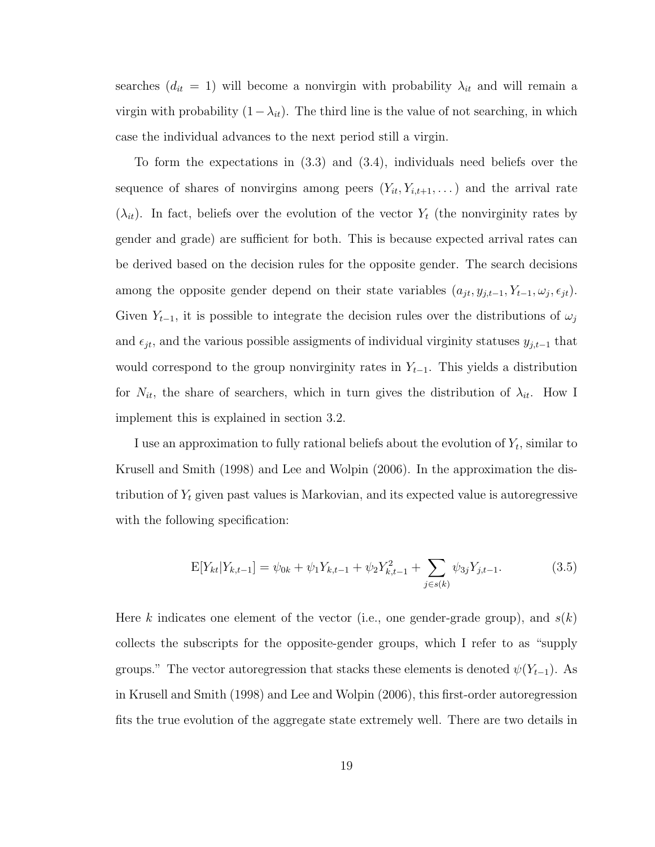searches  $(d_{it} = 1)$  will become a nonvirgin with probability  $\lambda_{it}$  and will remain a virgin with probability  $(1-\lambda_{it})$ . The third line is the value of not searching, in which case the individual advances to the next period still a virgin.

To form the expectations in (3.3) and (3.4), individuals need beliefs over the sequence of shares of nonvirgins among peers  $(Y_{it}, Y_{i,t+1}, \dots)$  and the arrival rate  $(\lambda_{it})$ . In fact, beliefs over the evolution of the vector  $Y_t$  (the nonvirginity rates by gender and grade) are sufficient for both. This is because expected arrival rates can be derived based on the decision rules for the opposite gender. The search decisions among the opposite gender depend on their state variables  $(a_{jt}, y_{j,t-1}, Y_{t-1}, \omega_j, \epsilon_{jt})$ . Given  $Y_{t-1}$ , it is possible to integrate the decision rules over the distributions of  $\omega_j$ and  $\epsilon_{jt}$ , and the various possible assigments of individual virginity statuses  $y_{j,t-1}$  that would correspond to the group nonvirginity rates in  $Y_{t-1}$ . This yields a distribution for  $N_{it}$ , the share of searchers, which in turn gives the distribution of  $\lambda_{it}$ . How I implement this is explained in section 3.2.

I use an approximation to fully rational beliefs about the evolution of  $Y_t$ , similar to Krusell and Smith (1998) and Lee and Wolpin (2006). In the approximation the distribution of  $Y_t$  given past values is Markovian, and its expected value is autoregressive with the following specification:

$$
E[Y_{kt}|Y_{k,t-1}] = \psi_{0k} + \psi_1 Y_{k,t-1} + \psi_2 Y_{k,t-1}^2 + \sum_{j \in s(k)} \psi_{3j} Y_{j,t-1}.
$$
 (3.5)

Here k indicates one element of the vector (i.e., one gender-grade group), and  $s(k)$ collects the subscripts for the opposite-gender groups, which I refer to as "supply groups." The vector autoregression that stacks these elements is denoted  $\psi(Y_{t-1})$ . As in Krusell and Smith (1998) and Lee and Wolpin (2006), this first-order autoregression fits the true evolution of the aggregate state extremely well. There are two details in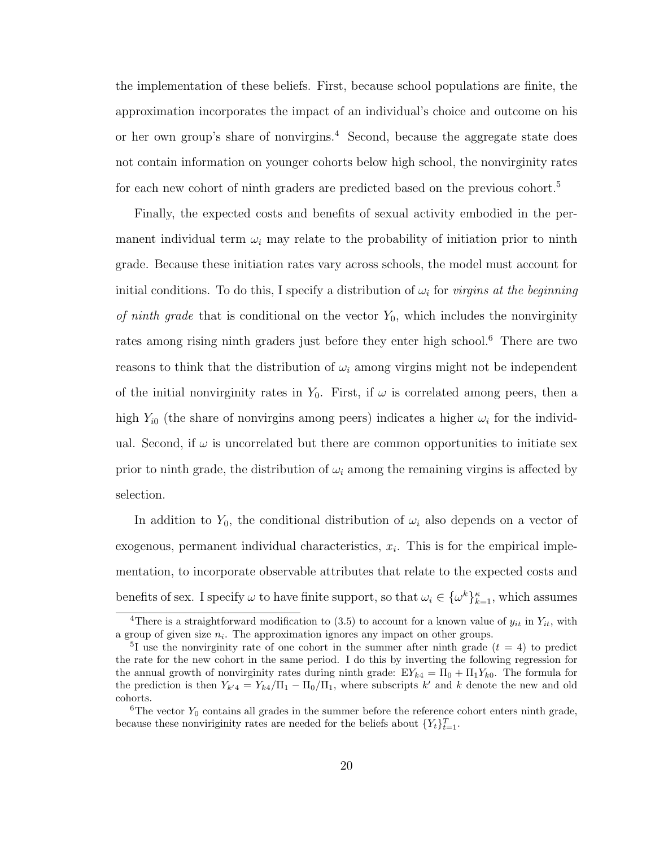the implementation of these beliefs. First, because school populations are finite, the approximation incorporates the impact of an individual's choice and outcome on his or her own group's share of nonvirgins.<sup>4</sup> Second, because the aggregate state does not contain information on younger cohorts below high school, the nonvirginity rates for each new cohort of ninth graders are predicted based on the previous cohort.<sup>5</sup>

Finally, the expected costs and benefits of sexual activity embodied in the permanent individual term  $\omega_i$  may relate to the probability of initiation prior to ninth grade. Because these initiation rates vary across schools, the model must account for initial conditions. To do this, I specify a distribution of  $\omega_i$  for *virgins at the beginning* of ninth grade that is conditional on the vector  $Y_0$ , which includes the nonvirginity rates among rising ninth graders just before they enter high school.<sup>6</sup> There are two reasons to think that the distribution of  $\omega_i$  among virgins might not be independent of the initial nonvirginity rates in  $Y_0$ . First, if  $\omega$  is correlated among peers, then a high  $Y_{i0}$  (the share of nonvirgins among peers) indicates a higher  $\omega_i$  for the individual. Second, if  $\omega$  is uncorrelated but there are common opportunities to initiate sex prior to ninth grade, the distribution of  $\omega_i$  among the remaining virgins is affected by selection.

In addition to  $Y_0$ , the conditional distribution of  $\omega_i$  also depends on a vector of exogenous, permanent individual characteristics,  $x_i$ . This is for the empirical implementation, to incorporate observable attributes that relate to the expected costs and benefits of sex. I specify  $\omega$  to have finite support, so that  $\omega_i \in {\{\omega^k\}}_{k=1}^{\kappa}$ , which assumes

<sup>&</sup>lt;sup>4</sup>There is a straightforward modification to (3.5) to account for a known value of  $y_{it}$  in  $Y_{it}$ , with a group of given size  $n_i$ . The approximation ignores any impact on other groups.

<sup>&</sup>lt;sup>5</sup>I use the nonvirginity rate of one cohort in the summer after ninth grade  $(t = 4)$  to predict the rate for the new cohort in the same period. I do this by inverting the following regression for the annual growth of nonvirginity rates during ninth grade:  $EY_{k4} = \Pi_0 + \Pi_1 Y_{k0}$ . The formula for the prediction is then  $Y_{k'4} = Y_{k4}/\Pi_1 - \Pi_0/\Pi_1$ , where subscripts k' and k denote the new and old cohorts.

 ${}^{6}$ The vector  $Y_0$  contains all grades in the summer before the reference cohort enters ninth grade, because these nonviriginity rates are needed for the beliefs about  $\{Y_t\}_{t=1}^T$ .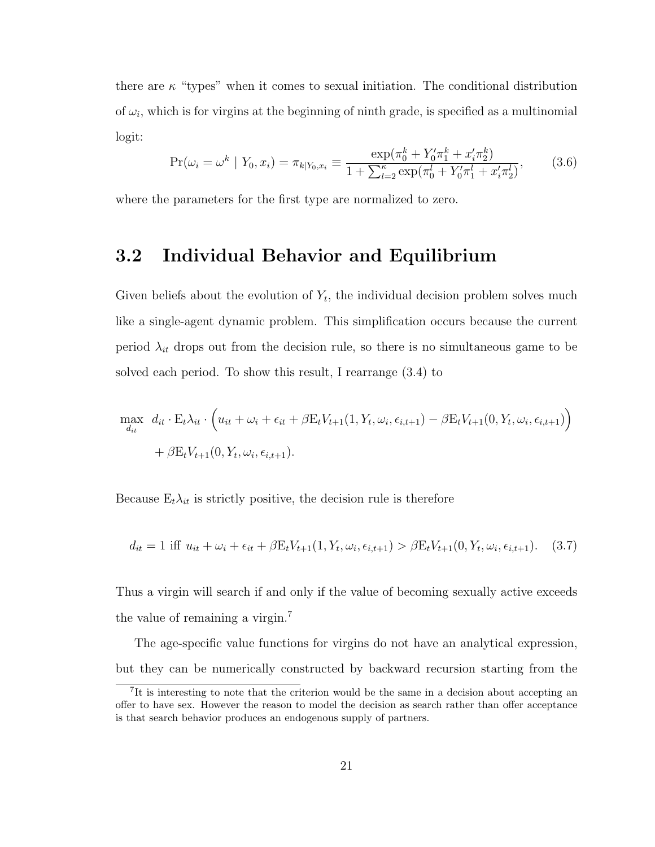there are  $\kappa$  "types" when it comes to sexual initiation. The conditional distribution of  $\omega_i$ , which is for virgins at the beginning of ninth grade, is specified as a multinomial logit:

$$
\Pr(\omega_i = \omega^k \mid Y_0, x_i) = \pi_{k|Y_0, x_i} \equiv \frac{\exp(\pi_0^k + Y_0' \pi_1^k + x_i' \pi_2^k)}{1 + \sum_{l=2}^{\kappa} \exp(\pi_0^l + Y_0' \pi_1^l + x_i' \pi_2^l)},\tag{3.6}
$$

where the parameters for the first type are normalized to zero.

### 3.2 Individual Behavior and Equilibrium

Given beliefs about the evolution of  $Y_t$ , the individual decision problem solves much like a single-agent dynamic problem. This simplification occurs because the current period  $\lambda_{it}$  drops out from the decision rule, so there is no simultaneous game to be solved each period. To show this result, I rearrange (3.4) to

$$
\max_{d_{it}} d_{it} \cdot \mathbf{E}_t \lambda_{it} \cdot \left( u_{it} + \omega_i + \epsilon_{it} + \beta \mathbf{E}_t V_{t+1}(1, Y_t, \omega_i, \epsilon_{i,t+1}) - \beta \mathbf{E}_t V_{t+1}(0, Y_t, \omega_i, \epsilon_{i,t+1}) \right) + \beta \mathbf{E}_t V_{t+1}(0, Y_t, \omega_i, \epsilon_{i,t+1}).
$$

Because  $E_t \lambda_{it}$  is strictly positive, the decision rule is therefore

$$
d_{it} = 1 \text{ iff } u_{it} + \omega_i + \epsilon_{it} + \beta E_t V_{t+1}(1, Y_t, \omega_i, \epsilon_{i,t+1}) > \beta E_t V_{t+1}(0, Y_t, \omega_i, \epsilon_{i,t+1}). \tag{3.7}
$$

Thus a virgin will search if and only if the value of becoming sexually active exceeds the value of remaining a virgin.<sup>7</sup>

The age-specific value functions for virgins do not have an analytical expression, but they can be numerically constructed by backward recursion starting from the

<sup>&</sup>lt;sup>7</sup>It is interesting to note that the criterion would be the same in a decision about accepting an offer to have sex. However the reason to model the decision as search rather than offer acceptance is that search behavior produces an endogenous supply of partners.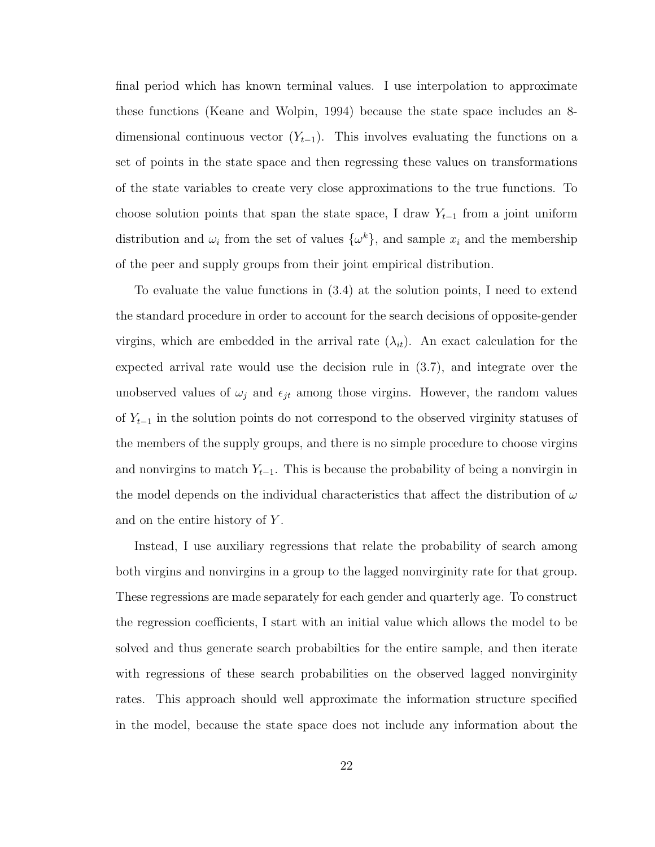final period which has known terminal values. I use interpolation to approximate these functions (Keane and Wolpin, 1994) because the state space includes an 8 dimensional continuous vector  $(Y_{t-1})$ . This involves evaluating the functions on a set of points in the state space and then regressing these values on transformations of the state variables to create very close approximations to the true functions. To choose solution points that span the state space, I draw  $Y_{t-1}$  from a joint uniform distribution and  $\omega_i$  from the set of values  $\{\omega^k\}$ , and sample  $x_i$  and the membership of the peer and supply groups from their joint empirical distribution.

To evaluate the value functions in (3.4) at the solution points, I need to extend the standard procedure in order to account for the search decisions of opposite-gender virgins, which are embedded in the arrival rate  $(\lambda_{it})$ . An exact calculation for the expected arrival rate would use the decision rule in (3.7), and integrate over the unobserved values of  $\omega_j$  and  $\epsilon_{jt}$  among those virgins. However, the random values of  $Y_{t-1}$  in the solution points do not correspond to the observed virginity statuses of the members of the supply groups, and there is no simple procedure to choose virgins and nonvirgins to match  $Y_{t-1}$ . This is because the probability of being a nonvirgin in the model depends on the individual characteristics that affect the distribution of  $\omega$ and on the entire history of Y.

Instead, I use auxiliary regressions that relate the probability of search among both virgins and nonvirgins in a group to the lagged nonvirginity rate for that group. These regressions are made separately for each gender and quarterly age. To construct the regression coefficients, I start with an initial value which allows the model to be solved and thus generate search probabilties for the entire sample, and then iterate with regressions of these search probabilities on the observed lagged nonvirginity rates. This approach should well approximate the information structure specified in the model, because the state space does not include any information about the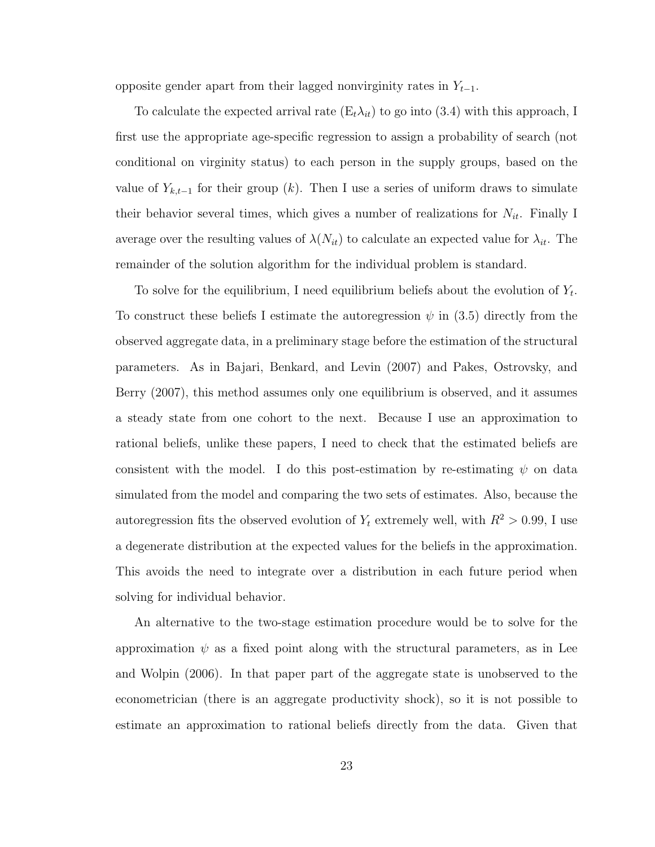opposite gender apart from their lagged nonvirginity rates in  $Y_{t-1}$ .

To calculate the expected arrival rate  $(E_t \lambda_{it})$  to go into  $(3.4)$  with this approach, I first use the appropriate age-specific regression to assign a probability of search (not conditional on virginity status) to each person in the supply groups, based on the value of  $Y_{k,t-1}$  for their group (k). Then I use a series of uniform draws to simulate their behavior several times, which gives a number of realizations for  $N_{it}$ . Finally I average over the resulting values of  $\lambda(N_{it})$  to calculate an expected value for  $\lambda_{it}$ . The remainder of the solution algorithm for the individual problem is standard.

To solve for the equilibrium, I need equilibrium beliefs about the evolution of  $Y_t$ . To construct these beliefs I estimate the autoregression  $\psi$  in (3.5) directly from the observed aggregate data, in a preliminary stage before the estimation of the structural parameters. As in Bajari, Benkard, and Levin (2007) and Pakes, Ostrovsky, and Berry (2007), this method assumes only one equilibrium is observed, and it assumes a steady state from one cohort to the next. Because I use an approximation to rational beliefs, unlike these papers, I need to check that the estimated beliefs are consistent with the model. I do this post-estimation by re-estimating  $\psi$  on data simulated from the model and comparing the two sets of estimates. Also, because the autoregression fits the observed evolution of  $Y_t$  extremely well, with  $R^2 > 0.99$ , I use a degenerate distribution at the expected values for the beliefs in the approximation. This avoids the need to integrate over a distribution in each future period when solving for individual behavior.

An alternative to the two-stage estimation procedure would be to solve for the approximation  $\psi$  as a fixed point along with the structural parameters, as in Lee and Wolpin (2006). In that paper part of the aggregate state is unobserved to the econometrician (there is an aggregate productivity shock), so it is not possible to estimate an approximation to rational beliefs directly from the data. Given that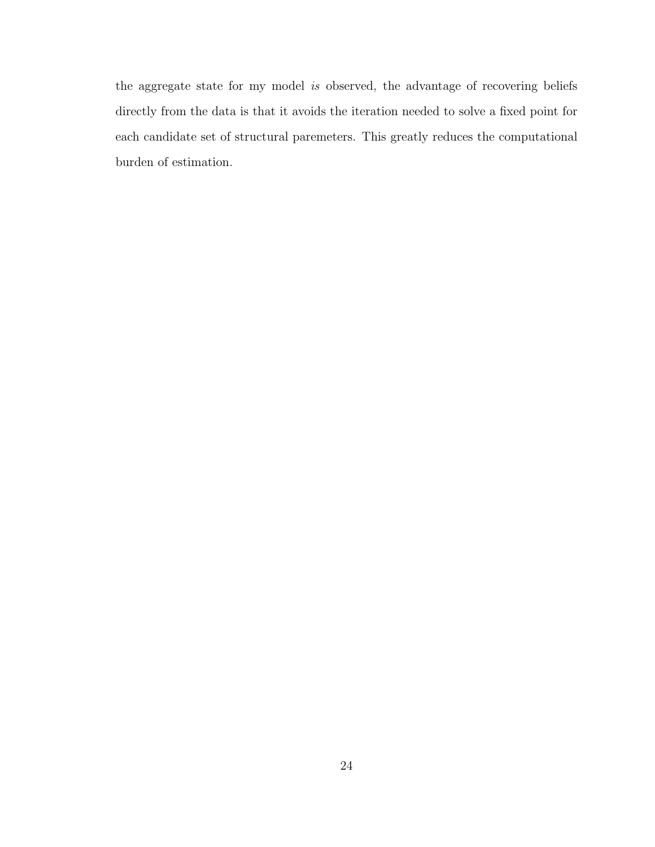the aggregate state for my model is observed, the advantage of recovering beliefs directly from the data is that it avoids the iteration needed to solve a fixed point for each candidate set of structural paremeters. This greatly reduces the computational burden of estimation.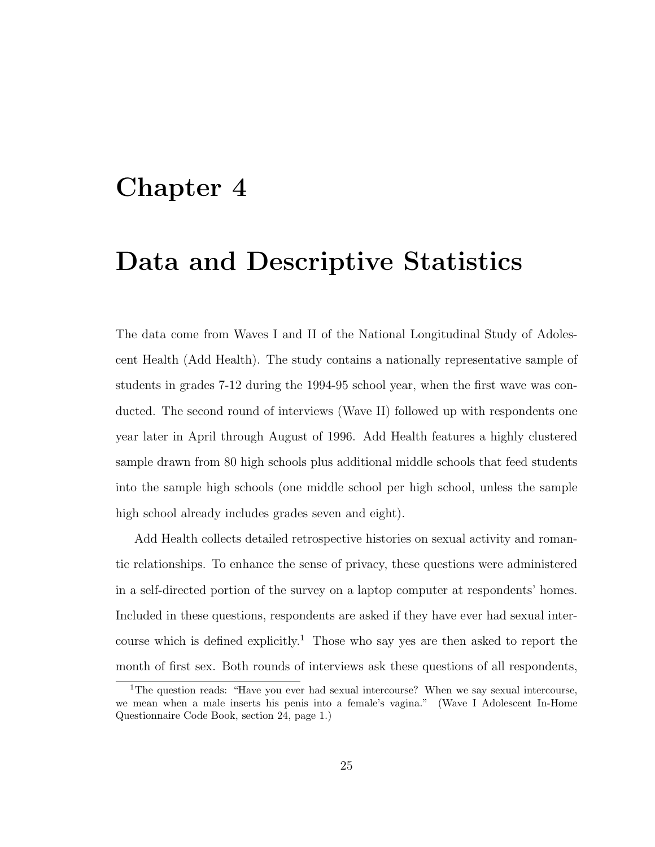### Chapter 4

## Data and Descriptive Statistics

The data come from Waves I and II of the National Longitudinal Study of Adolescent Health (Add Health). The study contains a nationally representative sample of students in grades 7-12 during the 1994-95 school year, when the first wave was conducted. The second round of interviews (Wave II) followed up with respondents one year later in April through August of 1996. Add Health features a highly clustered sample drawn from 80 high schools plus additional middle schools that feed students into the sample high schools (one middle school per high school, unless the sample high school already includes grades seven and eight).

Add Health collects detailed retrospective histories on sexual activity and romantic relationships. To enhance the sense of privacy, these questions were administered in a self-directed portion of the survey on a laptop computer at respondents' homes. Included in these questions, respondents are asked if they have ever had sexual intercourse which is defined explicitly.<sup>1</sup> Those who say yes are then asked to report the month of first sex. Both rounds of interviews ask these questions of all respondents,

<sup>1</sup>The question reads: "Have you ever had sexual intercourse? When we say sexual intercourse, we mean when a male inserts his penis into a female's vagina." (Wave I Adolescent In-Home Questionnaire Code Book, section 24, page 1.)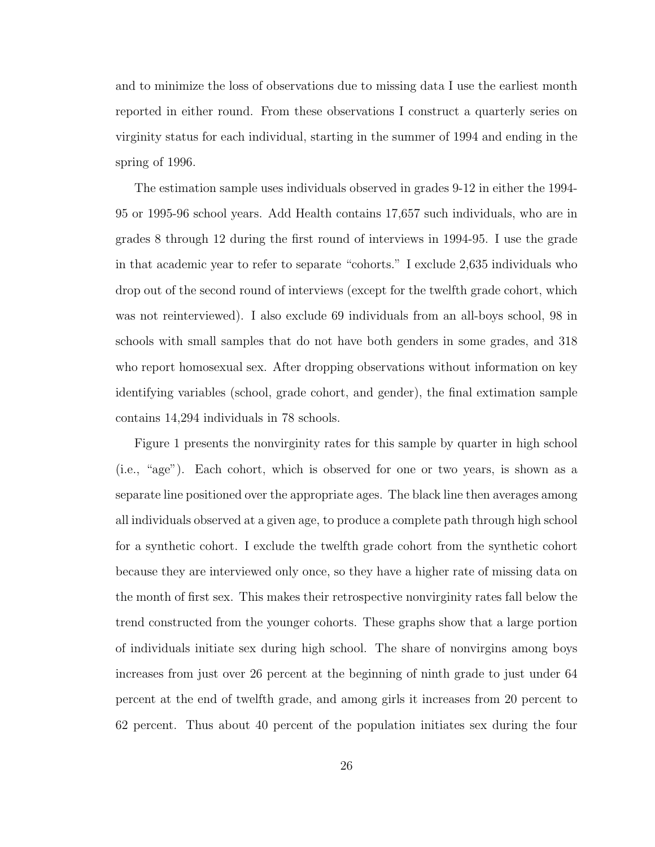and to minimize the loss of observations due to missing data I use the earliest month reported in either round. From these observations I construct a quarterly series on virginity status for each individual, starting in the summer of 1994 and ending in the spring of 1996.

The estimation sample uses individuals observed in grades 9-12 in either the 1994- 95 or 1995-96 school years. Add Health contains 17,657 such individuals, who are in grades 8 through 12 during the first round of interviews in 1994-95. I use the grade in that academic year to refer to separate "cohorts." I exclude 2,635 individuals who drop out of the second round of interviews (except for the twelfth grade cohort, which was not reinterviewed). I also exclude 69 individuals from an all-boys school, 98 in schools with small samples that do not have both genders in some grades, and 318 who report homosexual sex. After dropping observations without information on key identifying variables (school, grade cohort, and gender), the final extimation sample contains 14,294 individuals in 78 schools.

Figure 1 presents the nonvirginity rates for this sample by quarter in high school (i.e., "age"). Each cohort, which is observed for one or two years, is shown as a separate line positioned over the appropriate ages. The black line then averages among all individuals observed at a given age, to produce a complete path through high school for a synthetic cohort. I exclude the twelfth grade cohort from the synthetic cohort because they are interviewed only once, so they have a higher rate of missing data on the month of first sex. This makes their retrospective nonvirginity rates fall below the trend constructed from the younger cohorts. These graphs show that a large portion of individuals initiate sex during high school. The share of nonvirgins among boys increases from just over 26 percent at the beginning of ninth grade to just under 64 percent at the end of twelfth grade, and among girls it increases from 20 percent to 62 percent. Thus about 40 percent of the population initiates sex during the four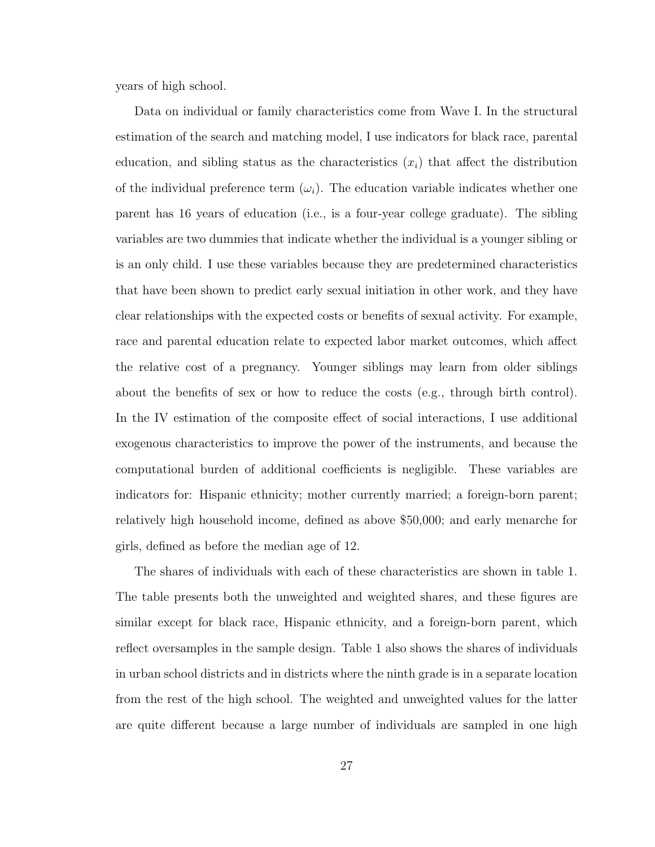years of high school.

Data on individual or family characteristics come from Wave I. In the structural estimation of the search and matching model, I use indicators for black race, parental education, and sibling status as the characteristics  $(x<sub>i</sub>)$  that affect the distribution of the individual preference term  $(\omega_i)$ . The education variable indicates whether one parent has 16 years of education (i.e., is a four-year college graduate). The sibling variables are two dummies that indicate whether the individual is a younger sibling or is an only child. I use these variables because they are predetermined characteristics that have been shown to predict early sexual initiation in other work, and they have clear relationships with the expected costs or benefits of sexual activity. For example, race and parental education relate to expected labor market outcomes, which affect the relative cost of a pregnancy. Younger siblings may learn from older siblings about the benefits of sex or how to reduce the costs (e.g., through birth control). In the IV estimation of the composite effect of social interactions, I use additional exogenous characteristics to improve the power of the instruments, and because the computational burden of additional coefficients is negligible. These variables are indicators for: Hispanic ethnicity; mother currently married; a foreign-born parent; relatively high household income, defined as above \$50,000; and early menarche for girls, defined as before the median age of 12.

The shares of individuals with each of these characteristics are shown in table 1. The table presents both the unweighted and weighted shares, and these figures are similar except for black race, Hispanic ethnicity, and a foreign-born parent, which reflect oversamples in the sample design. Table 1 also shows the shares of individuals in urban school districts and in districts where the ninth grade is in a separate location from the rest of the high school. The weighted and unweighted values for the latter are quite different because a large number of individuals are sampled in one high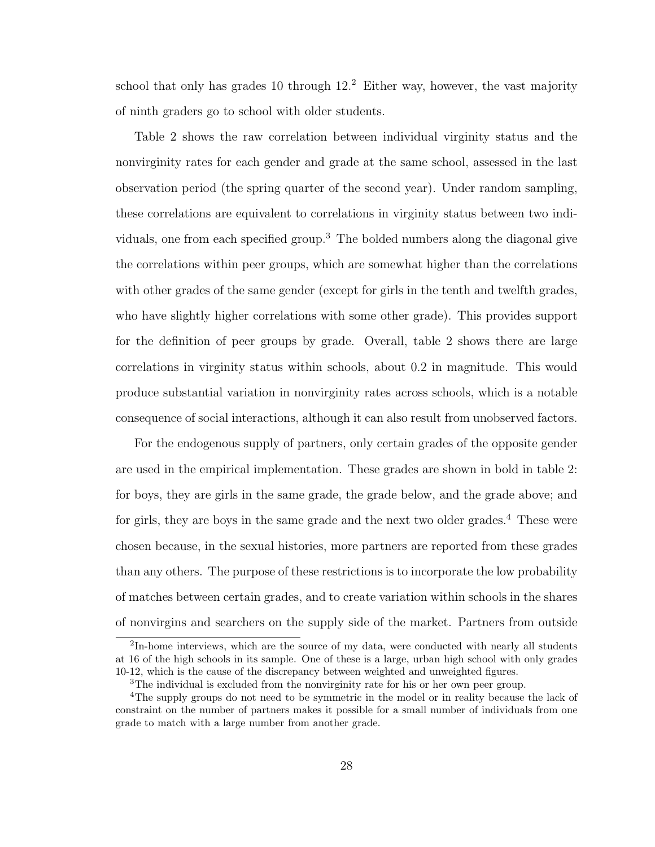school that only has grades 10 through  $12<sup>2</sup>$  Either way, however, the vast majority of ninth graders go to school with older students.

Table 2 shows the raw correlation between individual virginity status and the nonvirginity rates for each gender and grade at the same school, assessed in the last observation period (the spring quarter of the second year). Under random sampling, these correlations are equivalent to correlations in virginity status between two individuals, one from each specified group.<sup>3</sup> The bolded numbers along the diagonal give the correlations within peer groups, which are somewhat higher than the correlations with other grades of the same gender (except for girls in the tenth and twelfth grades, who have slightly higher correlations with some other grade). This provides support for the definition of peer groups by grade. Overall, table 2 shows there are large correlations in virginity status within schools, about 0.2 in magnitude. This would produce substantial variation in nonvirginity rates across schools, which is a notable consequence of social interactions, although it can also result from unobserved factors.

For the endogenous supply of partners, only certain grades of the opposite gender are used in the empirical implementation. These grades are shown in bold in table 2: for boys, they are girls in the same grade, the grade below, and the grade above; and for girls, they are boys in the same grade and the next two older grades.<sup>4</sup> These were chosen because, in the sexual histories, more partners are reported from these grades than any others. The purpose of these restrictions is to incorporate the low probability of matches between certain grades, and to create variation within schools in the shares of nonvirgins and searchers on the supply side of the market. Partners from outside

 ${}^{2}$ In-home interviews, which are the source of my data, were conducted with nearly all students at 16 of the high schools in its sample. One of these is a large, urban high school with only grades 10-12, which is the cause of the discrepancy between weighted and unweighted figures.

<sup>&</sup>lt;sup>3</sup>The individual is excluded from the nonvirginity rate for his or her own peer group.

<sup>&</sup>lt;sup>4</sup>The supply groups do not need to be symmetric in the model or in reality because the lack of constraint on the number of partners makes it possible for a small number of individuals from one grade to match with a large number from another grade.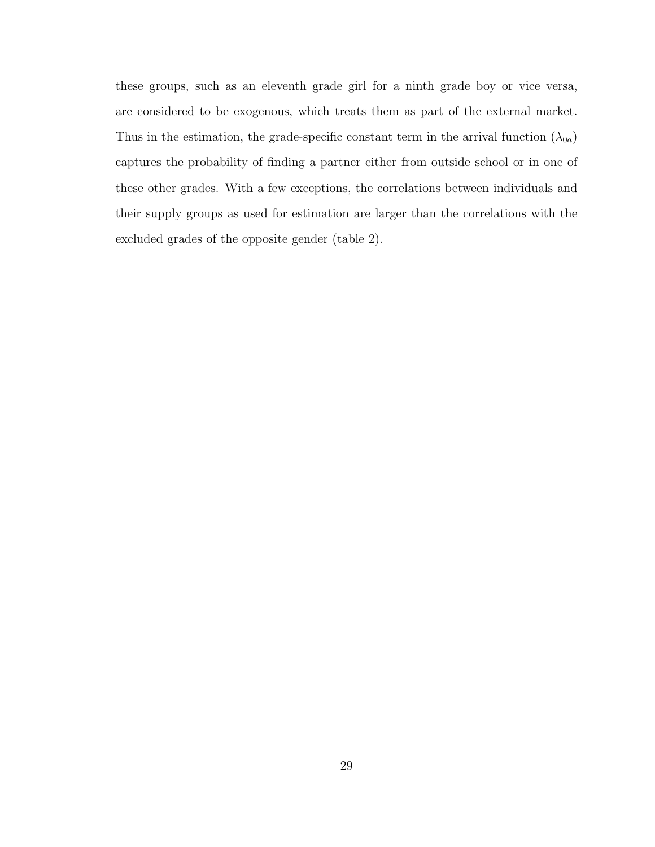these groups, such as an eleventh grade girl for a ninth grade boy or vice versa, are considered to be exogenous, which treats them as part of the external market. Thus in the estimation, the grade-specific constant term in the arrival function  $(\lambda_{0a})$ captures the probability of finding a partner either from outside school or in one of these other grades. With a few exceptions, the correlations between individuals and their supply groups as used for estimation are larger than the correlations with the excluded grades of the opposite gender (table 2).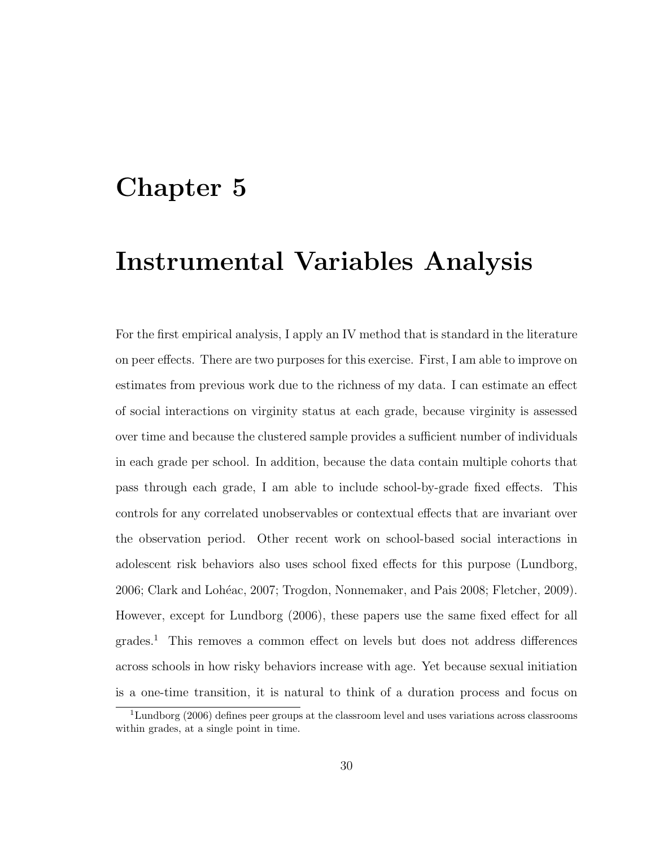## Chapter 5

### Instrumental Variables Analysis

For the first empirical analysis, I apply an IV method that is standard in the literature on peer effects. There are two purposes for this exercise. First, I am able to improve on estimates from previous work due to the richness of my data. I can estimate an effect of social interactions on virginity status at each grade, because virginity is assessed over time and because the clustered sample provides a sufficient number of individuals in each grade per school. In addition, because the data contain multiple cohorts that pass through each grade, I am able to include school-by-grade fixed effects. This controls for any correlated unobservables or contextual effects that are invariant over the observation period. Other recent work on school-based social interactions in adolescent risk behaviors also uses school fixed effects for this purpose (Lundborg, 2006; Clark and Lohéac, 2007; Trogdon, Nonnemaker, and Pais 2008; Fletcher, 2009). However, except for Lundborg (2006), these papers use the same fixed effect for all grades.<sup>1</sup> This removes a common effect on levels but does not address differences across schools in how risky behaviors increase with age. Yet because sexual initiation is a one-time transition, it is natural to think of a duration process and focus on

<sup>1</sup>Lundborg (2006) defines peer groups at the classroom level and uses variations across classrooms within grades, at a single point in time.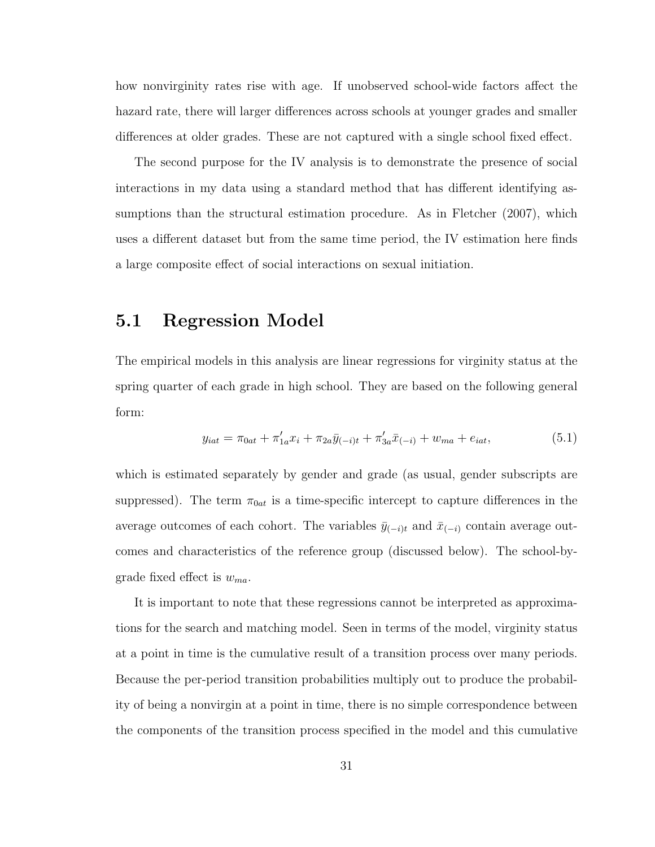how nonvirginity rates rise with age. If unobserved school-wide factors affect the hazard rate, there will larger differences across schools at younger grades and smaller differences at older grades. These are not captured with a single school fixed effect.

The second purpose for the IV analysis is to demonstrate the presence of social interactions in my data using a standard method that has different identifying assumptions than the structural estimation procedure. As in Fletcher (2007), which uses a different dataset but from the same time period, the IV estimation here finds a large composite effect of social interactions on sexual initiation.

#### 5.1 Regression Model

The empirical models in this analysis are linear regressions for virginity status at the spring quarter of each grade in high school. They are based on the following general form:

$$
y_{iat} = \pi_{0at} + \pi'_{1a}x_i + \pi_{2a}\bar{y}_{(-i)t} + \pi'_{3a}\bar{x}_{(-i)} + w_{ma} + e_{iat},
$$
\n(5.1)

which is estimated separately by gender and grade (as usual, gender subscripts are suppressed). The term  $\pi_{0at}$  is a time-specific intercept to capture differences in the average outcomes of each cohort. The variables  $\bar{y}_{(-i)t}$  and  $\bar{x}_{(-i)}$  contain average outcomes and characteristics of the reference group (discussed below). The school-bygrade fixed effect is  $w_{ma}$ .

It is important to note that these regressions cannot be interpreted as approximations for the search and matching model. Seen in terms of the model, virginity status at a point in time is the cumulative result of a transition process over many periods. Because the per-period transition probabilities multiply out to produce the probability of being a nonvirgin at a point in time, there is no simple correspondence between the components of the transition process specified in the model and this cumulative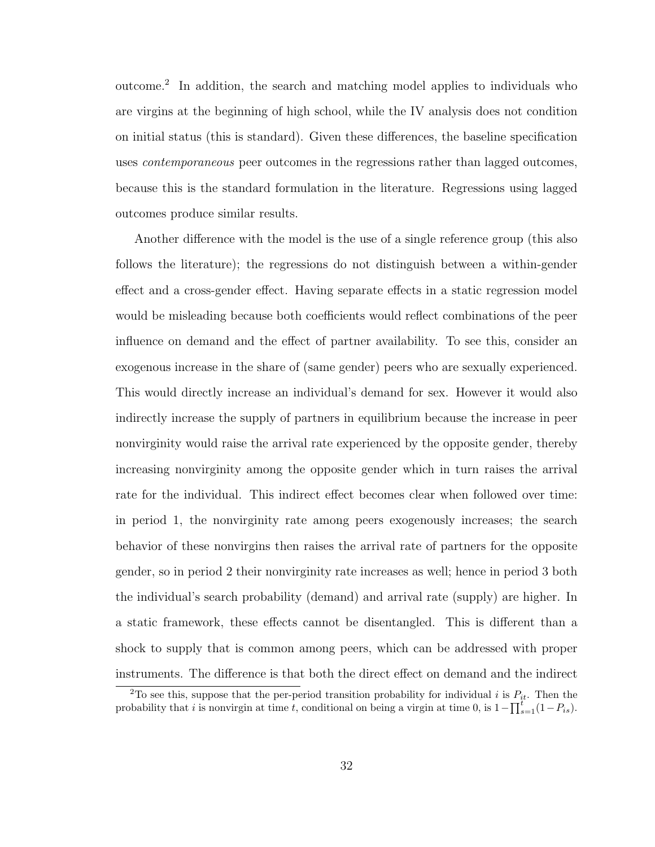outcome.<sup>2</sup> In addition, the search and matching model applies to individuals who are virgins at the beginning of high school, while the IV analysis does not condition on initial status (this is standard). Given these differences, the baseline specification uses *contemporaneous* peer outcomes in the regressions rather than lagged outcomes, because this is the standard formulation in the literature. Regressions using lagged outcomes produce similar results.

Another difference with the model is the use of a single reference group (this also follows the literature); the regressions do not distinguish between a within-gender effect and a cross-gender effect. Having separate effects in a static regression model would be misleading because both coefficients would reflect combinations of the peer influence on demand and the effect of partner availability. To see this, consider an exogenous increase in the share of (same gender) peers who are sexually experienced. This would directly increase an individual's demand for sex. However it would also indirectly increase the supply of partners in equilibrium because the increase in peer nonvirginity would raise the arrival rate experienced by the opposite gender, thereby increasing nonvirginity among the opposite gender which in turn raises the arrival rate for the individual. This indirect effect becomes clear when followed over time: in period 1, the nonvirginity rate among peers exogenously increases; the search behavior of these nonvirgins then raises the arrival rate of partners for the opposite gender, so in period 2 their nonvirginity rate increases as well; hence in period 3 both the individual's search probability (demand) and arrival rate (supply) are higher. In a static framework, these effects cannot be disentangled. This is different than a shock to supply that is common among peers, which can be addressed with proper instruments. The difference is that both the direct effect on demand and the indirect

<sup>&</sup>lt;sup>2</sup>To see this, suppose that the per-period transition probability for individual i is  $P_{it}$ . Then the probability that i is nonvirgin at time t, conditional on being a virgin at time 0, is  $1 - \prod_{s=1}^{t} (1 - P_{is})$ .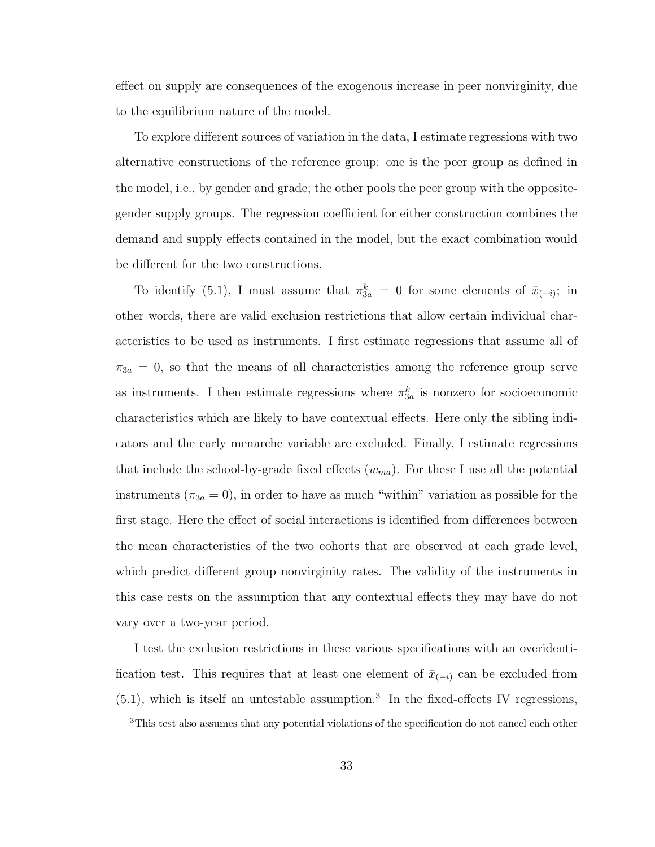effect on supply are consequences of the exogenous increase in peer nonvirginity, due to the equilibrium nature of the model.

To explore different sources of variation in the data, I estimate regressions with two alternative constructions of the reference group: one is the peer group as defined in the model, i.e., by gender and grade; the other pools the peer group with the oppositegender supply groups. The regression coefficient for either construction combines the demand and supply effects contained in the model, but the exact combination would be different for the two constructions.

To identify (5.1), I must assume that  $\pi_{3a}^k = 0$  for some elements of  $\bar{x}_{(-i)}$ ; in other words, there are valid exclusion restrictions that allow certain individual characteristics to be used as instruments. I first estimate regressions that assume all of  $\pi_{3a} = 0$ , so that the means of all characteristics among the reference group serve as instruments. I then estimate regressions where  $\pi_{3a}^k$  is nonzero for socioeconomic characteristics which are likely to have contextual effects. Here only the sibling indicators and the early menarche variable are excluded. Finally, I estimate regressions that include the school-by-grade fixed effects  $(w_{ma})$ . For these I use all the potential instruments ( $\pi_{3a} = 0$ ), in order to have as much "within" variation as possible for the first stage. Here the effect of social interactions is identified from differences between the mean characteristics of the two cohorts that are observed at each grade level, which predict different group nonvirginity rates. The validity of the instruments in this case rests on the assumption that any contextual effects they may have do not vary over a two-year period.

I test the exclusion restrictions in these various specifications with an overidentification test. This requires that at least one element of  $\bar{x}_{(-i)}$  can be excluded from  $(5.1)$ , which is itself an untestable assumption.<sup>3</sup> In the fixed-effects IV regressions,

<sup>&</sup>lt;sup>3</sup>This test also assumes that any potential violations of the specification do not cancel each other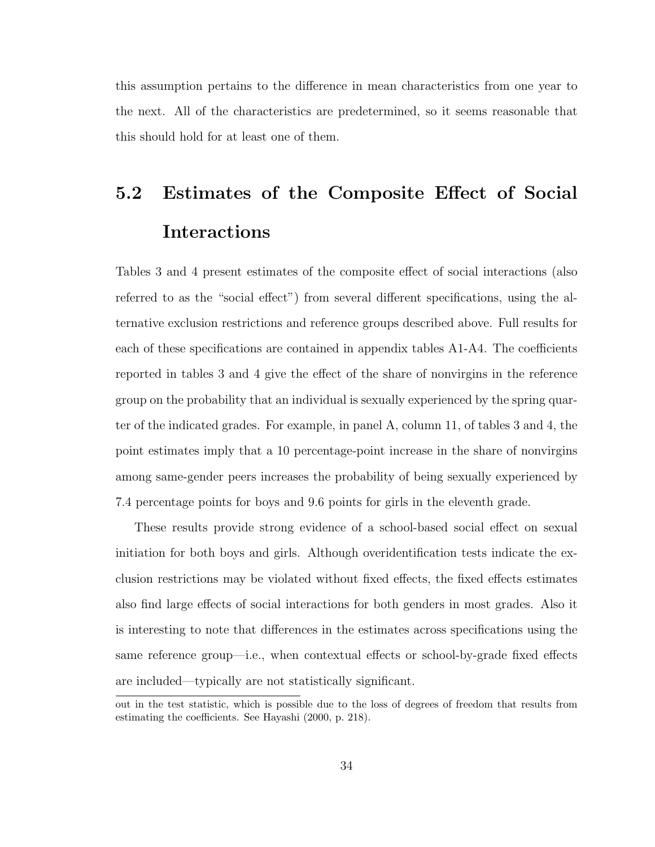this assumption pertains to the difference in mean characteristics from one year to the next. All of the characteristics are predetermined, so it seems reasonable that this should hold for at least one of them.

## 5.2 Estimates of the Composite Effect of Social Interactions

Tables 3 and 4 present estimates of the composite effect of social interactions (also referred to as the "social effect") from several different specifications, using the alternative exclusion restrictions and reference groups described above. Full results for each of these specifications are contained in appendix tables A1-A4. The coefficients reported in tables 3 and 4 give the effect of the share of nonvirgins in the reference group on the probability that an individual is sexually experienced by the spring quarter of the indicated grades. For example, in panel A, column 11, of tables 3 and 4, the point estimates imply that a 10 percentage-point increase in the share of nonvirgins among same-gender peers increases the probability of being sexually experienced by 7.4 percentage points for boys and 9.6 points for girls in the eleventh grade.

These results provide strong evidence of a school-based social effect on sexual initiation for both boys and girls. Although overidentification tests indicate the exclusion restrictions may be violated without fixed effects, the fixed effects estimates also find large effects of social interactions for both genders in most grades. Also it is interesting to note that differences in the estimates across specifications using the same reference group—i.e., when contextual effects or school-by-grade fixed effects are included—typically are not statistically significant.

out in the test statistic, which is possible due to the loss of degrees of freedom that results from estimating the coefficients. See Hayashi (2000, p. 218).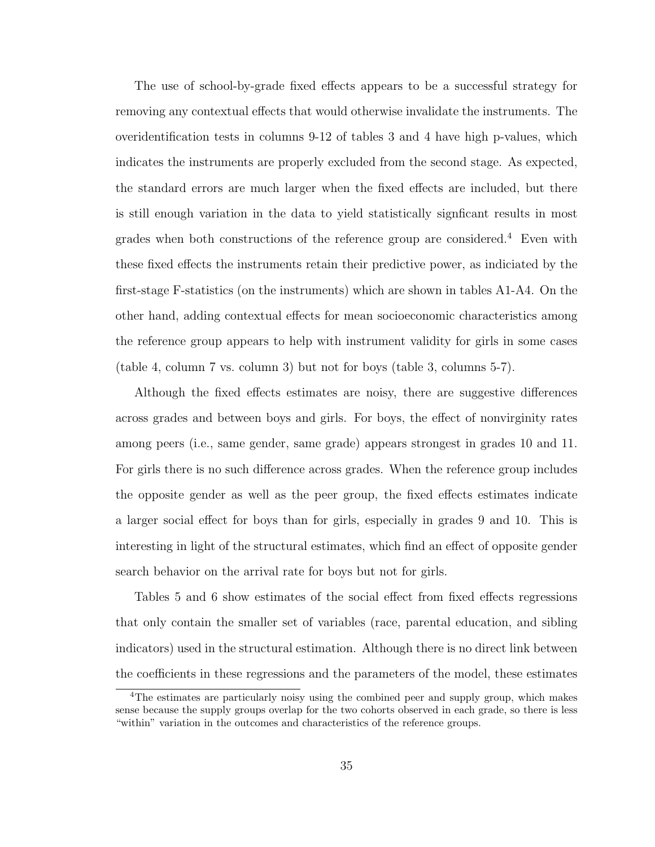The use of school-by-grade fixed effects appears to be a successful strategy for removing any contextual effects that would otherwise invalidate the instruments. The overidentification tests in columns 9-12 of tables 3 and 4 have high p-values, which indicates the instruments are properly excluded from the second stage. As expected, the standard errors are much larger when the fixed effects are included, but there is still enough variation in the data to yield statistically signficant results in most grades when both constructions of the reference group are considered.<sup>4</sup> Even with these fixed effects the instruments retain their predictive power, as indiciated by the first-stage F-statistics (on the instruments) which are shown in tables A1-A4. On the other hand, adding contextual effects for mean socioeconomic characteristics among the reference group appears to help with instrument validity for girls in some cases (table 4, column 7 vs. column 3) but not for boys (table 3, columns 5-7).

Although the fixed effects estimates are noisy, there are suggestive differences across grades and between boys and girls. For boys, the effect of nonvirginity rates among peers (i.e., same gender, same grade) appears strongest in grades 10 and 11. For girls there is no such difference across grades. When the reference group includes the opposite gender as well as the peer group, the fixed effects estimates indicate a larger social effect for boys than for girls, especially in grades 9 and 10. This is interesting in light of the structural estimates, which find an effect of opposite gender search behavior on the arrival rate for boys but not for girls.

Tables 5 and 6 show estimates of the social effect from fixed effects regressions that only contain the smaller set of variables (race, parental education, and sibling indicators) used in the structural estimation. Although there is no direct link between the coefficients in these regressions and the parameters of the model, these estimates

<sup>4</sup>The estimates are particularly noisy using the combined peer and supply group, which makes sense because the supply groups overlap for the two cohorts observed in each grade, so there is less "within" variation in the outcomes and characteristics of the reference groups.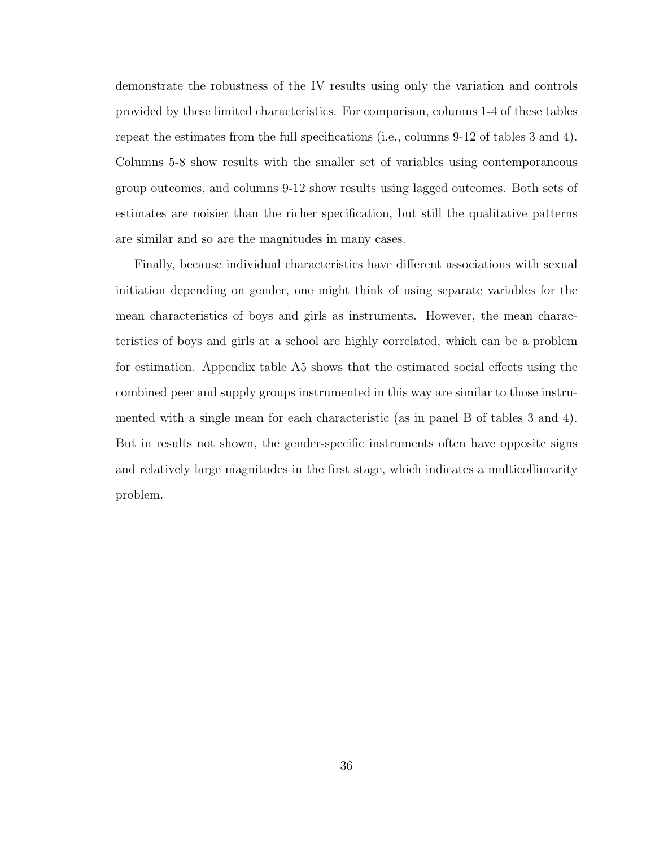demonstrate the robustness of the IV results using only the variation and controls provided by these limited characteristics. For comparison, columns 1-4 of these tables repeat the estimates from the full specifications (i.e., columns 9-12 of tables 3 and 4). Columns 5-8 show results with the smaller set of variables using contemporaneous group outcomes, and columns 9-12 show results using lagged outcomes. Both sets of estimates are noisier than the richer specification, but still the qualitative patterns are similar and so are the magnitudes in many cases.

Finally, because individual characteristics have different associations with sexual initiation depending on gender, one might think of using separate variables for the mean characteristics of boys and girls as instruments. However, the mean characteristics of boys and girls at a school are highly correlated, which can be a problem for estimation. Appendix table A5 shows that the estimated social effects using the combined peer and supply groups instrumented in this way are similar to those instrumented with a single mean for each characteristic (as in panel B of tables 3 and 4). But in results not shown, the gender-specific instruments often have opposite signs and relatively large magnitudes in the first stage, which indicates a multicollinearity problem.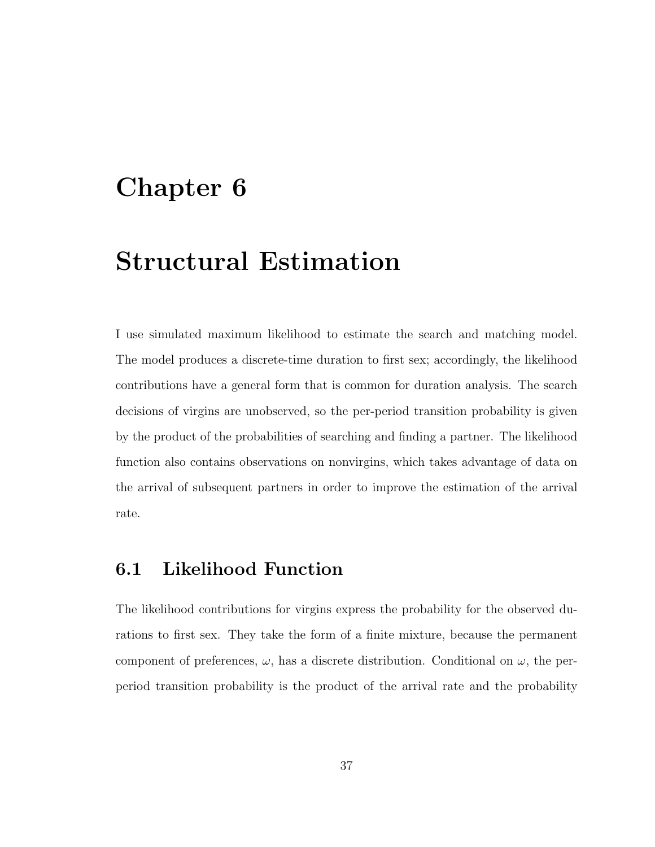## Chapter 6

## Structural Estimation

I use simulated maximum likelihood to estimate the search and matching model. The model produces a discrete-time duration to first sex; accordingly, the likelihood contributions have a general form that is common for duration analysis. The search decisions of virgins are unobserved, so the per-period transition probability is given by the product of the probabilities of searching and finding a partner. The likelihood function also contains observations on nonvirgins, which takes advantage of data on the arrival of subsequent partners in order to improve the estimation of the arrival rate.

#### 6.1 Likelihood Function

The likelihood contributions for virgins express the probability for the observed durations to first sex. They take the form of a finite mixture, because the permanent component of preferences,  $\omega$ , has a discrete distribution. Conditional on  $\omega$ , the perperiod transition probability is the product of the arrival rate and the probability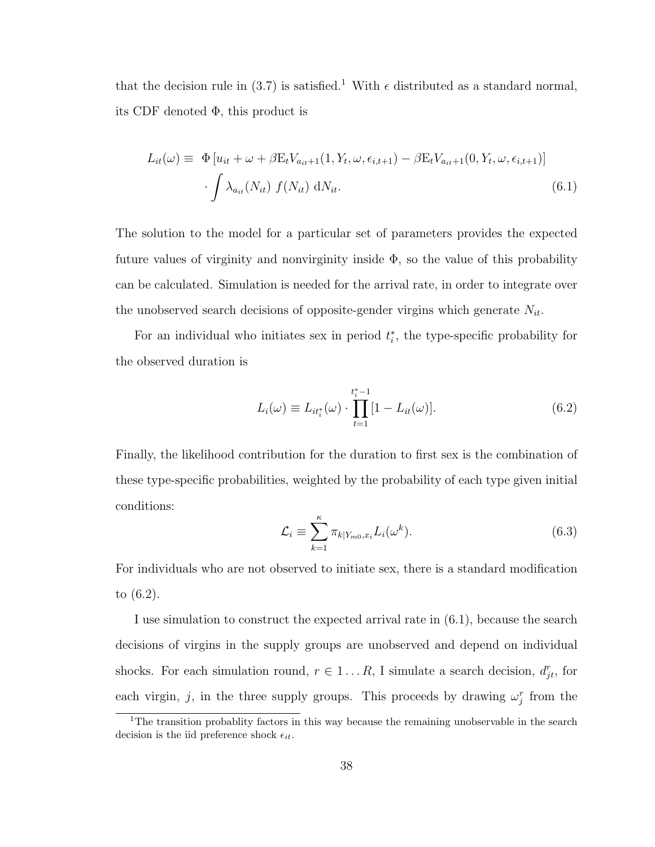that the decision rule in (3.7) is satisfied.<sup>1</sup> With  $\epsilon$  distributed as a standard normal, its CDF denoted  $\Phi$ , this product is

$$
L_{it}(\omega) \equiv \Phi[u_{it} + \omega + \beta E_t V_{a_{it}+1}(1, Y_t, \omega, \epsilon_{i,t+1}) - \beta E_t V_{a_{it}+1}(0, Y_t, \omega, \epsilon_{i,t+1})]
$$

$$
\cdot \int \lambda_{a_{it}}(N_{it}) f(N_{it}) dN_{it}.
$$
(6.1)

The solution to the model for a particular set of parameters provides the expected future values of virginity and nonvirginity inside  $\Phi$ , so the value of this probability can be calculated. Simulation is needed for the arrival rate, in order to integrate over the unobserved search decisions of opposite-gender virgins which generate  $N_{it}$ .

For an individual who initiates sex in period  $t_i^*$ , the type-specific probability for the observed duration is

$$
L_i(\omega) \equiv L_{it_i^*}(\omega) \cdot \prod_{t=1}^{t_i^*-1} [1 - L_{it}(\omega)].
$$
\n(6.2)

Finally, the likelihood contribution for the duration to first sex is the combination of these type-specific probabilities, weighted by the probability of each type given initial conditions:

$$
\mathcal{L}_i \equiv \sum_{k=1}^{\kappa} \pi_{k|Y_{m0}, x_i} L_i(\omega^k). \tag{6.3}
$$

For individuals who are not observed to initiate sex, there is a standard modification to (6.2).

I use simulation to construct the expected arrival rate in (6.1), because the search decisions of virgins in the supply groups are unobserved and depend on individual shocks. For each simulation round,  $r \in 1...R$ , I simulate a search decision,  $d_{jt}^r$ , for each virgin, j, in the three supply groups. This proceeds by drawing  $\omega_j^r$  from the

<sup>&</sup>lt;sup>1</sup>The transition probablity factors in this way because the remaining unobservable in the search decision is the iid preference shock  $\epsilon_{it}$ .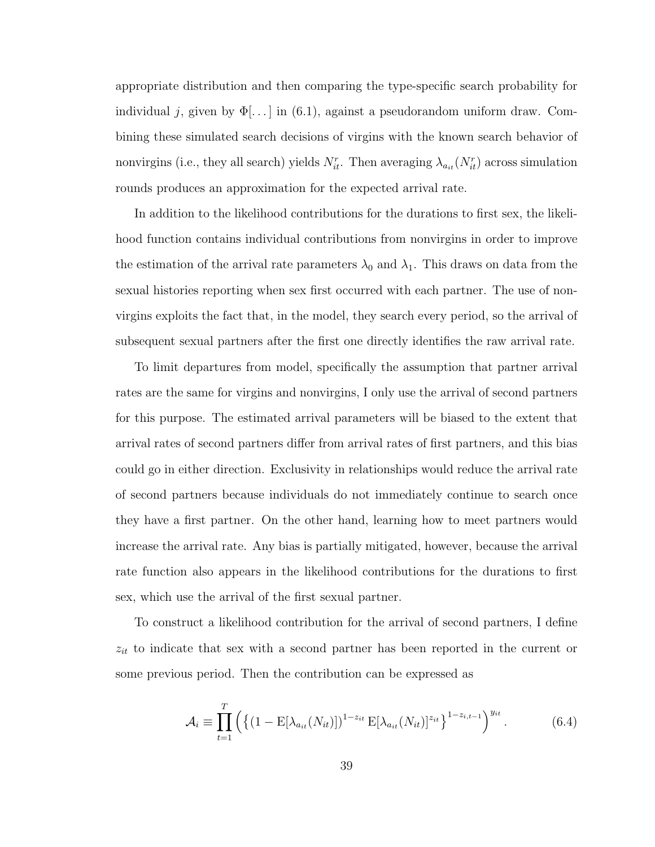appropriate distribution and then comparing the type-specific search probability for individual j, given by  $\Phi[\ldots]$  in (6.1), against a pseudorandom uniform draw. Combining these simulated search decisions of virgins with the known search behavior of nonvirgins (i.e., they all search) yields  $N_{it}^r$ . Then averaging  $\lambda_{a_{it}}(N_{it}^r)$  across simulation rounds produces an approximation for the expected arrival rate.

In addition to the likelihood contributions for the durations to first sex, the likelihood function contains individual contributions from nonvirgins in order to improve the estimation of the arrival rate parameters  $\lambda_0$  and  $\lambda_1$ . This draws on data from the sexual histories reporting when sex first occurred with each partner. The use of nonvirgins exploits the fact that, in the model, they search every period, so the arrival of subsequent sexual partners after the first one directly identifies the raw arrival rate.

To limit departures from model, specifically the assumption that partner arrival rates are the same for virgins and nonvirgins, I only use the arrival of second partners for this purpose. The estimated arrival parameters will be biased to the extent that arrival rates of second partners differ from arrival rates of first partners, and this bias could go in either direction. Exclusivity in relationships would reduce the arrival rate of second partners because individuals do not immediately continue to search once they have a first partner. On the other hand, learning how to meet partners would increase the arrival rate. Any bias is partially mitigated, however, because the arrival rate function also appears in the likelihood contributions for the durations to first sex, which use the arrival of the first sexual partner.

To construct a likelihood contribution for the arrival of second partners, I define  $z_{it}$  to indicate that sex with a second partner has been reported in the current or some previous period. Then the contribution can be expressed as

$$
\mathcal{A}_{i} \equiv \prod_{t=1}^{T} \left( \left\{ (1 - \mathbb{E}[\lambda_{a_{it}}(N_{it})])^{1 - z_{it}} \mathbb{E}[\lambda_{a_{it}}(N_{it})]^{z_{it}} \right\}^{1 - z_{i,t-1}} \right)^{y_{it}}.
$$
(6.4)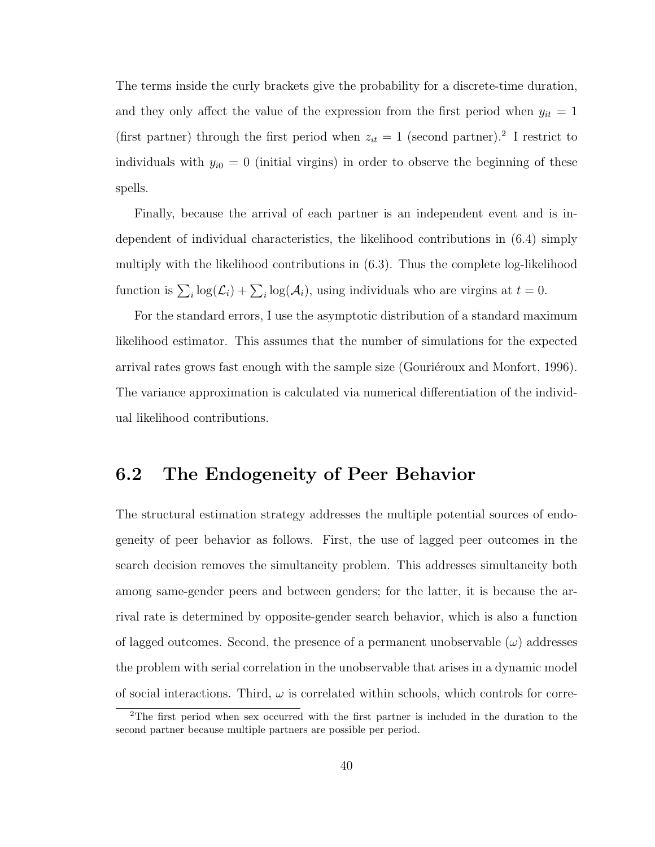The terms inside the curly brackets give the probability for a discrete-time duration, and they only affect the value of the expression from the first period when  $y_{it} = 1$ (first partner) through the first period when  $z_{it} = 1$  (second partner).<sup>2</sup> I restrict to individuals with  $y_{i0} = 0$  (initial virgins) in order to observe the beginning of these spells.

Finally, because the arrival of each partner is an independent event and is independent of individual characteristics, the likelihood contributions in (6.4) simply multiply with the likelihood contributions in (6.3). Thus the complete log-likelihood function is  $\sum_i \log(\mathcal{L}_i) + \sum_i \log(\mathcal{A}_i)$ , using individuals who are virgins at  $t = 0$ .

For the standard errors, I use the asymptotic distribution of a standard maximum likelihood estimator. This assumes that the number of simulations for the expected arrival rates grows fast enough with the sample size (Gouriéroux and Monfort, 1996). The variance approximation is calculated via numerical differentiation of the individual likelihood contributions.

#### 6.2 The Endogeneity of Peer Behavior

The structural estimation strategy addresses the multiple potential sources of endogeneity of peer behavior as follows. First, the use of lagged peer outcomes in the search decision removes the simultaneity problem. This addresses simultaneity both among same-gender peers and between genders; for the latter, it is because the arrival rate is determined by opposite-gender search behavior, which is also a function of lagged outcomes. Second, the presence of a permanent unobservable  $(\omega)$  addresses the problem with serial correlation in the unobservable that arises in a dynamic model of social interactions. Third,  $\omega$  is correlated within schools, which controls for corre-

<sup>&</sup>lt;sup>2</sup>The first period when sex occurred with the first partner is included in the duration to the second partner because multiple partners are possible per period.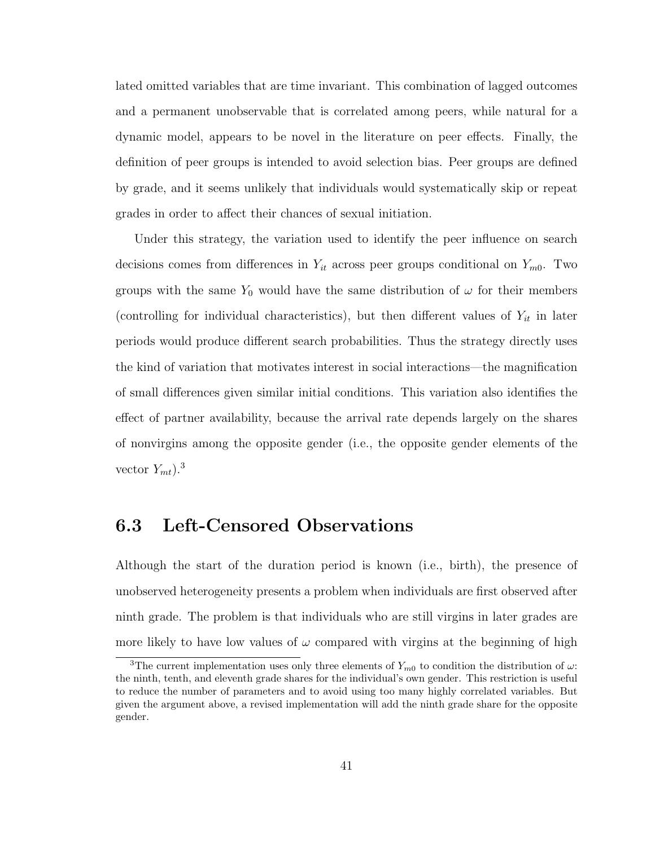lated omitted variables that are time invariant. This combination of lagged outcomes and a permanent unobservable that is correlated among peers, while natural for a dynamic model, appears to be novel in the literature on peer effects. Finally, the definition of peer groups is intended to avoid selection bias. Peer groups are defined by grade, and it seems unlikely that individuals would systematically skip or repeat grades in order to affect their chances of sexual initiation.

Under this strategy, the variation used to identify the peer influence on search decisions comes from differences in  $Y_{it}$  across peer groups conditional on  $Y_{m0}$ . Two groups with the same Y<sub>0</sub> would have the same distribution of  $\omega$  for their members (controlling for individual characteristics), but then different values of  $Y_{it}$  in later periods would produce different search probabilities. Thus the strategy directly uses the kind of variation that motivates interest in social interactions—the magnification of small differences given similar initial conditions. This variation also identifies the effect of partner availability, because the arrival rate depends largely on the shares of nonvirgins among the opposite gender (i.e., the opposite gender elements of the vector  $Y_{mt}$ ).<sup>3</sup>

#### 6.3 Left-Censored Observations

Although the start of the duration period is known (i.e., birth), the presence of unobserved heterogeneity presents a problem when individuals are first observed after ninth grade. The problem is that individuals who are still virgins in later grades are more likely to have low values of  $\omega$  compared with virgins at the beginning of high

<sup>&</sup>lt;sup>3</sup>The current implementation uses only three elements of  $Y_{m0}$  to condition the distribution of  $\omega$ : the ninth, tenth, and eleventh grade shares for the individual's own gender. This restriction is useful to reduce the number of parameters and to avoid using too many highly correlated variables. But given the argument above, a revised implementation will add the ninth grade share for the opposite gender.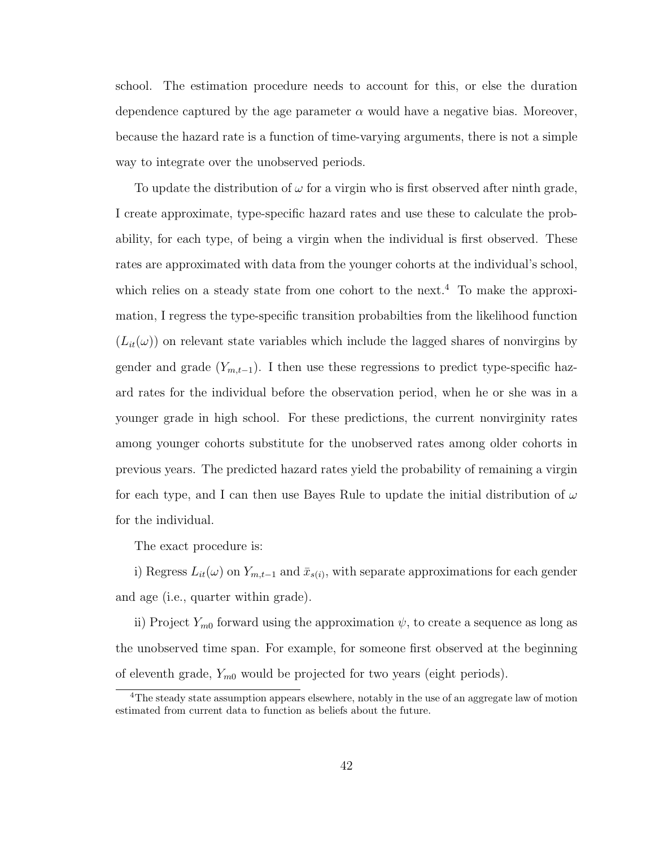school. The estimation procedure needs to account for this, or else the duration dependence captured by the age parameter  $\alpha$  would have a negative bias. Moreover, because the hazard rate is a function of time-varying arguments, there is not a simple way to integrate over the unobserved periods.

To update the distribution of  $\omega$  for a virgin who is first observed after ninth grade, I create approximate, type-specific hazard rates and use these to calculate the probability, for each type, of being a virgin when the individual is first observed. These rates are approximated with data from the younger cohorts at the individual's school, which relies on a steady state from one cohort to the next.<sup>4</sup> To make the approximation, I regress the type-specific transition probabilties from the likelihood function  $(L_{it}(\omega))$  on relevant state variables which include the lagged shares of nonvirgins by gender and grade  $(Y_{m,t-1})$ . I then use these regressions to predict type-specific hazard rates for the individual before the observation period, when he or she was in a younger grade in high school. For these predictions, the current nonvirginity rates among younger cohorts substitute for the unobserved rates among older cohorts in previous years. The predicted hazard rates yield the probability of remaining a virgin for each type, and I can then use Bayes Rule to update the initial distribution of  $\omega$ for the individual.

The exact procedure is:

i) Regress  $L_{it}(\omega)$  on  $Y_{m,t-1}$  and  $\bar{x}_{s(i)}$ , with separate approximations for each gender and age (i.e., quarter within grade).

ii) Project  $Y_{m0}$  forward using the approximation  $\psi$ , to create a sequence as long as the unobserved time span. For example, for someone first observed at the beginning of eleventh grade,  $Y_{m0}$  would be projected for two years (eight periods).

<sup>4</sup>The steady state assumption appears elsewhere, notably in the use of an aggregate law of motion estimated from current data to function as beliefs about the future.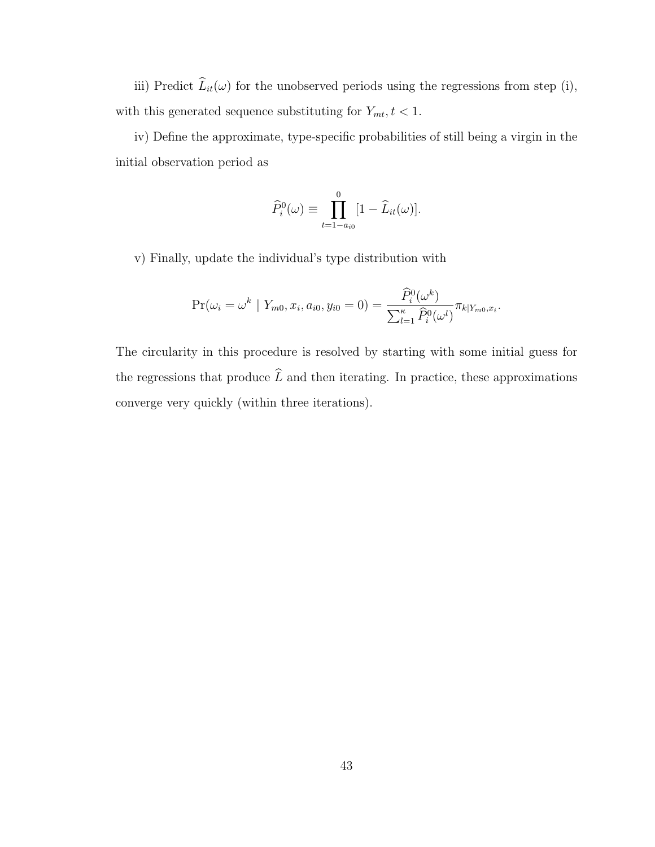iii) Predict  $\widehat{L}_{it}(\omega)$  for the unobserved periods using the regressions from step (i), with this generated sequence substituting for  $Y_{mt}$ ,  $t < 1$ .

iv) Define the approximate, type-specific probabilities of still being a virgin in the initial observation period as

$$
\widehat{P}_i^0(\omega) \equiv \prod_{t=1-a_{i0}}^0 [1 - \widehat{L}_{it}(\omega)].
$$

v) Finally, update the individual's type distribution with

$$
\Pr(\omega_i = \omega^k \mid Y_{m0}, x_i, a_{i0}, y_{i0} = 0) = \frac{\widehat{P}_i^0(\omega^k)}{\sum_{l=1}^{\kappa} \widehat{P}_i^0(\omega^l)} \pi_{k|Y_{m0}, x_i}.
$$

The circularity in this procedure is resolved by starting with some initial guess for the regressions that produce  $\widehat{L}$  and then iterating. In practice, these approximations converge very quickly (within three iterations).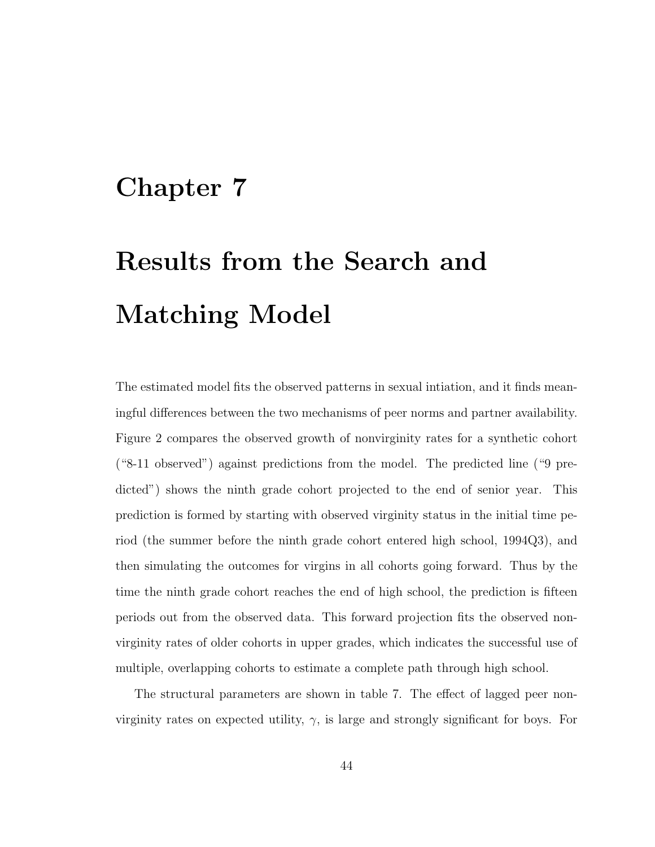## Chapter 7

# Results from the Search and Matching Model

The estimated model fits the observed patterns in sexual intiation, and it finds meaningful differences between the two mechanisms of peer norms and partner availability. Figure 2 compares the observed growth of nonvirginity rates for a synthetic cohort ("8-11 observed") against predictions from the model. The predicted line ("9 predicted") shows the ninth grade cohort projected to the end of senior year. This prediction is formed by starting with observed virginity status in the initial time period (the summer before the ninth grade cohort entered high school, 1994Q3), and then simulating the outcomes for virgins in all cohorts going forward. Thus by the time the ninth grade cohort reaches the end of high school, the prediction is fifteen periods out from the observed data. This forward projection fits the observed nonvirginity rates of older cohorts in upper grades, which indicates the successful use of multiple, overlapping cohorts to estimate a complete path through high school.

The structural parameters are shown in table 7. The effect of lagged peer nonvirginity rates on expected utility,  $\gamma$ , is large and strongly significant for boys. For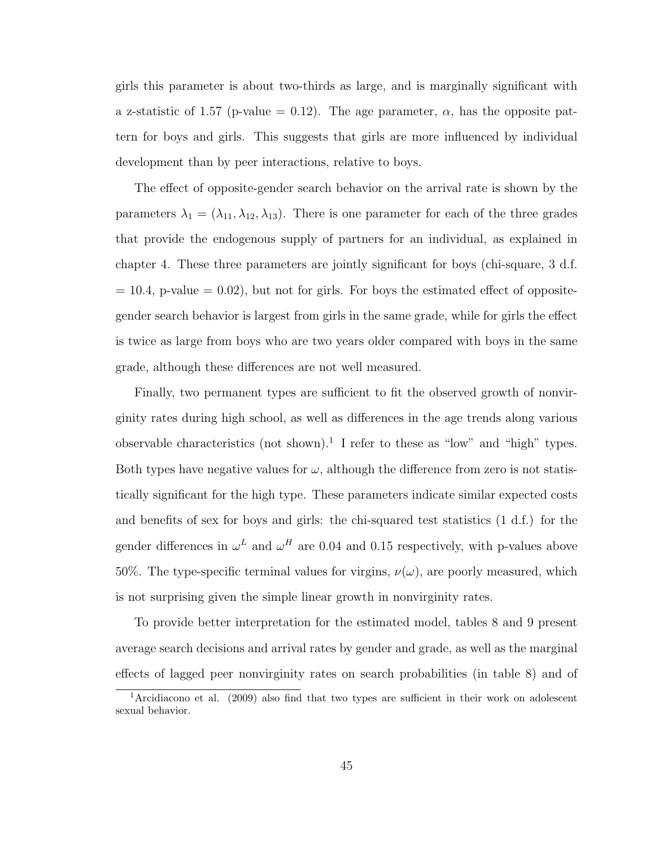girls this parameter is about two-thirds as large, and is marginally significant with a z-statistic of 1.57 (p-value = 0.12). The age parameter,  $\alpha$ , has the opposite pattern for boys and girls. This suggests that girls are more influenced by individual development than by peer interactions, relative to boys.

The effect of opposite-gender search behavior on the arrival rate is shown by the parameters  $\lambda_1 = (\lambda_{11}, \lambda_{12}, \lambda_{13})$ . There is one parameter for each of the three grades that provide the endogenous supply of partners for an individual, as explained in chapter 4. These three parameters are jointly significant for boys (chi-square, 3 d.f.  $= 10.4$ , p-value  $= 0.02$ ), but not for girls. For boys the estimated effect of oppositegender search behavior is largest from girls in the same grade, while for girls the effect is twice as large from boys who are two years older compared with boys in the same grade, although these differences are not well measured.

Finally, two permanent types are sufficient to fit the observed growth of nonvirginity rates during high school, as well as differences in the age trends along various observable characteristics (not shown).<sup>1</sup> I refer to these as "low" and "high" types. Both types have negative values for  $\omega$ , although the difference from zero is not statistically significant for the high type. These parameters indicate similar expected costs and benefits of sex for boys and girls: the chi-squared test statistics (1 d.f.) for the gender differences in  $\omega^L$  and  $\omega^H$  are 0.04 and 0.15 respectively, with p-values above 50%. The type-specific terminal values for virgins,  $\nu(\omega)$ , are poorly measured, which is not surprising given the simple linear growth in nonvirginity rates.

To provide better interpretation for the estimated model, tables 8 and 9 present average search decisions and arrival rates by gender and grade, as well as the marginal effects of lagged peer nonvirginity rates on search probabilities (in table 8) and of

<sup>&</sup>lt;sup>1</sup>Arcidiacono et al. (2009) also find that two types are sufficient in their work on adolescent sexual behavior.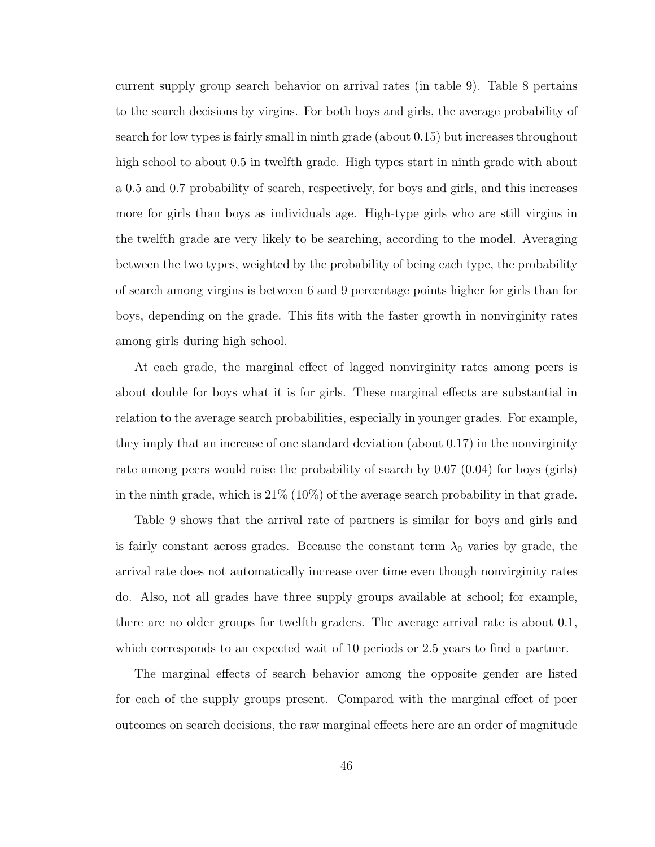current supply group search behavior on arrival rates (in table 9). Table 8 pertains to the search decisions by virgins. For both boys and girls, the average probability of search for low types is fairly small in ninth grade (about 0.15) but increases throughout high school to about 0.5 in twelfth grade. High types start in ninth grade with about a 0.5 and 0.7 probability of search, respectively, for boys and girls, and this increases more for girls than boys as individuals age. High-type girls who are still virgins in the twelfth grade are very likely to be searching, according to the model. Averaging between the two types, weighted by the probability of being each type, the probability of search among virgins is between 6 and 9 percentage points higher for girls than for boys, depending on the grade. This fits with the faster growth in nonvirginity rates among girls during high school.

At each grade, the marginal effect of lagged nonvirginity rates among peers is about double for boys what it is for girls. These marginal effects are substantial in relation to the average search probabilities, especially in younger grades. For example, they imply that an increase of one standard deviation (about 0.17) in the nonvirginity rate among peers would raise the probability of search by 0.07 (0.04) for boys (girls) in the ninth grade, which is  $21\%$  (10%) of the average search probability in that grade.

Table 9 shows that the arrival rate of partners is similar for boys and girls and is fairly constant across grades. Because the constant term  $\lambda_0$  varies by grade, the arrival rate does not automatically increase over time even though nonvirginity rates do. Also, not all grades have three supply groups available at school; for example, there are no older groups for twelfth graders. The average arrival rate is about 0.1, which corresponds to an expected wait of 10 periods or 2.5 years to find a partner.

The marginal effects of search behavior among the opposite gender are listed for each of the supply groups present. Compared with the marginal effect of peer outcomes on search decisions, the raw marginal effects here are an order of magnitude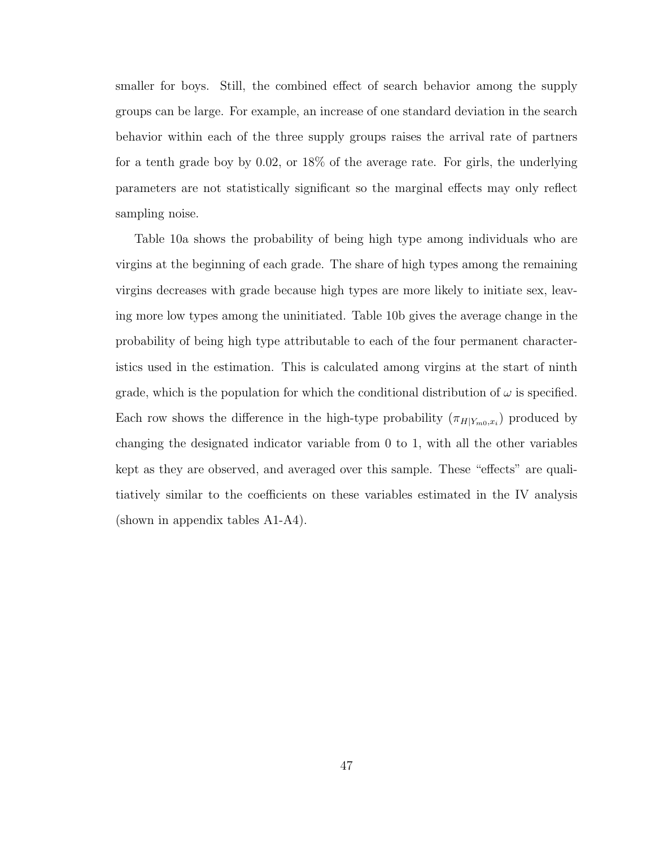smaller for boys. Still, the combined effect of search behavior among the supply groups can be large. For example, an increase of one standard deviation in the search behavior within each of the three supply groups raises the arrival rate of partners for a tenth grade boy by 0.02, or 18% of the average rate. For girls, the underlying parameters are not statistically significant so the marginal effects may only reflect sampling noise.

Table 10a shows the probability of being high type among individuals who are virgins at the beginning of each grade. The share of high types among the remaining virgins decreases with grade because high types are more likely to initiate sex, leaving more low types among the uninitiated. Table 10b gives the average change in the probability of being high type attributable to each of the four permanent characteristics used in the estimation. This is calculated among virgins at the start of ninth grade, which is the population for which the conditional distribution of  $\omega$  is specified. Each row shows the difference in the high-type probability  $(\pi_{H|Y_{m0},x_i})$  produced by changing the designated indicator variable from 0 to 1, with all the other variables kept as they are observed, and averaged over this sample. These "effects" are qualitiatively similar to the coefficients on these variables estimated in the IV analysis (shown in appendix tables A1-A4).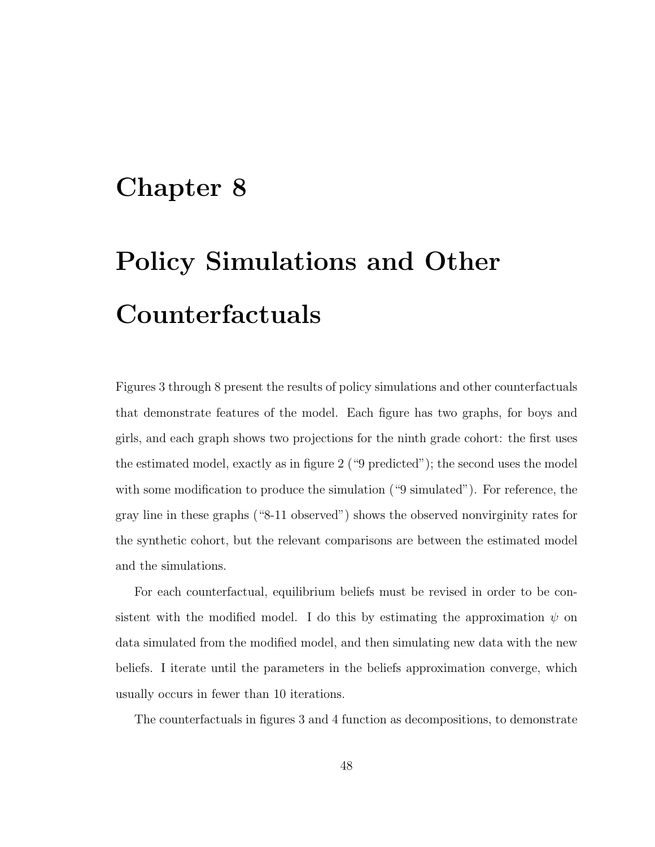## Chapter 8

# Policy Simulations and Other Counterfactuals

Figures 3 through 8 present the results of policy simulations and other counterfactuals that demonstrate features of the model. Each figure has two graphs, for boys and girls, and each graph shows two projections for the ninth grade cohort: the first uses the estimated model, exactly as in figure 2 ("9 predicted"); the second uses the model with some modification to produce the simulation ("9 simulated"). For reference, the gray line in these graphs ("8-11 observed") shows the observed nonvirginity rates for the synthetic cohort, but the relevant comparisons are between the estimated model and the simulations.

For each counterfactual, equilibrium beliefs must be revised in order to be consistent with the modified model. I do this by estimating the approximation  $\psi$  on data simulated from the modified model, and then simulating new data with the new beliefs. I iterate until the parameters in the beliefs approximation converge, which usually occurs in fewer than 10 iterations.

The counterfactuals in figures 3 and 4 function as decompositions, to demonstrate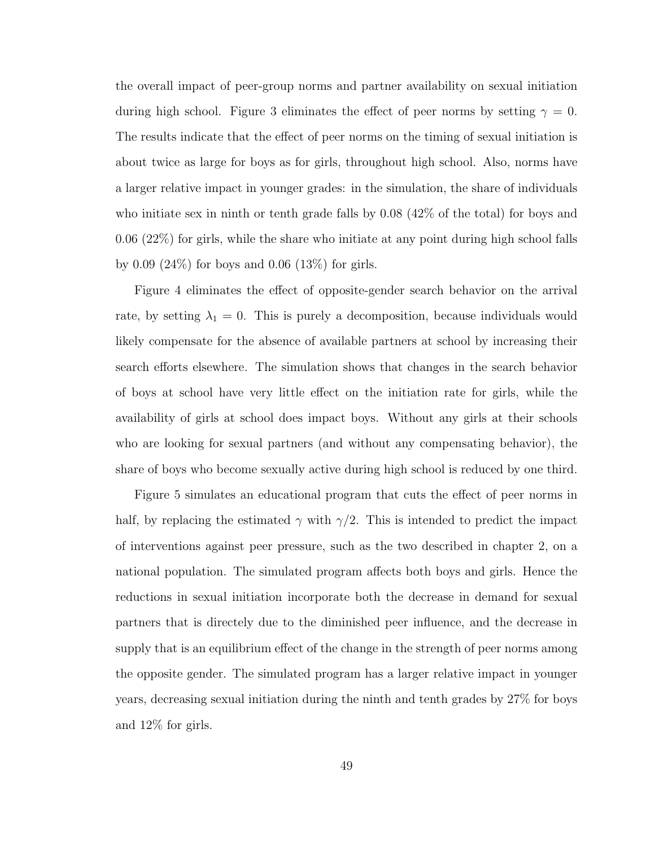the overall impact of peer-group norms and partner availability on sexual initiation during high school. Figure 3 eliminates the effect of peer norms by setting  $\gamma = 0$ . The results indicate that the effect of peer norms on the timing of sexual initiation is about twice as large for boys as for girls, throughout high school. Also, norms have a larger relative impact in younger grades: in the simulation, the share of individuals who initiate sex in ninth or tenth grade falls by 0.08 (42% of the total) for boys and 0.06 (22%) for girls, while the share who initiate at any point during high school falls by 0.09 (24%) for boys and 0.06 (13%) for girls.

Figure 4 eliminates the effect of opposite-gender search behavior on the arrival rate, by setting  $\lambda_1 = 0$ . This is purely a decomposition, because individuals would likely compensate for the absence of available partners at school by increasing their search efforts elsewhere. The simulation shows that changes in the search behavior of boys at school have very little effect on the initiation rate for girls, while the availability of girls at school does impact boys. Without any girls at their schools who are looking for sexual partners (and without any compensating behavior), the share of boys who become sexually active during high school is reduced by one third.

Figure 5 simulates an educational program that cuts the effect of peer norms in half, by replacing the estimated  $\gamma$  with  $\gamma/2$ . This is intended to predict the impact of interventions against peer pressure, such as the two described in chapter 2, on a national population. The simulated program affects both boys and girls. Hence the reductions in sexual initiation incorporate both the decrease in demand for sexual partners that is directely due to the diminished peer influence, and the decrease in supply that is an equilibrium effect of the change in the strength of peer norms among the opposite gender. The simulated program has a larger relative impact in younger years, decreasing sexual initiation during the ninth and tenth grades by 27% for boys and 12% for girls.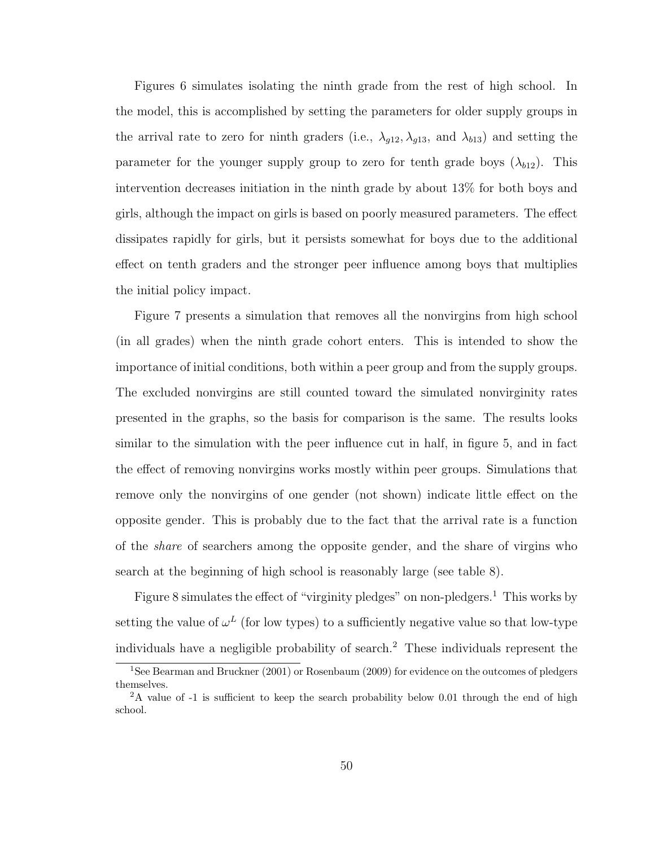Figures 6 simulates isolating the ninth grade from the rest of high school. In the model, this is accomplished by setting the parameters for older supply groups in the arrival rate to zero for ninth graders (i.e.,  $\lambda_{g12}, \lambda_{g13}$ , and  $\lambda_{b13}$ ) and setting the parameter for the younger supply group to zero for tenth grade boys  $(\lambda_{b12})$ . This intervention decreases initiation in the ninth grade by about 13% for both boys and girls, although the impact on girls is based on poorly measured parameters. The effect dissipates rapidly for girls, but it persists somewhat for boys due to the additional effect on tenth graders and the stronger peer influence among boys that multiplies the initial policy impact.

Figure 7 presents a simulation that removes all the nonvirgins from high school (in all grades) when the ninth grade cohort enters. This is intended to show the importance of initial conditions, both within a peer group and from the supply groups. The excluded nonvirgins are still counted toward the simulated nonvirginity rates presented in the graphs, so the basis for comparison is the same. The results looks similar to the simulation with the peer influence cut in half, in figure 5, and in fact the effect of removing nonvirgins works mostly within peer groups. Simulations that remove only the nonvirgins of one gender (not shown) indicate little effect on the opposite gender. This is probably due to the fact that the arrival rate is a function of the share of searchers among the opposite gender, and the share of virgins who search at the beginning of high school is reasonably large (see table 8).

Figure 8 simulates the effect of "virginity pledges" on non-pledgers.<sup>1</sup> This works by setting the value of  $\omega^L$  (for low types) to a sufficiently negative value so that low-type individuals have a negligible probability of search.<sup>2</sup> These individuals represent the

<sup>&</sup>lt;sup>1</sup>See Bearman and Bruckner (2001) or Rosenbaum (2009) for evidence on the outcomes of pledgers themselves.

<sup>&</sup>lt;sup>2</sup>A value of -1 is sufficient to keep the search probability below 0.01 through the end of high school.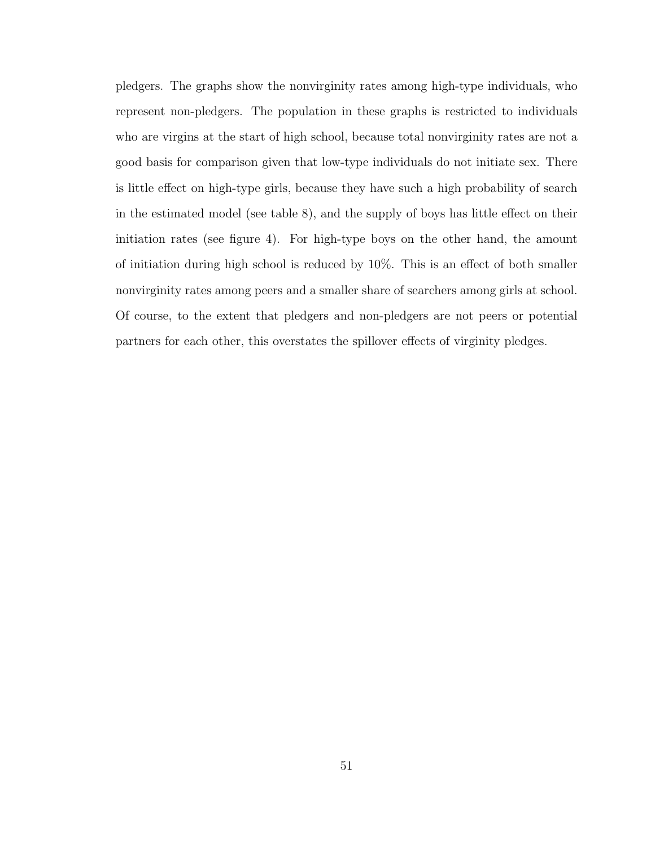pledgers. The graphs show the nonvirginity rates among high-type individuals, who represent non-pledgers. The population in these graphs is restricted to individuals who are virgins at the start of high school, because total nonvirginity rates are not a good basis for comparison given that low-type individuals do not initiate sex. There is little effect on high-type girls, because they have such a high probability of search in the estimated model (see table 8), and the supply of boys has little effect on their initiation rates (see figure 4). For high-type boys on the other hand, the amount of initiation during high school is reduced by 10%. This is an effect of both smaller nonvirginity rates among peers and a smaller share of searchers among girls at school. Of course, to the extent that pledgers and non-pledgers are not peers or potential partners for each other, this overstates the spillover effects of virginity pledges.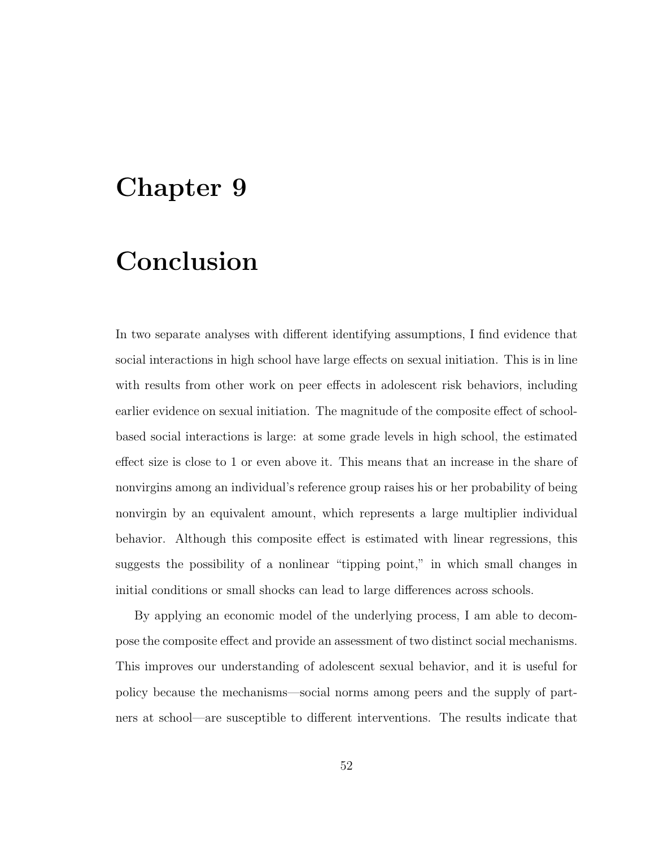## Chapter 9

## Conclusion

In two separate analyses with different identifying assumptions, I find evidence that social interactions in high school have large effects on sexual initiation. This is in line with results from other work on peer effects in adolescent risk behaviors, including earlier evidence on sexual initiation. The magnitude of the composite effect of schoolbased social interactions is large: at some grade levels in high school, the estimated effect size is close to 1 or even above it. This means that an increase in the share of nonvirgins among an individual's reference group raises his or her probability of being nonvirgin by an equivalent amount, which represents a large multiplier individual behavior. Although this composite effect is estimated with linear regressions, this suggests the possibility of a nonlinear "tipping point," in which small changes in initial conditions or small shocks can lead to large differences across schools.

By applying an economic model of the underlying process, I am able to decompose the composite effect and provide an assessment of two distinct social mechanisms. This improves our understanding of adolescent sexual behavior, and it is useful for policy because the mechanisms—social norms among peers and the supply of partners at school—are susceptible to different interventions. The results indicate that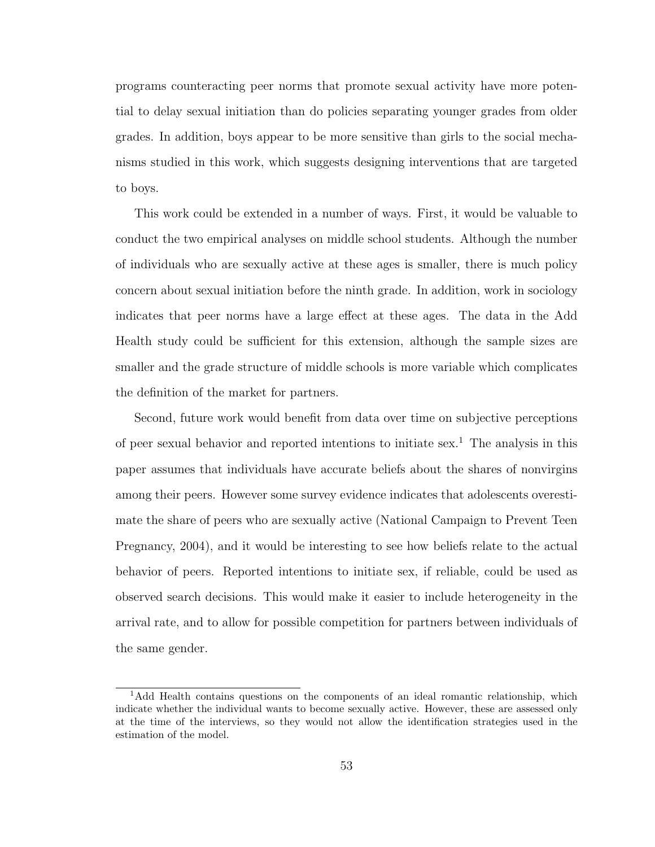programs counteracting peer norms that promote sexual activity have more potential to delay sexual initiation than do policies separating younger grades from older grades. In addition, boys appear to be more sensitive than girls to the social mechanisms studied in this work, which suggests designing interventions that are targeted to boys.

This work could be extended in a number of ways. First, it would be valuable to conduct the two empirical analyses on middle school students. Although the number of individuals who are sexually active at these ages is smaller, there is much policy concern about sexual initiation before the ninth grade. In addition, work in sociology indicates that peer norms have a large effect at these ages. The data in the Add Health study could be sufficient for this extension, although the sample sizes are smaller and the grade structure of middle schools is more variable which complicates the definition of the market for partners.

Second, future work would benefit from data over time on subjective perceptions of peer sexual behavior and reported intentions to initiate sex.<sup>1</sup> The analysis in this paper assumes that individuals have accurate beliefs about the shares of nonvirgins among their peers. However some survey evidence indicates that adolescents overestimate the share of peers who are sexually active (National Campaign to Prevent Teen Pregnancy, 2004), and it would be interesting to see how beliefs relate to the actual behavior of peers. Reported intentions to initiate sex, if reliable, could be used as observed search decisions. This would make it easier to include heterogeneity in the arrival rate, and to allow for possible competition for partners between individuals of the same gender.

<sup>&</sup>lt;sup>1</sup>Add Health contains questions on the components of an ideal romantic relationship, which indicate whether the individual wants to become sexually active. However, these are assessed only at the time of the interviews, so they would not allow the identification strategies used in the estimation of the model.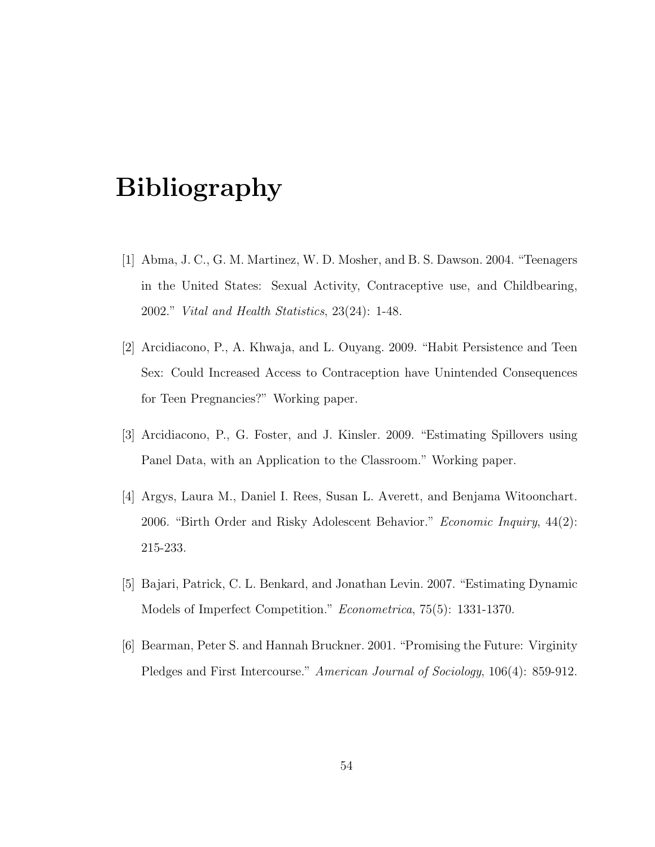## Bibliography

- [1] Abma, J. C., G. M. Martinez, W. D. Mosher, and B. S. Dawson. 2004. "Teenagers in the United States: Sexual Activity, Contraceptive use, and Childbearing, 2002." Vital and Health Statistics, 23(24): 1-48.
- [2] Arcidiacono, P., A. Khwaja, and L. Ouyang. 2009. "Habit Persistence and Teen Sex: Could Increased Access to Contraception have Unintended Consequences for Teen Pregnancies?" Working paper.
- [3] Arcidiacono, P., G. Foster, and J. Kinsler. 2009. "Estimating Spillovers using Panel Data, with an Application to the Classroom." Working paper.
- [4] Argys, Laura M., Daniel I. Rees, Susan L. Averett, and Benjama Witoonchart. 2006. "Birth Order and Risky Adolescent Behavior." Economic Inquiry, 44(2): 215-233.
- [5] Bajari, Patrick, C. L. Benkard, and Jonathan Levin. 2007. "Estimating Dynamic Models of Imperfect Competition." Econometrica, 75(5): 1331-1370.
- [6] Bearman, Peter S. and Hannah Bruckner. 2001. "Promising the Future: Virginity Pledges and First Intercourse." American Journal of Sociology, 106(4): 859-912.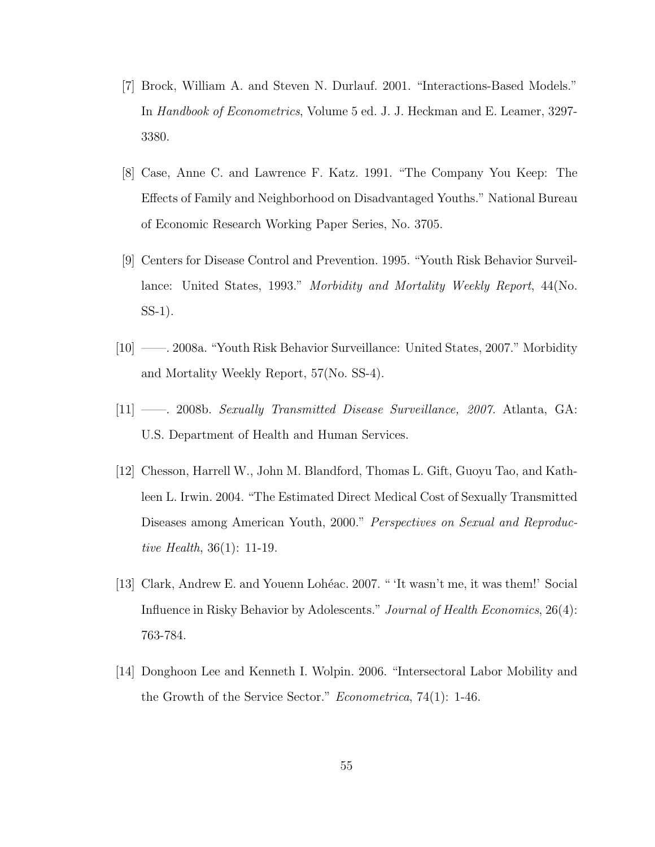- [7] Brock, William A. and Steven N. Durlauf. 2001. "Interactions-Based Models." In Handbook of Econometrics, Volume 5 ed. J. J. Heckman and E. Leamer, 3297- 3380.
- [8] Case, Anne C. and Lawrence F. Katz. 1991. "The Company You Keep: The Effects of Family and Neighborhood on Disadvantaged Youths." National Bureau of Economic Research Working Paper Series, No. 3705.
- [9] Centers for Disease Control and Prevention. 1995. "Youth Risk Behavior Surveillance: United States, 1993." Morbidity and Mortality Weekly Report, 44(No. SS-1).
- [10] ——. 2008a. "Youth Risk Behavior Surveillance: United States, 2007." Morbidity and Mortality Weekly Report, 57(No. SS-4).
- [11] ——. 2008b. Sexually Transmitted Disease Surveillance, 2007. Atlanta, GA: U.S. Department of Health and Human Services.
- [12] Chesson, Harrell W., John M. Blandford, Thomas L. Gift, Guoyu Tao, and Kathleen L. Irwin. 2004. "The Estimated Direct Medical Cost of Sexually Transmitted Diseases among American Youth, 2000." Perspectives on Sexual and Reproductive Health, 36(1): 11-19.
- [13] Clark, Andrew E. and Youenn Lohéac. 2007. " 'It wasn't me, it was them!' Social Influence in Risky Behavior by Adolescents." Journal of Health Economics, 26(4): 763-784.
- [14] Donghoon Lee and Kenneth I. Wolpin. 2006. "Intersectoral Labor Mobility and the Growth of the Service Sector." Econometrica, 74(1): 1-46.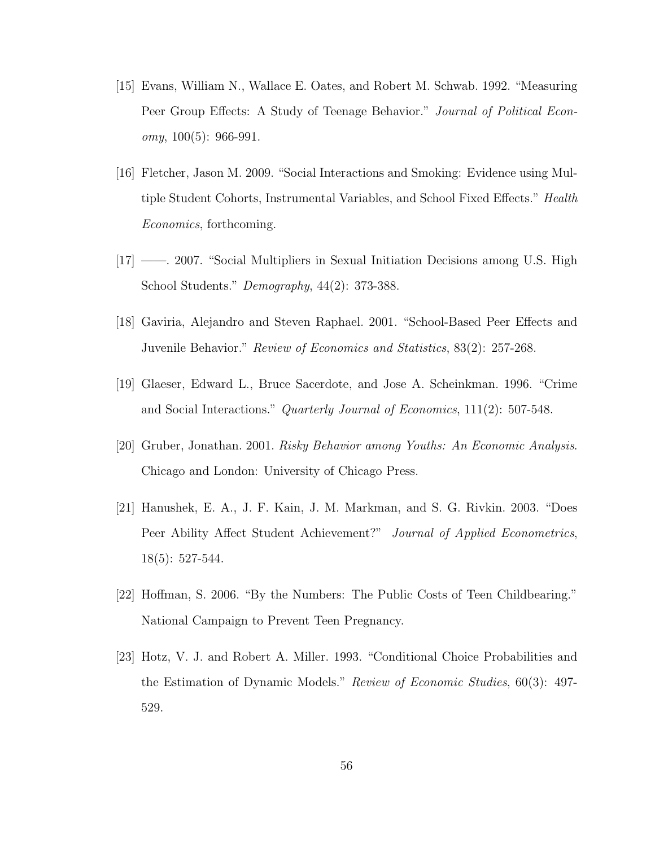- [15] Evans, William N., Wallace E. Oates, and Robert M. Schwab. 1992. "Measuring Peer Group Effects: A Study of Teenage Behavior." Journal of Political Econ*omy*,  $100(5)$ : 966-991.
- [16] Fletcher, Jason M. 2009. "Social Interactions and Smoking: Evidence using Multiple Student Cohorts, Instrumental Variables, and School Fixed Effects." Health Economics, forthcoming.
- [17] ——. 2007. "Social Multipliers in Sexual Initiation Decisions among U.S. High School Students." Demography, 44(2): 373-388.
- [18] Gaviria, Alejandro and Steven Raphael. 2001. "School-Based Peer Effects and Juvenile Behavior." Review of Economics and Statistics, 83(2): 257-268.
- [19] Glaeser, Edward L., Bruce Sacerdote, and Jose A. Scheinkman. 1996. "Crime and Social Interactions." Quarterly Journal of Economics, 111(2): 507-548.
- [20] Gruber, Jonathan. 2001. Risky Behavior among Youths: An Economic Analysis. Chicago and London: University of Chicago Press.
- [21] Hanushek, E. A., J. F. Kain, J. M. Markman, and S. G. Rivkin. 2003. "Does Peer Ability Affect Student Achievement?" Journal of Applied Econometrics, 18(5): 527-544.
- [22] Hoffman, S. 2006. "By the Numbers: The Public Costs of Teen Childbearing." National Campaign to Prevent Teen Pregnancy.
- [23] Hotz, V. J. and Robert A. Miller. 1993. "Conditional Choice Probabilities and the Estimation of Dynamic Models." Review of Economic Studies, 60(3): 497- 529.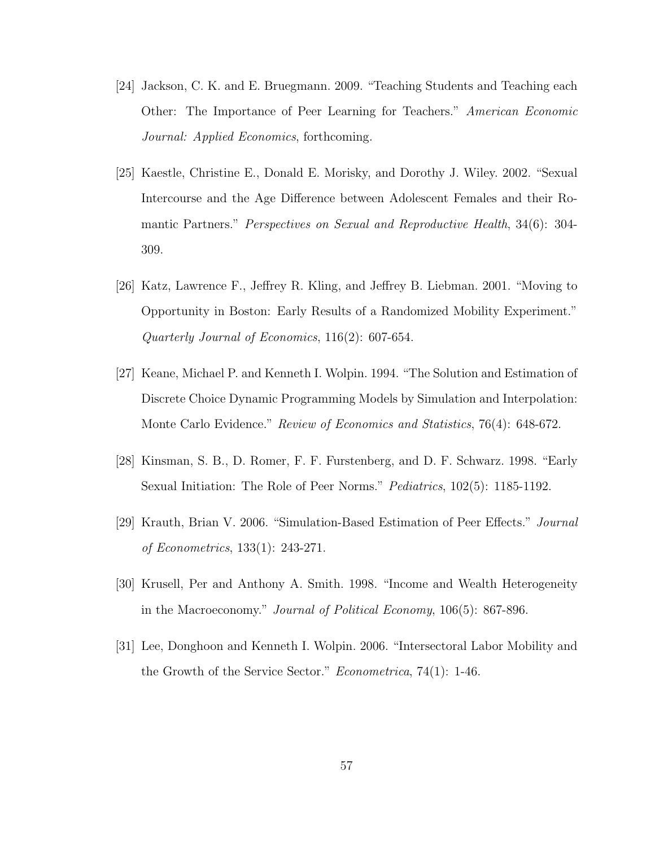- [24] Jackson, C. K. and E. Bruegmann. 2009. "Teaching Students and Teaching each Other: The Importance of Peer Learning for Teachers." American Economic Journal: Applied Economics, forthcoming.
- [25] Kaestle, Christine E., Donald E. Morisky, and Dorothy J. Wiley. 2002. "Sexual Intercourse and the Age Difference between Adolescent Females and their Romantic Partners." Perspectives on Sexual and Reproductive Health, 34(6): 304- 309.
- [26] Katz, Lawrence F., Jeffrey R. Kling, and Jeffrey B. Liebman. 2001. "Moving to Opportunity in Boston: Early Results of a Randomized Mobility Experiment." Quarterly Journal of Economics, 116(2): 607-654.
- [27] Keane, Michael P. and Kenneth I. Wolpin. 1994. "The Solution and Estimation of Discrete Choice Dynamic Programming Models by Simulation and Interpolation: Monte Carlo Evidence." Review of Economics and Statistics, 76(4): 648-672.
- [28] Kinsman, S. B., D. Romer, F. F. Furstenberg, and D. F. Schwarz. 1998. "Early Sexual Initiation: The Role of Peer Norms." *Pediatrics*, 102(5): 1185-1192.
- [29] Krauth, Brian V. 2006. "Simulation-Based Estimation of Peer Effects." Journal of Econometrics, 133(1): 243-271.
- [30] Krusell, Per and Anthony A. Smith. 1998. "Income and Wealth Heterogeneity in the Macroeconomy." Journal of Political Economy, 106(5): 867-896.
- [31] Lee, Donghoon and Kenneth I. Wolpin. 2006. "Intersectoral Labor Mobility and the Growth of the Service Sector." Econometrica, 74(1): 1-46.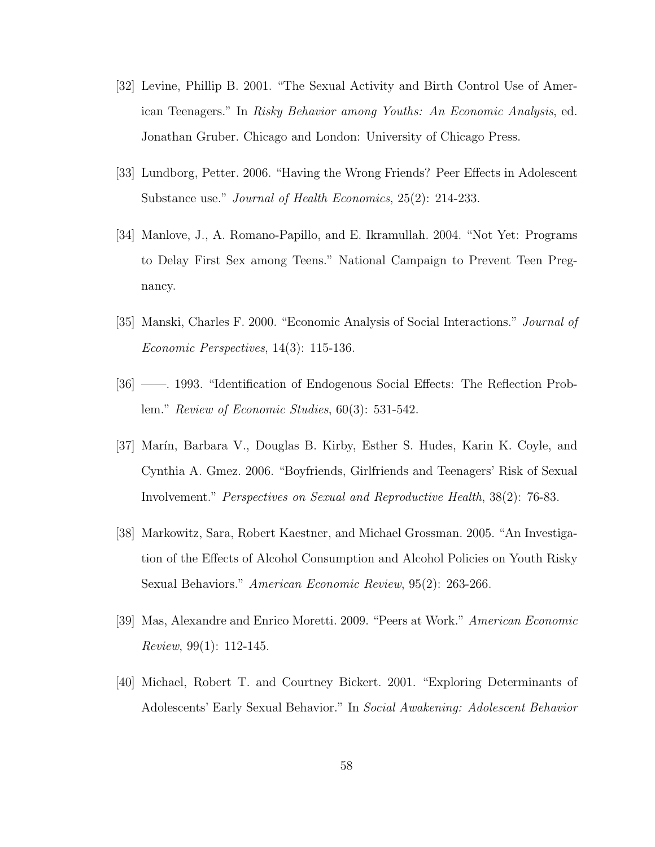- [32] Levine, Phillip B. 2001. "The Sexual Activity and Birth Control Use of American Teenagers." In Risky Behavior among Youths: An Economic Analysis, ed. Jonathan Gruber. Chicago and London: University of Chicago Press.
- [33] Lundborg, Petter. 2006. "Having the Wrong Friends? Peer Effects in Adolescent Substance use." *Journal of Health Economics*, 25(2): 214-233.
- [34] Manlove, J., A. Romano-Papillo, and E. Ikramullah. 2004. "Not Yet: Programs to Delay First Sex among Teens." National Campaign to Prevent Teen Pregnancy.
- [35] Manski, Charles F. 2000. "Economic Analysis of Social Interactions." Journal of Economic Perspectives, 14(3): 115-136.
- [36] ——. 1993. "Identification of Endogenous Social Effects: The Reflection Problem." Review of Economic Studies, 60(3): 531-542.
- [37] Marín, Barbara V., Douglas B. Kirby, Esther S. Hudes, Karin K. Coyle, and Cynthia A. Gmez. 2006. "Boyfriends, Girlfriends and Teenagers' Risk of Sexual Involvement." Perspectives on Sexual and Reproductive Health, 38(2): 76-83.
- [38] Markowitz, Sara, Robert Kaestner, and Michael Grossman. 2005. "An Investigation of the Effects of Alcohol Consumption and Alcohol Policies on Youth Risky Sexual Behaviors." American Economic Review, 95(2): 263-266.
- [39] Mas, Alexandre and Enrico Moretti. 2009. "Peers at Work." American Economic Review, 99(1): 112-145.
- [40] Michael, Robert T. and Courtney Bickert. 2001. "Exploring Determinants of Adolescents' Early Sexual Behavior." In Social Awakening: Adolescent Behavior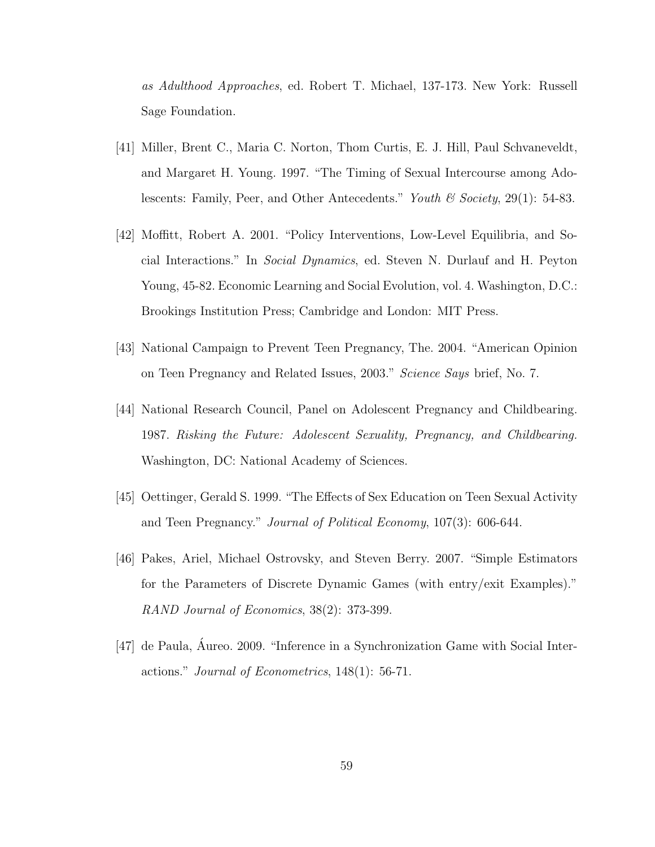as Adulthood Approaches, ed. Robert T. Michael, 137-173. New York: Russell Sage Foundation.

- [41] Miller, Brent C., Maria C. Norton, Thom Curtis, E. J. Hill, Paul Schvaneveldt, and Margaret H. Young. 1997. "The Timing of Sexual Intercourse among Adolescents: Family, Peer, and Other Antecedents." Youth  $\mathcal C$  Society, 29(1): 54-83.
- [42] Moffitt, Robert A. 2001. "Policy Interventions, Low-Level Equilibria, and Social Interactions." In Social Dynamics, ed. Steven N. Durlauf and H. Peyton Young, 45-82. Economic Learning and Social Evolution, vol. 4. Washington, D.C.: Brookings Institution Press; Cambridge and London: MIT Press.
- [43] National Campaign to Prevent Teen Pregnancy, The. 2004. "American Opinion on Teen Pregnancy and Related Issues, 2003." Science Says brief, No. 7.
- [44] National Research Council, Panel on Adolescent Pregnancy and Childbearing. 1987. Risking the Future: Adolescent Sexuality, Pregnancy, and Childbearing. Washington, DC: National Academy of Sciences.
- [45] Oettinger, Gerald S. 1999. "The Effects of Sex Education on Teen Sexual Activity and Teen Pregnancy." Journal of Political Economy, 107(3): 606-644.
- [46] Pakes, Ariel, Michael Ostrovsky, and Steven Berry. 2007. "Simple Estimators for the Parameters of Discrete Dynamic Games (with entry/exit Examples)." RAND Journal of Economics, 38(2): 373-399.
- [47] de Paula, Aureo. 2009. "Inference in a Synchronization Game with Social Interactions." Journal of Econometrics, 148(1): 56-71.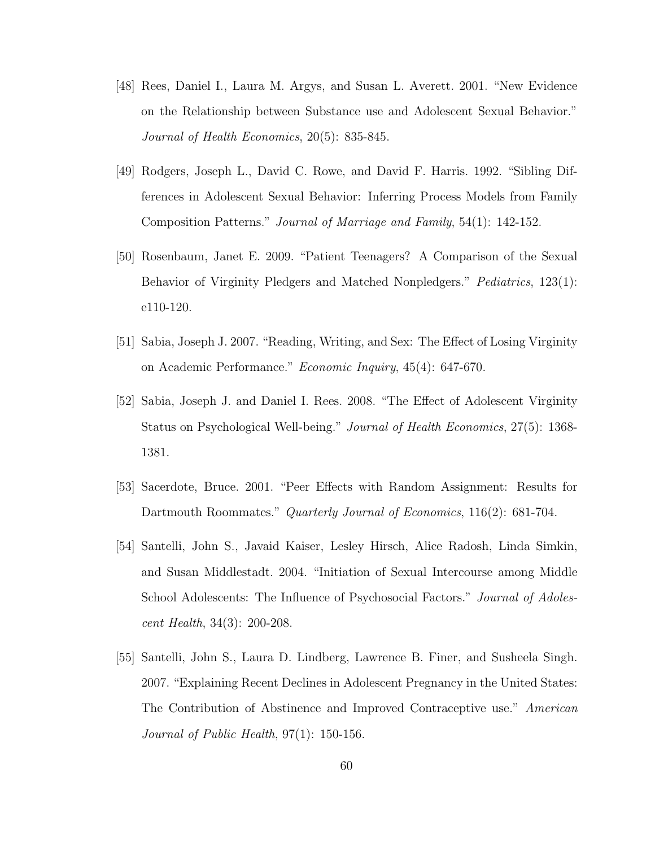- [48] Rees, Daniel I., Laura M. Argys, and Susan L. Averett. 2001. "New Evidence on the Relationship between Substance use and Adolescent Sexual Behavior." Journal of Health Economics, 20(5): 835-845.
- [49] Rodgers, Joseph L., David C. Rowe, and David F. Harris. 1992. "Sibling Differences in Adolescent Sexual Behavior: Inferring Process Models from Family Composition Patterns." Journal of Marriage and Family, 54(1): 142-152.
- [50] Rosenbaum, Janet E. 2009. "Patient Teenagers? A Comparison of the Sexual Behavior of Virginity Pledgers and Matched Nonpledgers." *Pediatrics*, 123(1): e110-120.
- [51] Sabia, Joseph J. 2007. "Reading, Writing, and Sex: The Effect of Losing Virginity on Academic Performance." Economic Inquiry, 45(4): 647-670.
- [52] Sabia, Joseph J. and Daniel I. Rees. 2008. "The Effect of Adolescent Virginity Status on Psychological Well-being." Journal of Health Economics, 27(5): 1368- 1381.
- [53] Sacerdote, Bruce. 2001. "Peer Effects with Random Assignment: Results for Dartmouth Roommates." Quarterly Journal of Economics, 116(2): 681-704.
- [54] Santelli, John S., Javaid Kaiser, Lesley Hirsch, Alice Radosh, Linda Simkin, and Susan Middlestadt. 2004. "Initiation of Sexual Intercourse among Middle School Adolescents: The Influence of Psychosocial Factors." *Journal of Adoles*cent Health, 34(3): 200-208.
- [55] Santelli, John S., Laura D. Lindberg, Lawrence B. Finer, and Susheela Singh. 2007. "Explaining Recent Declines in Adolescent Pregnancy in the United States: The Contribution of Abstinence and Improved Contraceptive use." American Journal of Public Health, 97(1): 150-156.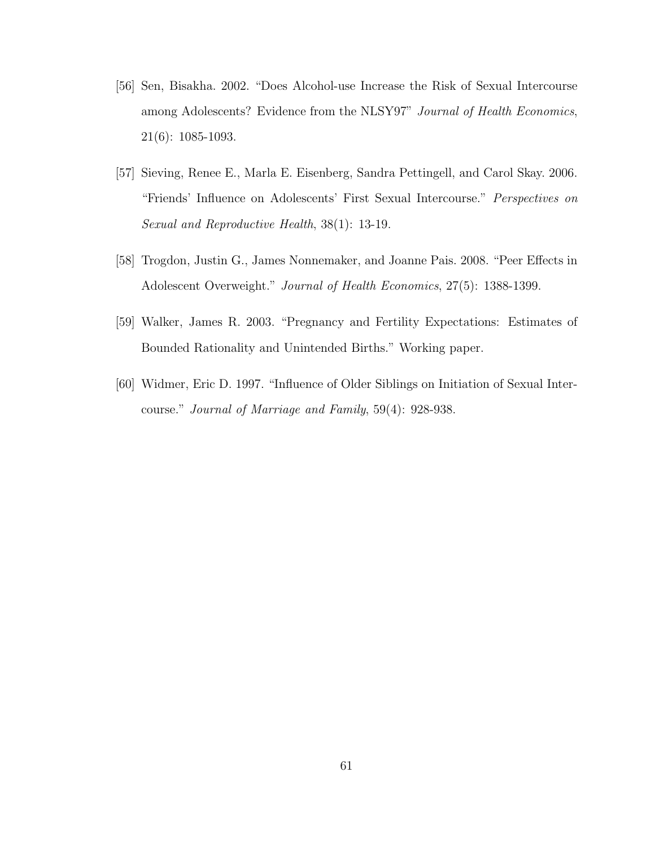- [56] Sen, Bisakha. 2002. "Does Alcohol-use Increase the Risk of Sexual Intercourse among Adolescents? Evidence from the NLSY97" Journal of Health Economics, 21(6): 1085-1093.
- [57] Sieving, Renee E., Marla E. Eisenberg, Sandra Pettingell, and Carol Skay. 2006. "Friends' Influence on Adolescents' First Sexual Intercourse." Perspectives on Sexual and Reproductive Health, 38(1): 13-19.
- [58] Trogdon, Justin G., James Nonnemaker, and Joanne Pais. 2008. "Peer Effects in Adolescent Overweight." Journal of Health Economics, 27(5): 1388-1399.
- [59] Walker, James R. 2003. "Pregnancy and Fertility Expectations: Estimates of Bounded Rationality and Unintended Births." Working paper.
- [60] Widmer, Eric D. 1997. "Influence of Older Siblings on Initiation of Sexual Intercourse." Journal of Marriage and Family, 59(4): 928-938.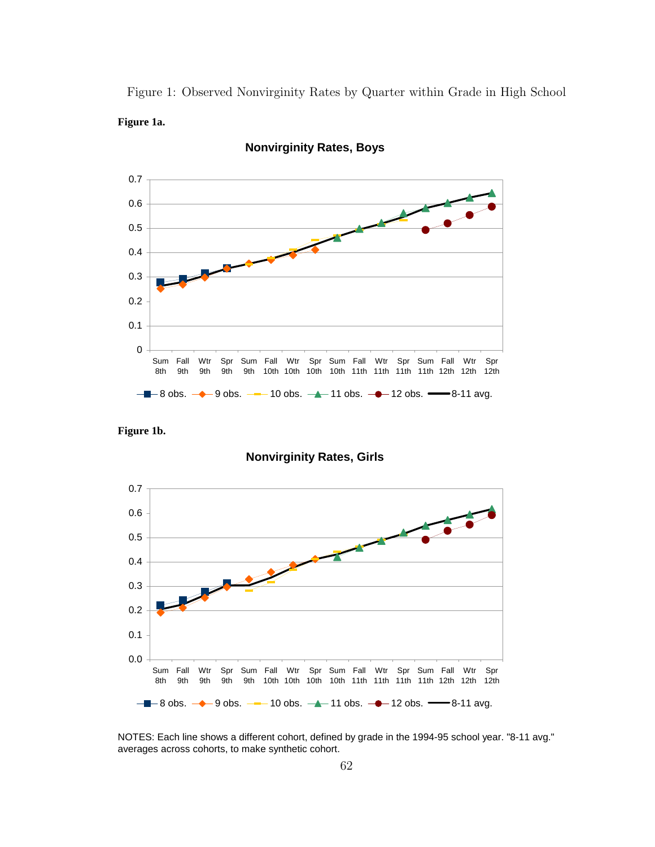Figure 1: Observed Nonvirginity Rates by Quarter within Grade in High School **Figure 1a.**



**Nonvirginity Rates, Boys**

**Figure 1b.**

**Nonvirginity Rates, Girls**



NOTES: Each line shows a different cohort, defined by grade in the 1994-95 school year. "8-11 avg." averages across cohorts, to make synthetic cohort.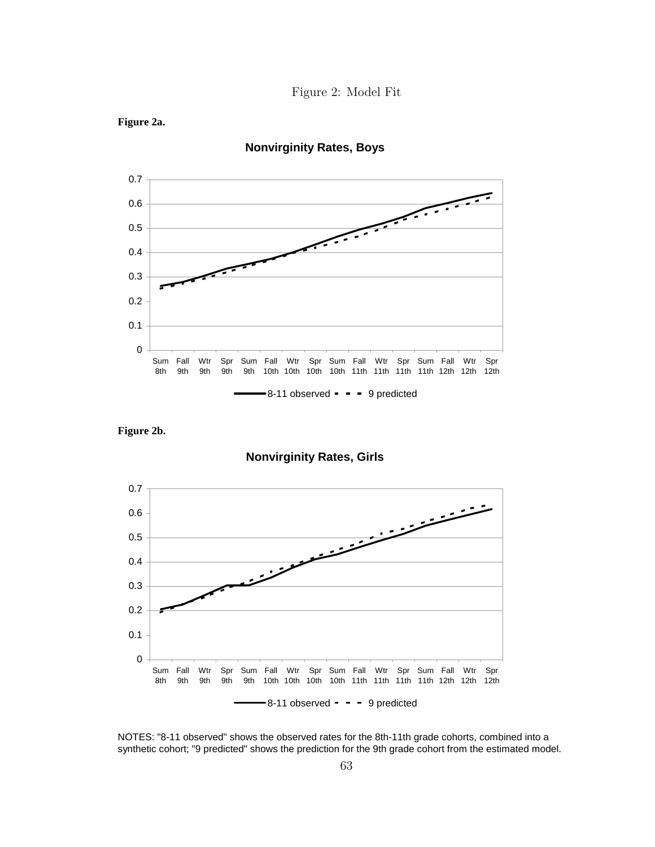





**Figure 2b.**

**Figure 2a.**

**Nonvirginity Rates, Girls**



NOTES: "8-11 observed" shows the observed rates for the 8th-11th grade cohorts, combined into a synthetic cohort; "9 predicted" shows the prediction for the 9th grade cohort from the estimated model.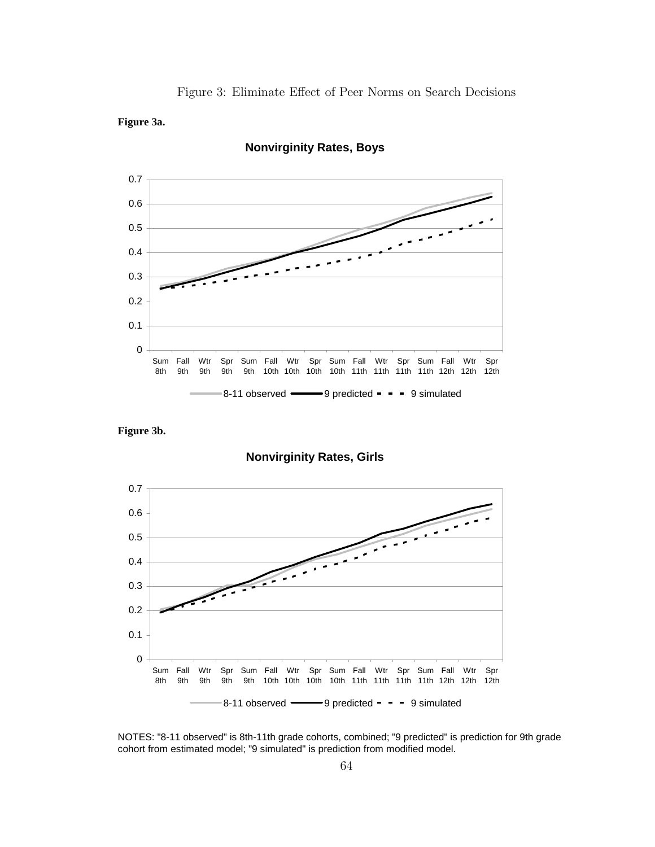Figure 3: Eliminate Effect of Peer Norms on Search Decisions

# **Figure 3a.**



**Nonvirginity Rates, Boys**

**Figure 3b.**

**Nonvirginity Rates, Girls**

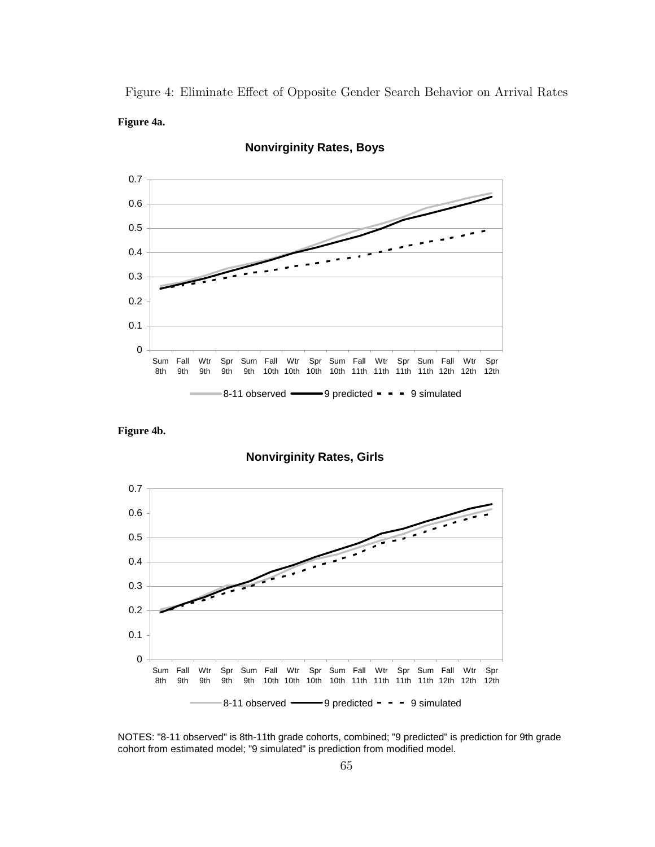Figure 4: Eliminate Effect of Opposite Gender Search Behavior on Arrival Rates **Figure 4a.**



**Nonvirginity Rates, Boys**

**Figure 4b.**

**Nonvirginity Rates, Girls**

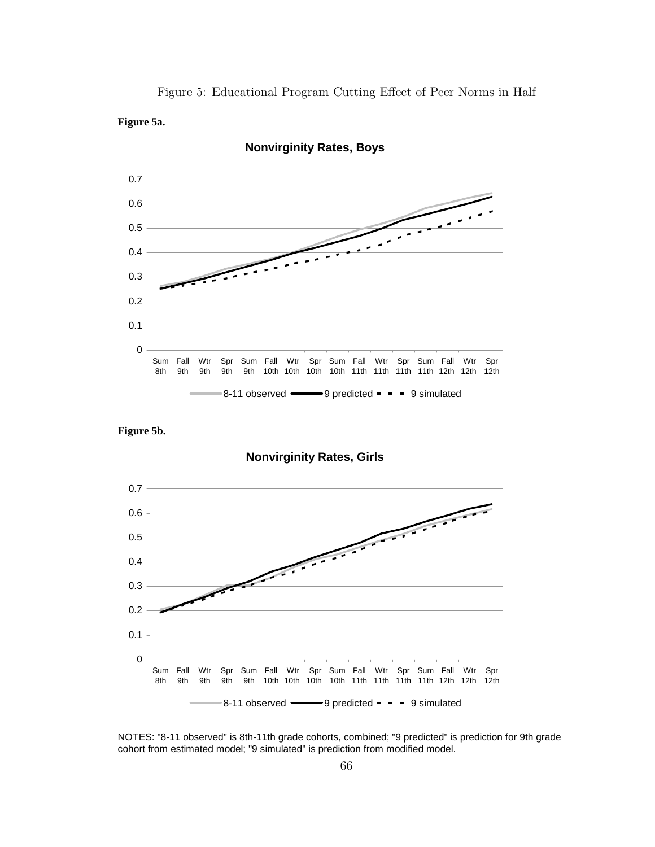Figure 5: Educational Program Cutting Effect of Peer Norms in Half.

# **Figure 5a.**



**Nonvirginity Rates, Boys**

**Figure 5b.**

**Nonvirginity Rates, Girls**

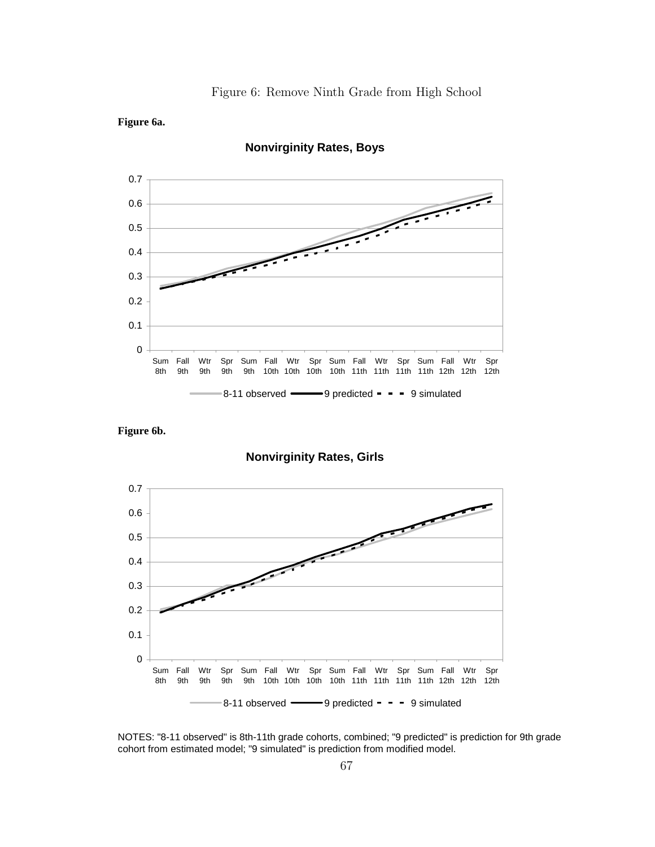

# **Figure 6a.**



**Nonvirginity Rates, Boys**

**Figure 6b.**

**Nonvirginity Rates, Girls**

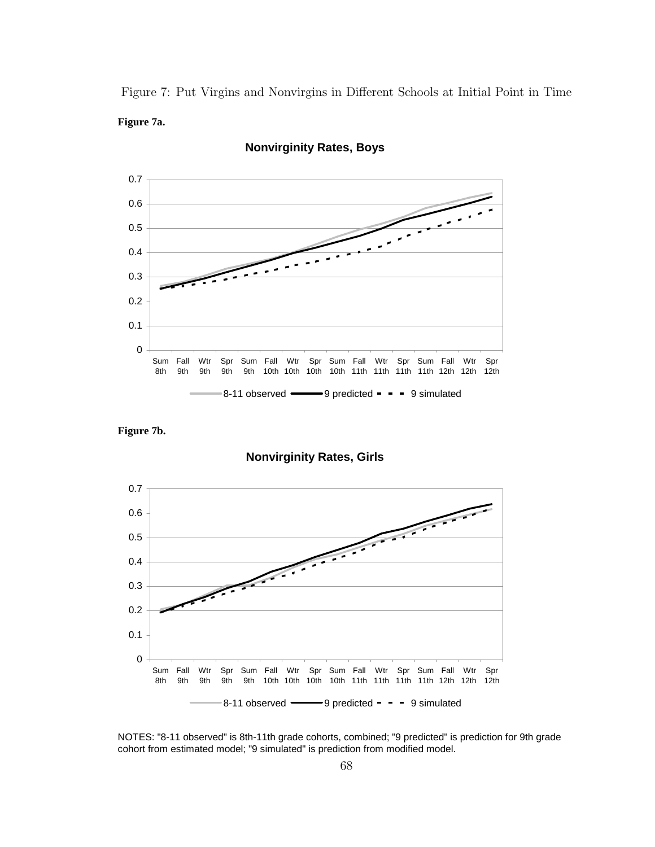Figure 7: Put Virgins and Nonvirgins in Different Schools at Initial Point in Time **Figure 7a.**



**Nonvirginity Rates, Boys**

**Figure 7b.**

**Nonvirginity Rates, Girls**

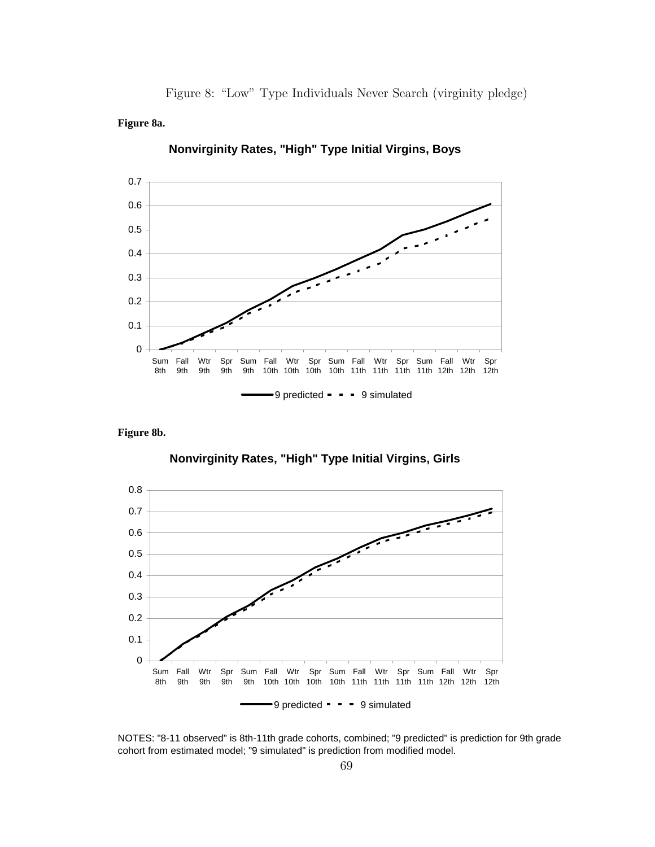Figure 8: "Low" Type Individuals Never Search (virginity pledge).

# **Figure 8a.**



**Nonvirginity Rates, "High" Type Initial Virgins, Boys**

**Figure 8b.**

**Nonvirginity Rates, "High" Type Initial Virgins, Girls**

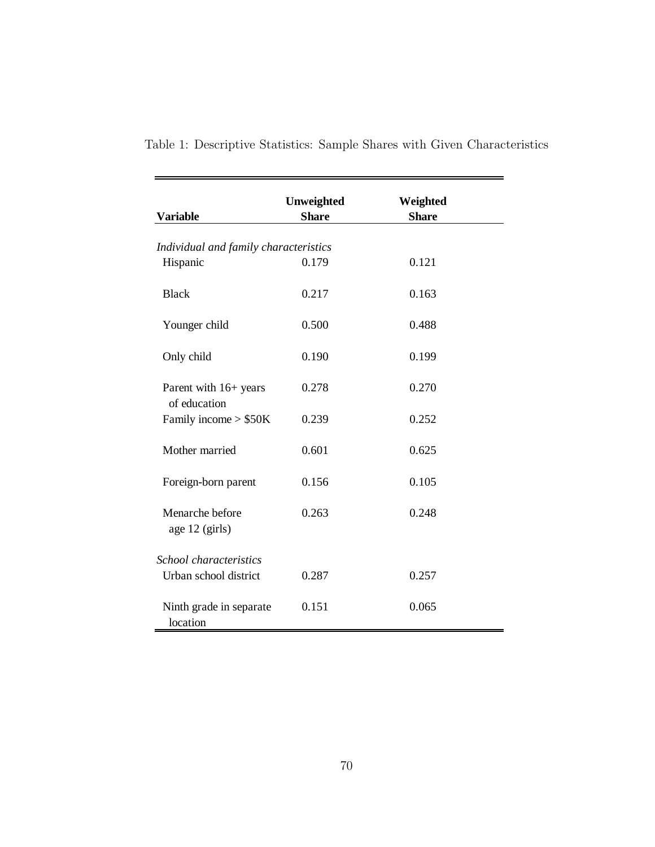| <b>Variable</b>                       | Unweighted<br><b>Share</b> | Weighted<br><b>Share</b> |  |
|---------------------------------------|----------------------------|--------------------------|--|
| Individual and family characteristics |                            |                          |  |
| Hispanic                              | 0.179                      | 0.121                    |  |
| <b>Black</b>                          | 0.217                      | 0.163                    |  |
| Younger child                         | 0.500                      | 0.488                    |  |
| Only child                            | 0.190                      | 0.199                    |  |
| Parent with 16+ years<br>of education | 0.278                      | 0.270                    |  |
| Family income $> $50K$                | 0.239                      | 0.252                    |  |
| Mother married                        | 0.601                      | 0.625                    |  |
| Foreign-born parent                   | 0.156                      | 0.105                    |  |
| Menarche before<br>age 12 (girls)     | 0.263                      | 0.248                    |  |
| School characteristics                |                            |                          |  |
| Urban school district                 | 0.287                      | 0.257                    |  |
| Ninth grade in separate<br>location   | 0.151                      | 0.065                    |  |

Table 1: Descriptive Statistics: Sample Shares with Given Characteristics **Table 1. Descriptive statistics: sample shares with given characteristics.**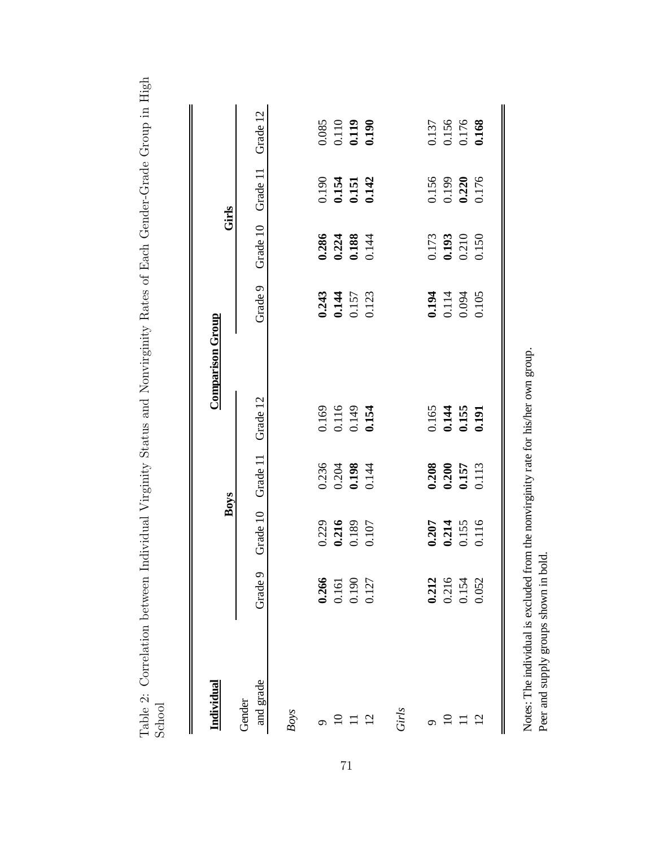Table 2: Correlation between Individual Virginity Status and Nonvirginity Rates of Each Gender-Grade Group in High Table 2: Correlation between Individual Virginity Status and Nonvirginity Rates of Each Gender-Grade Group in High School **Table 2. Correlation between individual virginity status and nonvirginity rates of each gender-grade group in high school.**

|                         | Grade 12            |      |       | 0.085<br>0.110<br>0.119<br>0.190                                         |                |       |       |       | 0.137<br>0.156<br>0.176<br>0.168 |                |
|-------------------------|---------------------|------|-------|--------------------------------------------------------------------------|----------------|-------|-------|-------|----------------------------------|----------------|
| Girls                   | Grade 11            |      |       | 0.154<br>0.154<br>0.151<br>0.142                                         |                |       |       |       | 0.156<br>0.199<br>0.220<br>0.176 |                |
|                         | Grade 10            |      |       | 0.286<br>0.224<br>0.188<br>0.144                                         |                |       |       |       | 0.173<br>0.193<br>0.210<br>0.150 |                |
|                         | Grade 9             |      |       | 0.243<br>0.144<br>0.157<br>0.123                                         |                |       |       |       | 0.194<br>0.114<br>0.094<br>0.105 |                |
| <b>Comparison Group</b> | Grade 12            |      |       | 0.169<br>0.116<br>0.149<br>0.154                                         |                |       |       |       | 0.165<br>0.144<br>0.155<br>0.191 |                |
|                         | Grade 11            |      |       | $\begin{array}{c} 0.236 \\ 0.204 \\ \textbf{0.198} \\ 0.144 \end{array}$ |                |       |       |       | 0.208<br>0.200<br>0.157<br>0.113 |                |
| Boys                    | Grade 10            |      |       | 0.229<br>0.216<br>0.189<br>0.107                                         |                |       |       |       | 0.207<br>0.214<br>0.155<br>0.116 |                |
|                         | Grade 9             |      | 0.266 | 0.161<br>0.190                                                           | 0.127          |       | 0.212 |       | 0.216<br>0.154                   | 0.052          |
| Individual              | and grade<br>Gender | Boys |       |                                                                          | $\overline{2}$ | Girls |       | $\Xi$ |                                  | $\overline{2}$ |

Notes: The individual is excluded from the nonvirginity rate for his/her own group. Notes: The individual is excluded from the nonvirginity rate for his/her own group. Peer and supply groups shown in bold. Peer and supply groups shown in bold.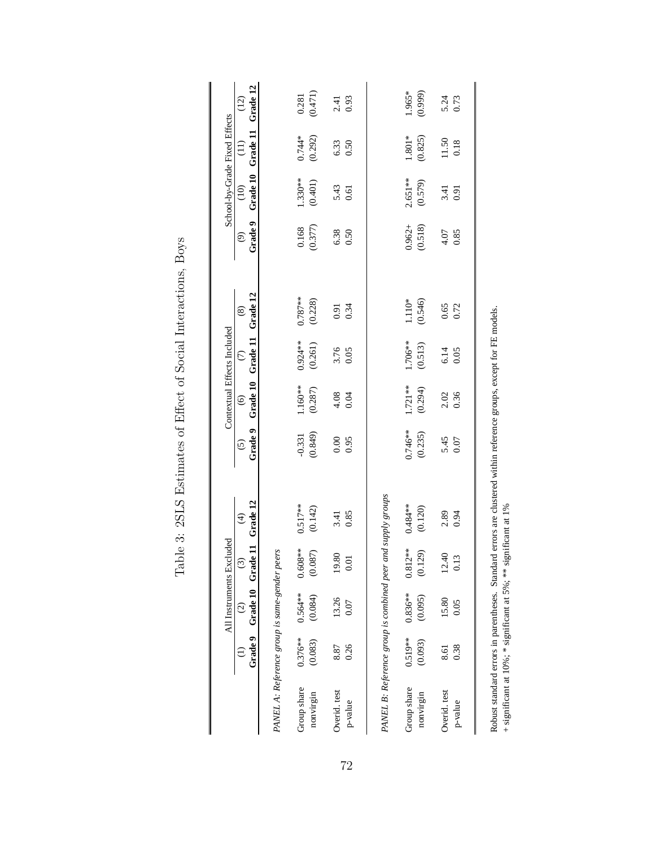|                                                             |            |               | All Instruments Excluded                            |               |                    | Contextual Effects Included |                                       |               |                                     | School-by-Grade Fixed Effects |                         |                  |
|-------------------------------------------------------------|------------|---------------|-----------------------------------------------------|---------------|--------------------|-----------------------------|---------------------------------------|---------------|-------------------------------------|-------------------------------|-------------------------|------------------|
|                                                             |            | $\widehat{c}$ | Grade 9 Grade 10 Grade 11 Grade 12<br>$\widehat{c}$ | $\widehat{f}$ | Grade 9<br>$\odot$ | $\circledcirc$              | Grade 10 Grade 11 Grade 12<br>$\odot$ | $\circledast$ | Grade 9<br>$\widehat{\mathfrak{S}}$ | $\widehat{E}$                 | Grade 10 Grade 11<br>E) | Grade 12<br>(12) |
| PANEL A: Reference group is same-gender peers               |            |               |                                                     |               |                    |                             |                                       |               |                                     |                               |                         |                  |
| Group share                                                 | $0.376***$ | $0.564**$     | $0.608**$                                           | $0.517***$    | $-0.331$           | $1.160**$                   | $0.924**$                             | $0.787***$    | 0.168                               | $1.330**$                     | $0.744*$                | 0.281            |
| nonvirgin                                                   | (0.083)    | (0.084)       | (0.087)                                             | (0.142)       | (0.849)            | (0.287)                     | (0.261)                               | (0.228)       | (0.377)                             | (0.401)                       | (0.292)                 | (0.471)          |
| Overid. test                                                | 8.87       | 13.26         | 19.80                                               | 3.41          | 0.00               | 4.08                        |                                       | 0.91          | 6.38                                |                               | 6.33                    |                  |
| p-value                                                     | 0.26       | 0.07          | 0.01                                                | 0.85          | 0.95               | 0.04                        | 3.76<br>0.05                          | 0.34          | 0.50                                | 5.43<br>0.61                  | 0.50                    | $2.41$<br>0.93   |
| PANEL B: Reference group is combined peer and supply groups |            |               |                                                     |               |                    |                             |                                       |               |                                     |                               |                         |                  |
| Group share                                                 | $0.519***$ | $0.836***$    | $0.812***$                                          | $0.484***$    | $0.746***$         | $1.721**$                   | 1.706**                               | $1.110*$      | $0.962 +$                           | $2.651**$                     | $1.801*$                | 1.965*           |
| nonvirgin                                                   | (0.093)    | (0.095)       | (0.129)                                             | (0.120)       | (0.235)            | (0.294)                     | (0.513)                               | (0.546)       | (0.518)                             | (0.579)                       | (0.825)                 | (0.999)          |
| Overid. test                                                | 8.61       | 15.80         | 12.40                                               | 2.89          | 5.45               | 2.02                        | $6.14$<br>0.05                        | 0.65          | 4.07                                | 3.41                          | 11.50                   | 5.24             |
| p-value                                                     | 0.38       | 0.05          | 0.13                                                | 0.94          | 0.07               | 0.36                        |                                       | 0.72          | 0.85                                | 0.91                          | 0.18                    | 0.73             |
|                                                             |            |               |                                                     |               |                    |                             |                                       |               |                                     |                               |                         |                  |

Table 3: 2SLS Estimates of Effect of Social Interactions, Boys Table 3: 2SLS Estimates of Effect of Social Interactions, Boys

Robust standard errors in parentheses. Standard errors are clustered within reference groups, except for FE models.  $+$  significant at 10%; \* significant at 5%; \*\* significant at 1% Robust standard errors in parentheses. Standard errors are clustered within reference groups, except for FE models.

+ significant at  $10\%$ ; \* significant at 5%; \*\* significant at 1%

72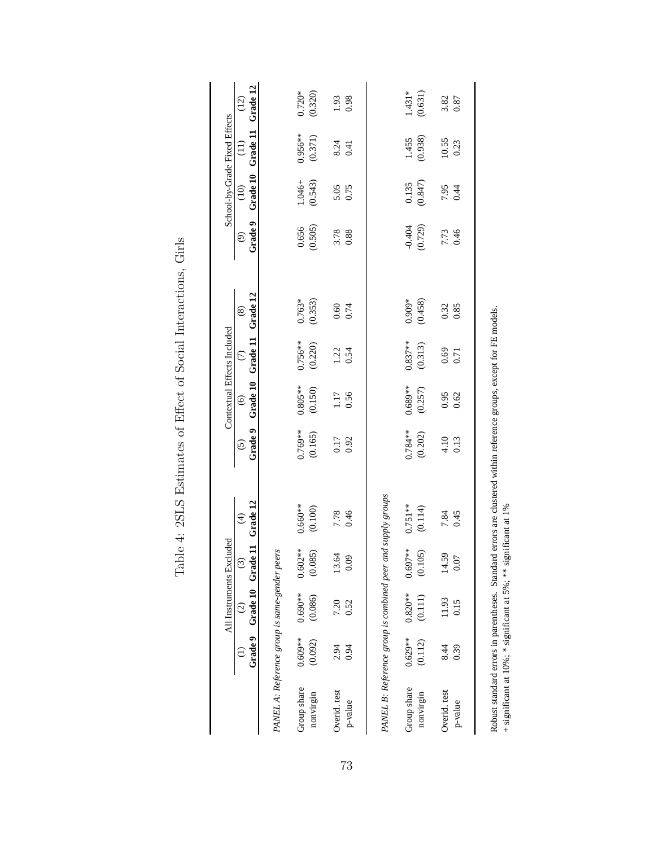|                                                             |           | All Instruments Excluded                                      |               |                 |                        | Contextual Effects Included |                                       |               |                                     | School-by-Grade Fixed Effects |                  |                  |
|-------------------------------------------------------------|-----------|---------------------------------------------------------------|---------------|-----------------|------------------------|-----------------------------|---------------------------------------|---------------|-------------------------------------|-------------------------------|------------------|------------------|
|                                                             |           | Grade 9 Grade 10 Grade 11 Grade 12<br>$\widehat{\mathcal{Q}}$ | $\widehat{c}$ | $\widehat{\pm}$ | Grade 9<br>$\tilde{c}$ | $\odot$                     | Grade 10 Grade 11 Grade 12<br>$\odot$ | $\circledast$ | Grade 9<br>$\widehat{\mathfrak{S}}$ | Grade 10<br>$\frac{1}{2}$     | Grade 11<br>(II) | Grade 12<br>(12) |
| PANEL A: Reference group is same-gender peers               |           |                                                               |               |                 |                        |                             |                                       |               |                                     |                               |                  |                  |
| Group share                                                 | $0.609**$ | $0.690**$                                                     | $0.602**$     | $0.660**$       | $0.769***$             | $0.805***$                  | $0.756***$                            | $0.763*$      | 0.656                               | 1.046+                        | $0.956**$        | $0.720*$         |
| nonvirgin                                                   | (0.092)   | (0.086)                                                       | (0.085)       | (0.100)         | (0.165)                | (0.150)                     | (0.220)                               | (0.353)       | (0.505)                             | (0.543)                       | (0.371)          | (0.320)          |
| Overid. test                                                | 2.94      | 7.20                                                          | 13.64         | 7.78            | 0.17                   | 1.17                        | 1.22                                  | 0.60          | 3.78                                | 5.05<br>0.75                  | 8.24             | 1.93<br>0.98     |
| p-value                                                     | 0.94      | 0.52                                                          | $_{0.09}$     | 0.46            | 0.92                   | 0.56                        | 0.54                                  | 0.74          | 0.88                                |                               | 0.41             |                  |
| PANEL B: Reference group is combined peer and supply groups |           |                                                               |               |                 |                        |                             |                                       |               |                                     |                               |                  |                  |
| Group share                                                 | $0.629**$ | $0.820**$                                                     | $0.697**$     | $0.751***$      | $0.784***$             | $0.689**$                   | $0.837***$                            | $0.909*$      | $-0.404$                            | 0.135                         | 1.455            | $1.431*$         |
| nonvirgin                                                   | (0.112)   | (0.111)                                                       | (0.105)       | (0.114)         | (0.202)                | (0.257)                     | (0.313)                               | (0.458)       | (0.729)                             | (0.847)                       | (0.938)          | (0.631)          |
| Overid. test                                                | 8.44      | 11.93                                                         | 14.59         | 7.84            | 4.10                   | 0.95                        | 0.69                                  | 0.32          | 7.73                                | 7.95                          | 10.55            | 3.82             |
| p-value                                                     | 0.39      | 0.15                                                          | 0.07          | 0.45            | 0.13                   | 0.62                        | 0.71                                  | 0.85          | 0.46                                | 0.44                          | 0.23             | 0.87             |
|                                                             |           |                                                               |               |                 |                        |                             |                                       |               |                                     |                               |                  |                  |

Table 4: 2SLS Estimates of Effect of Social Interactions, Girls Table 4: 2SLS Estimates of Effect of Social Interactions, Girls

Robust standard errors in parentheses. Standard errors are clustered within reference groups, except for FE models.  $+$  significant at 10%; \* significant at 5%; \*\* significant at 1% Robust standard errors in parentheses. Standard errors are clustered within reference groups, except for FE models.

+ significant at  $10\%$ ; \* significant at 5%; \*\* significant at 1%

73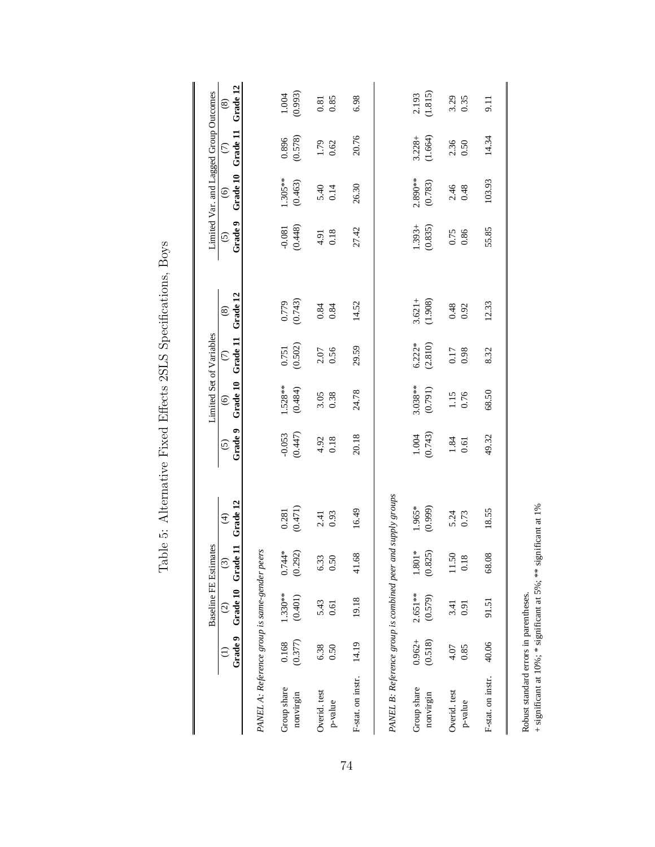|                                                             |                      | <b>Baseline FE Estimates</b>            |                     |                                     |                        | Limited Set of Variables |                         |                         |                        | Limited Var. and Lagged Group Outcomes |                           |                           |
|-------------------------------------------------------------|----------------------|-----------------------------------------|---------------------|-------------------------------------|------------------------|--------------------------|-------------------------|-------------------------|------------------------|----------------------------------------|---------------------------|---------------------------|
|                                                             |                      | Grade 9 Grade 10 Grade<br>$\widehat{c}$ | ដ<br>$\odot$        | Grade 12<br>$\widehat{\mathcal{F}}$ | Grade 9<br>$\tilde{c}$ | Grade 10<br>$\odot$      | Grade 11<br>$\odot$     | Grade 12<br>$\circledS$ | Grade 9<br>$\tilde{c}$ | Grade 10<br>$\odot$                    | Grade 11<br>$\widehat{C}$ | Grade 12<br>$\circledast$ |
| PANEL A: Reference group is same-gender peers               |                      |                                         |                     |                                     |                        |                          |                         |                         |                        |                                        |                           |                           |
| Group share<br>nonvirgin                                    | (0.377)<br>0.168     | 1.330**<br>(0.401)                      | $0.744*$<br>(0.292) | $\frac{0.281}{(0.471)}$             | (0.447)<br>$-0.053$    | $1.528**$<br>(0.484)     | $\frac{0.751}{(0.502)}$ | $(0.779$<br>$(0.743)$   | (0.448)<br>$-0.081$    | $1.305**$<br>(0.463)                   | $(0.896$<br>(0.578)       | (0.993)<br>$1.004$        |
| Overid. test<br>p-value                                     | 6.38<br>0.50         | 5.43<br>0.61                            | 6.33<br>0.50        | 0.93<br>2.41                        | $4.92$<br>0.18         | 3.05<br>0.38             | 2.07<br>0.56            | 0.84<br>0.84            | 0.18<br>4.91           | 5.40<br>0.14                           | 1.79<br>0.62              | 0.85<br>$0.81\,$          |
| F-stat. on instr.                                           | 14.19                | 19.18                                   | 41.68               | 16.49                               | 20.18                  | 24.78                    | 29.59                   | 14.52                   | 27.42                  | 26.30                                  | 20.76                     | 6.98                      |
| PANEL B: Reference group is combined peer and supply groups |                      |                                         |                     |                                     |                        |                          |                         |                         |                        |                                        |                           |                           |
| Group share<br>nonvirgin                                    | $0.962 +$<br>(0.518) | $2.651**$<br>(0.579)                    | $1.801*$<br>(0.825) | 1.965*<br>(0.999)                   | $1.004$<br>$(0.743)$   | $3.038***$<br>(0.791)    | $6.222*$<br>(2.810)     | $3.621 +$<br>(1.908)    | (0.835)<br>$1.393 +$   | 2.890**<br>(0.783)                     | (1.664)<br>$3.228 +$      | (1.815)<br>2.193          |
| Overid. test<br>p-value                                     | 0.85<br>4.07         | 3.41<br>0.91                            | 11.50<br>0.18       | 5.24<br>0.73                        | 1.84<br>0.61           | 1.15<br>0.76             | 0.17<br>0.98            | 0.48<br>0.92            | 0.75<br>0.86           | $2.46$<br>0.48                         | 2.36<br>0.50              | 3.29<br>0.35              |
| F-stat. on instr.                                           | 40.06                | 91.51                                   | 68.08               | 18.55                               | 49.32                  | 68.50                    | 8.32                    | 12.33                   | 55.85                  | 103.93                                 | 14.34                     | 9.11                      |
|                                                             |                      |                                         |                     |                                     |                        |                          |                         |                         |                        |                                        |                           |                           |

Table 5: Alternative Fixed Effects 2SLS Specifications, Boys Table 5: Alternative Fixed Effects 2SLS Specifications, Boys

Robust standard errors in parentheses.

+ significant at  $10\%$ ; \* significant at 5%; \*\* significant at 1%

Robust standard errors in parentheses.<br>  $+$  significant at 1% significant at 5%; \*\* significant at 1%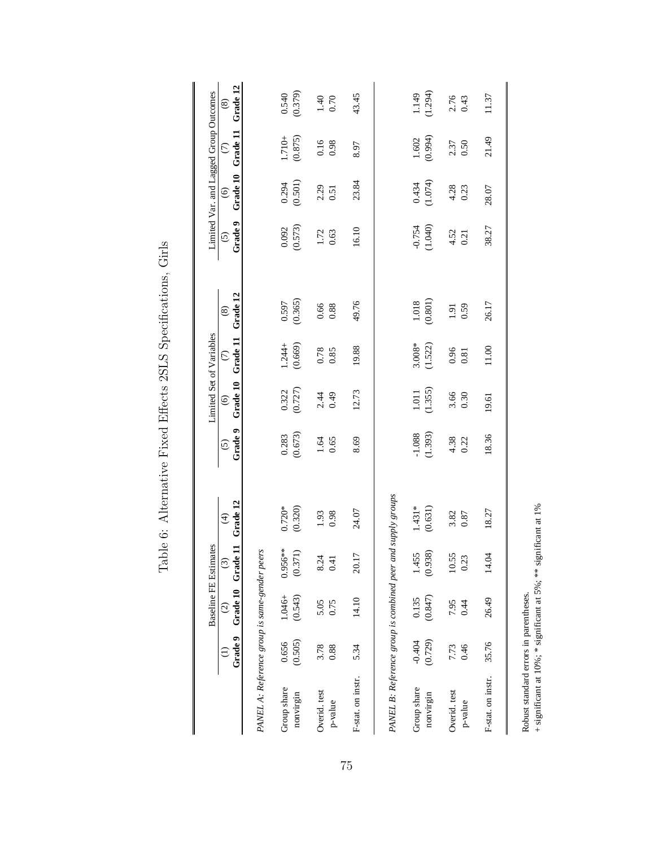|                                                             |          | Baseline FE Estimates              |               |                           |                    | Limited Set of Variables |                      |                           |                         | Limited Var. and Lagged Group Outcomes |                           |                           |
|-------------------------------------------------------------|----------|------------------------------------|---------------|---------------------------|--------------------|--------------------------|----------------------|---------------------------|-------------------------|----------------------------------------|---------------------------|---------------------------|
|                                                             | Grade 9  | Grade 10 Grade 11<br>$\widehat{c}$ | $\widehat{c}$ | Grade 12<br>$\widehat{f}$ | Grade 9<br>$\odot$ | Grade 10<br>$\odot$      | Grade 11<br>$\odot$  | Grade 12<br>$\circledast$ | Grade 9<br>$\tilde{c}$  | Grade 10<br>$\widehat{\odot}$          | Grade 11<br>$\widehat{C}$ | Grade 12<br>$\circledast$ |
| PANEL A: Reference group is same-gender peers               |          |                                    |               |                           |                    |                          |                      |                           |                         |                                        |                           |                           |
| Group share                                                 | 0.656    | 1.046+                             | $0.956***$    | $0.720*$                  | 0.283              | $0.322$<br>$(0.727)$     | $1.244 +$<br>(0.669) | $\frac{0.597}{(0.365)}$   | $\frac{0.092}{(0.573)}$ | $0.294$<br>$(0.501)$                   | $1.710 +$                 | $(0.540)$<br>$(0.379)$    |
| nonvirgin                                                   | (0.505)  | (0.543)                            | (0.371)       | (0.320)                   | (0.673)            |                          |                      |                           |                         |                                        | (0.875)                   |                           |
| Overid. test                                                | 3.78     | 5.05                               | 8.24          | 1.93                      | $1.64\,$           | 2.44                     | $0.78$<br>$0.85$     | 0.66                      | 1.72                    | 2.29                                   | 0.16                      | $1.40$<br>0.70            |
| p-value                                                     | 0.88     | 0.75                               | 0.41          | 0.98                      | 0.65               | 0.49                     |                      | 0.88                      | 0.63                    | 0.51                                   | 0.98                      |                           |
| F-stat. on instr.                                           | 5.34     | 14.10                              | 20.17         | 24.07                     | 8.69               | 12.73                    | 19.88                | 49.76                     | 16.10                   | 23.84                                  | 8.97                      | 43.45                     |
| PANEL B: Reference group is combined peer and supply groups |          |                                    |               |                           |                    |                          |                      |                           |                         |                                        |                           |                           |
| Group share                                                 | $-0.404$ | 0.135                              | 1.455         | $1.431*$                  | $-1.088$           |                          |                      | $1.018$                   |                         |                                        |                           |                           |
| nonvirgin                                                   | (0.729)  | (0.847)                            | (0.938)       | (0.631)                   | (1.393)            | $1.011$<br>(1.355)       | $3.008*$<br>(1.522)  | (0.801)                   | $-0.754$<br>(1.040)     | (1.074)                                | $1.602$<br>$(0.994)$      | $1.149$<br>$(1.294)$      |
| Overid. test                                                | 7.73     | 7.95                               | 10.55         | 3.82                      | $4.38$<br>0.22     | 3.66<br>0.30             | $\frac{0.96}{0.81}$  | 1.91                      | $4.52$<br>0.21          | $4.28$<br>0.23                         | 2.37<br>0.50              | 2.76<br>0.43              |
| p-value                                                     | 0.46     | 0.44                               | 0.23          | $0.87\,$                  |                    |                          |                      | 0.59                      |                         |                                        |                           |                           |
| F-stat. on instr.                                           | 35.76    | 26.49                              | 14.04         | 18.27                     | 18.36              | 19.61                    | 11.00                | 26.17                     | 38.27                   | 28.07                                  | 21.49                     | 11.37                     |
|                                                             |          |                                    |               |                           |                    |                          |                      |                           |                         |                                        |                           |                           |

Table 6: Alternative Fixed Effects 2SLS Specifications, Girls Table 6: Alternative Fixed Effects 2SLS Specifications, Girls

Robust standard errors in parentheses.

Robust standard errors in parentheses.<br>  $+$  significant at 1% significant at 5%; \*\* significant at 1% + significant at  $10\%$ ; \* significant at 5%; \*\* significant at 1%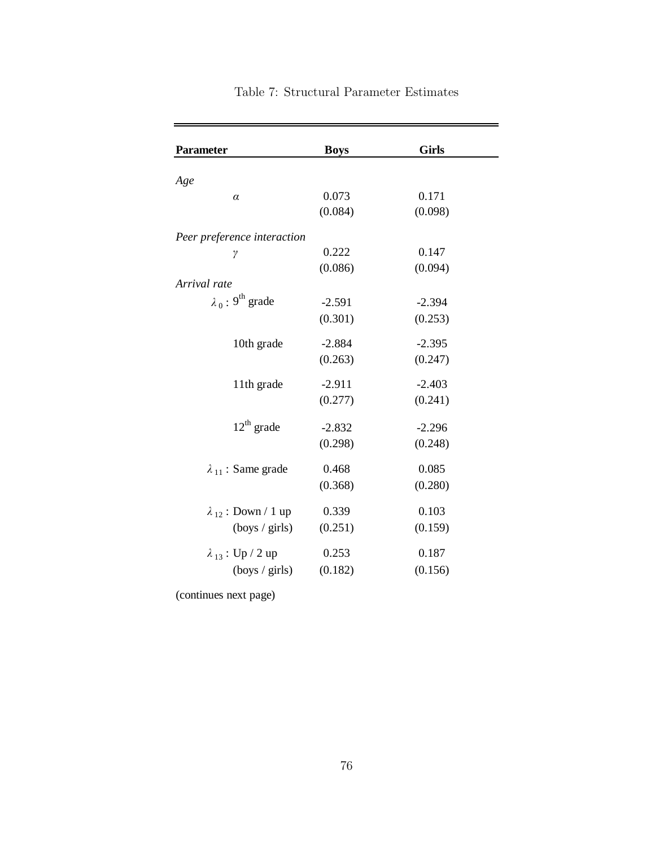| <b>Parameter</b>                    | <b>Boys</b> | <b>Girls</b> |
|-------------------------------------|-------------|--------------|
|                                     |             |              |
| Age                                 | 0.073       | 0.171        |
| $\alpha$                            | (0.084)     | (0.098)      |
|                                     |             |              |
| Peer preference interaction         |             |              |
| γ                                   | 0.222       | 0.147        |
|                                     | (0.086)     | (0.094)      |
| Arrival rate                        |             |              |
| $\lambda_0$ : 9 <sup>th</sup> grade | $-2.591$    | $-2.394$     |
|                                     | (0.301)     | (0.253)      |
|                                     |             |              |
| 10th grade                          | $-2.884$    | $-2.395$     |
|                                     | (0.263)     | (0.247)      |
| 11th grade                          | $-2.911$    | $-2.403$     |
|                                     | (0.277)     | (0.241)      |
|                                     |             |              |
| $12th$ grade                        | $-2.832$    | $-2.296$     |
|                                     | (0.298)     | (0.248)      |
| $\lambda_{11}$ : Same grade         | 0.468       | 0.085        |
|                                     | (0.368)     | (0.280)      |
|                                     |             |              |
| $\lambda_{12}$ : Down / 1 up        | 0.339       | 0.103        |
| $(\text{boys} / \text{ girls})$     | (0.251)     | (0.159)      |
|                                     |             | 0.187        |
| $\lambda_{13}$ : Up / 2 up          | 0.253       |              |
| (boys / girls)                      | (0.182)     | (0.156)      |

# Table 7: Structural Parameter Estimates

-

(continues next page)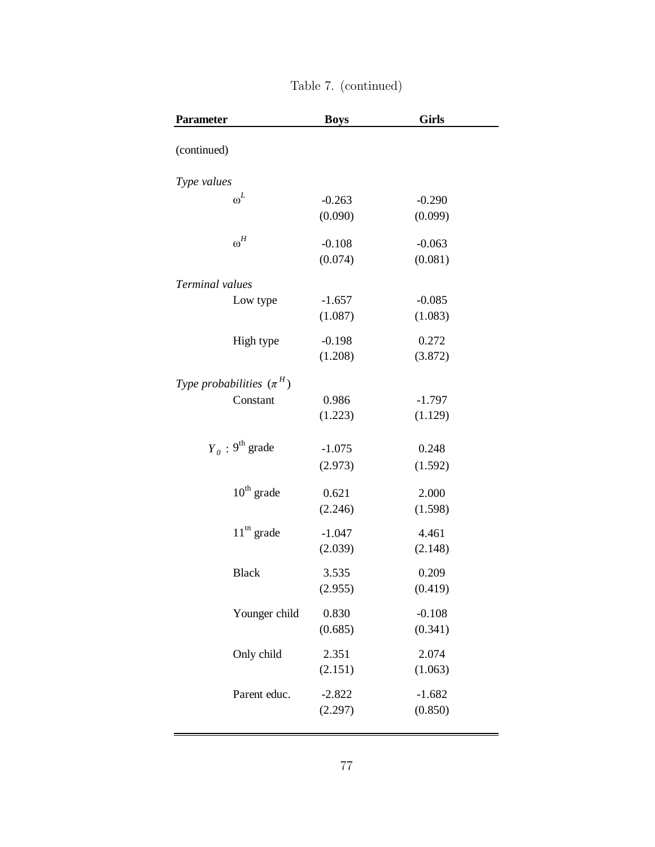| <b>Parameter</b>              | <b>Boys</b> | <b>Girls</b> |
|-------------------------------|-------------|--------------|
| (continued)                   |             |              |
| Type values                   |             |              |
| $\boldsymbol{\omega}^L$       | $-0.263$    | $-0.290$     |
|                               | (0.090)     | (0.099)      |
| $\boldsymbol{\omega}^H$       | $-0.108$    | $-0.063$     |
|                               | (0.074)     | (0.081)      |
| Terminal values               |             |              |
| Low type                      | $-1.657$    | $-0.085$     |
|                               | (1.087)     | (1.083)      |
| High type                     | $-0.198$    | 0.272        |
|                               | (1.208)     | (3.872)      |
| Type probabilities $(\pi^H)$  |             |              |
| Constant                      | 0.986       | $-1.797$     |
|                               | (1.223)     | (1.129)      |
| $Y_0$ : 9 <sup>th</sup> grade | $-1.075$    | 0.248        |
|                               | (2.973)     | (1.592)      |
| $10^{th}$ grade               | 0.621       | 2.000        |
|                               | (2.246)     | (1.598)      |
| $11th$ grade                  | $-1.047$    | 4.461        |
|                               | (2.039)     | (2.148)      |
| <b>Black</b>                  | 3.535       | 0.209        |
|                               | (2.955)     | (0.419)      |
| Younger child                 | 0.830       | $-0.108$     |
|                               | (0.685)     | (0.341)      |
| Only child                    | 2.351       | 2.074        |
|                               | (2.151)     | (1.063)      |
| Parent educ.                  | $-2.822$    | $-1.682$     |
|                               | (2.297)     | (0.850)      |
|                               |             |              |

| Table 7. (continued) |  |
|----------------------|--|
|----------------------|--|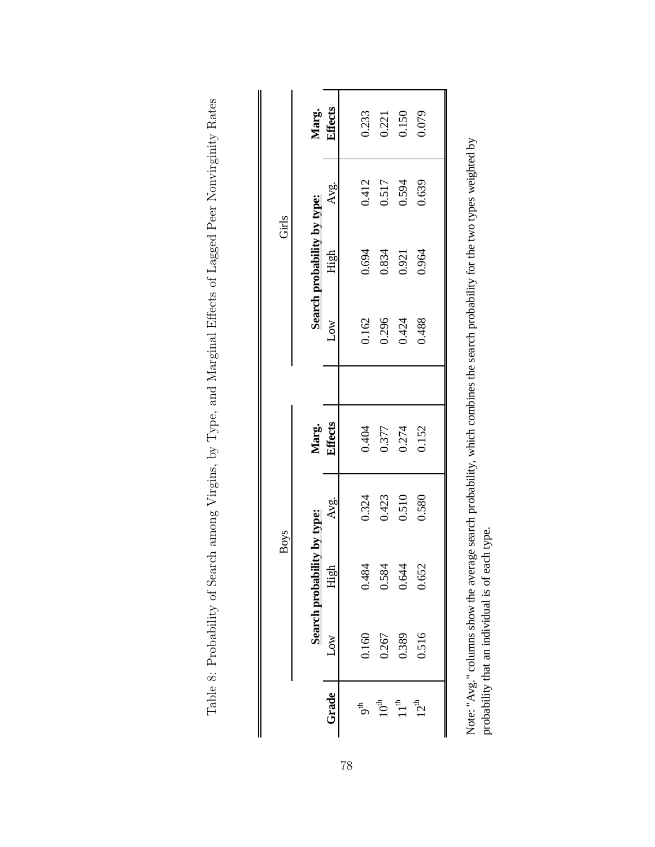|       |                             | Marg.<br>Effects | 0.233           |                             | 0.221<br>0.150<br>0.079 |                  |  |
|-------|-----------------------------|------------------|-----------------|-----------------------------|-------------------------|------------------|--|
|       |                             | Avg.             | 0.412           | 0.517                       | 0.594                   | 0.639            |  |
| Girls | Search probability by type: | High             | 0.694           |                             | 0.834<br>0.921          | 0.964            |  |
|       |                             | Low              | 0.162           |                             | 0.296<br>0.424          | 0.488            |  |
|       |                             |                  |                 |                             |                         |                  |  |
|       |                             | Marg.<br>Effects | 0.404           |                             | 0.377<br>0.274          | 0.152            |  |
|       |                             | Avg.             | 0.324           | 0.423                       | 0.510                   | 0.580            |  |
| Boys  | Search probability by type: | 문<br>Ė           | 0.484           | 0.584                       | 0.644                   | 0.652            |  |
|       |                             | <b>NOC</b>       | 0.160           | 0.267                       | 0.389                   | 0.516            |  |
|       |                             | Grade            | g <sup>th</sup> | $10^{\rm th}$ $11^{\rm th}$ |                         | 12 <sup>th</sup> |  |

Note: "Avg." columns show the average search probability, which combines the search probability for the two types weighted by

Note: "Avg." columns show the average search probability, which combines the search probability for the two types weighted by probability that an individual is of each type.

probability that an individual is of each type.

Table 8: Probability of Search among Virgins, by Type, and Marginal Effects of Lagged Peer Nonvirginity Rates Table 8: Probability of Search among Virgins, by Type, and Marginal Effects of Lagged Peer Nonvirginity Rates

78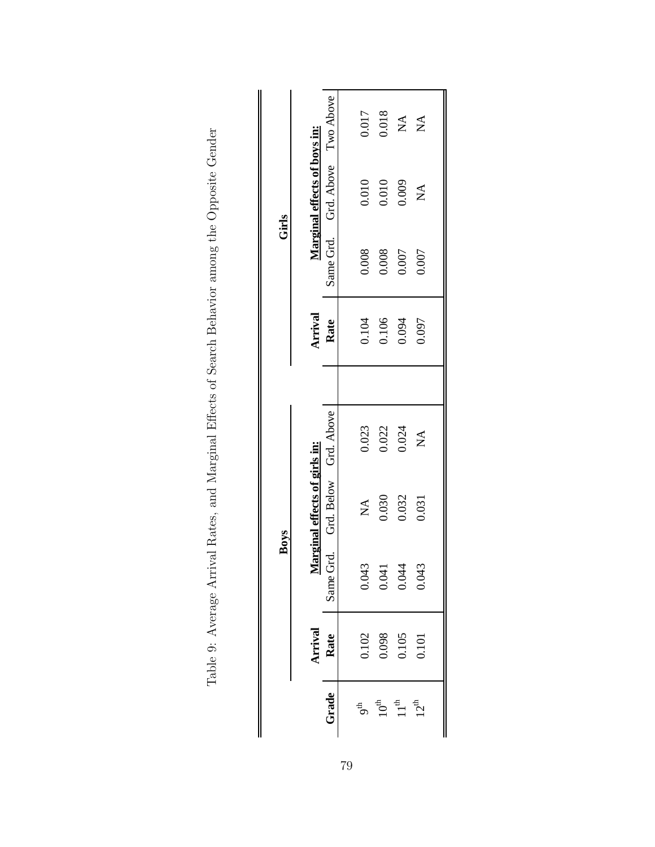|                           |                                                                 |                           | Boys                                |              |         | Girls |                                     |                  |
|---------------------------|-----------------------------------------------------------------|---------------------------|-------------------------------------|--------------|---------|-------|-------------------------------------|------------------|
|                           |                                                                 |                           | Marginal effects of girls in:       |              | Arrival |       | <b>Marginal effects of boys in:</b> |                  |
| Grade                     | Arrival<br>Rate                                                 | Same Grd.                 | Grd. Below Grd. Above               |              | Rate    |       | Same Grd. Grd. Above Two Above      |                  |
|                           |                                                                 |                           |                                     |              |         |       |                                     |                  |
| $\mathsf{b}^{\mathsf{c}}$ |                                                                 |                           | $\stackrel{\blacktriangle}{\simeq}$ | 0.023        | 0.104   | 0.008 | 0.010                               | 0.017            |
| $10^{th}$<br>$11^{th}$    | $\begin{array}{c} 0.102 \\ 0.098 \\ 0.105 \\ 0.101 \end{array}$ | $0.043$<br>0.041<br>0.044 | 0.030                               | 0.022        | 0.106   | 0.008 | 0.010                               | 0.018            |
|                           |                                                                 |                           | 0.032                               | 0.024        | 0.094   | 0.007 | 0.009                               | $\lesssim$       |
| $12^{\rm th}$             |                                                                 | 0.043                     | 0.031                               | $\mathbb{X}$ | 0.097   | 0.007 | $\sum_{i=1}^{n}$                    | $\sum_{i=1}^{n}$ |
|                           |                                                                 |                           |                                     |              |         |       |                                     |                  |

Table 9: Average Arrival Rates, and Marginal Effects of Search Behavior among the Opposite Gender Table 9: Average Arrival Rates, and Marginal Effects of Search Behavior among the Opposite Gender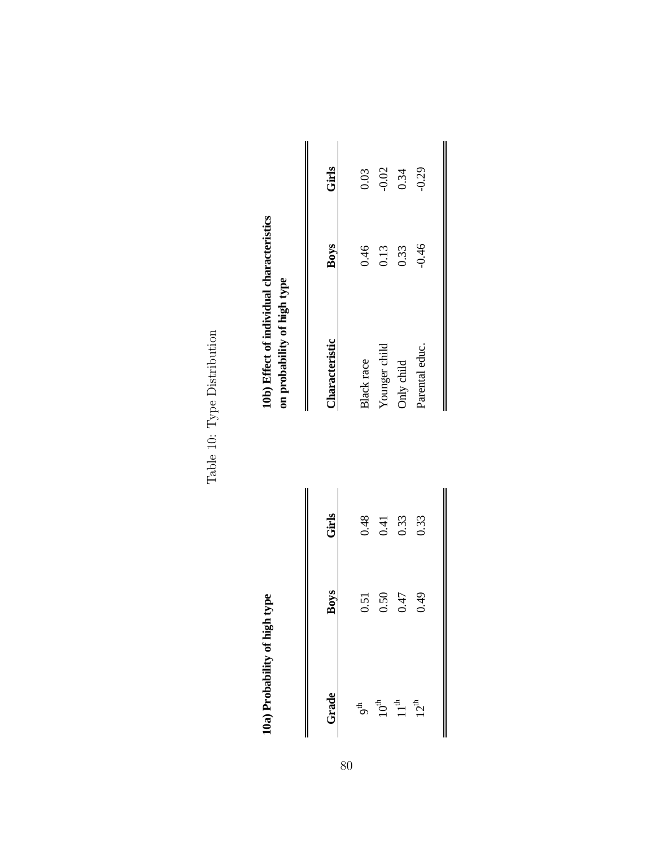Table 10: Type Distribution Table 10: Type Distribution

10a) Probability of high type

| Girls       | 0.48            | 0.41 | 0.33 | 0.33 |
|-------------|-----------------|------|------|------|
| <b>Boys</b> | 0.51            | 0.50 | 0.47 | 0.49 |
| Grade       | 9 <sup>th</sup> |      |      |      |

# 10b) Effect of individual characteristics<br>on probability of high type **10a) Probability of high type 10b) Effect of individual characteristics on probability of high type**

| Frade                               | Boys | Girls | <b>Characteristic</b> | <b>Boys</b> | Girls   |
|-------------------------------------|------|-------|-----------------------|-------------|---------|
| 9 <sup>th</sup>                     | 0.51 | 0.48  | Black race            | 0.46        | 0.03    |
|                                     | 0.50 | 0.41  | Younger child         | 0.13        | $-0.02$ |
| $10^{th}$<br>$11^{th}$<br>$12^{th}$ | 0.47 | 0.33  | Only child            | 0.33        | 0.34    |
|                                     | 64.0 | 0.33  | Parental educ.        | $-0.46$     | $-0.29$ |
|                                     |      |       |                       |             |         |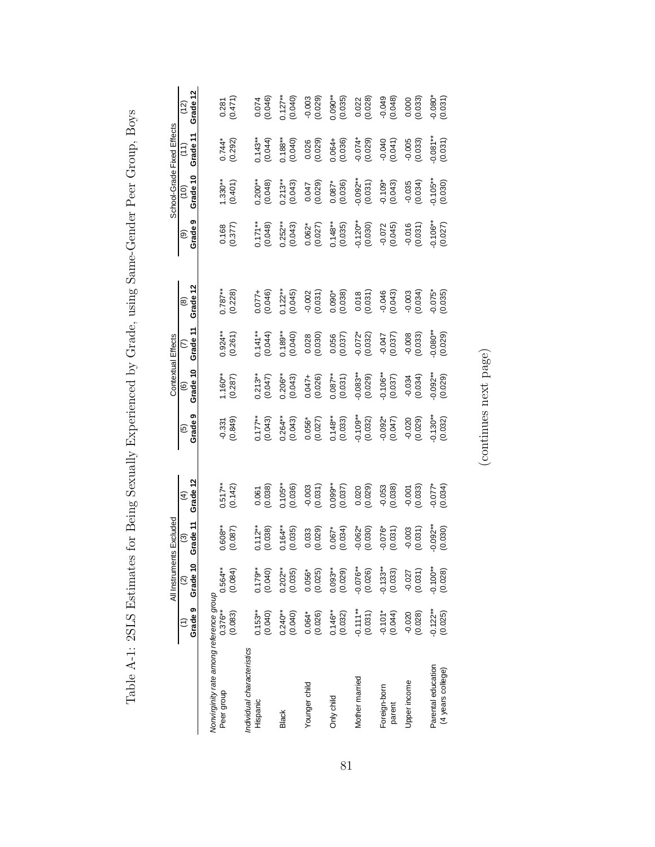|                                                       |                       | All Instruments Excluded       |                       |                                               |                        | Contextual Effects            |                       |                           |                         | School-Grade Fixed Effects         |                       |                        |
|-------------------------------------------------------|-----------------------|--------------------------------|-----------------------|-----------------------------------------------|------------------------|-------------------------------|-----------------------|---------------------------|-------------------------|------------------------------------|-----------------------|------------------------|
|                                                       | Grade <sub>9</sub>    | Grade 10<br>$\widehat{\Omega}$ | Grade 11<br>ම         | Grade 12<br>$\widehat{f}$                     | Grade 9<br>ම           | Grade 10<br>$\widehat{\circ}$ | Grade 11<br>ε         | Grade 12<br>$\circledast$ | Grade <sub>9</sub><br>ම | Grade 10<br>$\widehat{\mathsf{G}}$ | Grade 11              | Grade 12<br>(12)       |
| Nonvirginity rate among reference group<br>Peer group | $0.376***$            | $0.564**$                      | $0.608**$             | $0.517**$<br>(0.142)                          | $-0.331$<br>$(0.849)$  | (0.287)                       | $0.924***$            | $0.787**$<br>(0.228)      | $\frac{0.168}{(0.377)}$ | $-330**$                           | $0.744*$<br>(0.292)   | 0.281                  |
| Individual characteristics<br>Hispanic                | $0.153**$<br>(0.083)  | (0.084)                        | $0.112***$<br>(0.087) |                                               |                        |                               | (0.261)               |                           |                         | (0.401)                            |                       | (0.471)                |
|                                                       | (0.040)               | $0.179**$<br>(0.040)           | (0.038)               | $\begin{array}{c} 0.061 \\ 0.038 \end{array}$ | $0.177**$<br>(0.043)   | 0.213**<br>(0.047)            | $0.141**$<br>(0.044)  | $0.077 +$<br>(0.046)      | $0.171***$<br>(0.048)   | $0.200***$<br>$(0.048)$            | $0.143**$<br>(0.044)  | 0.074<br>(0.046)       |
| <b>Black</b>                                          | $0.240***$<br>(0.040) | $0.202***$<br>(0.035)          | $0.164***$<br>(0.035) | $0.105***$<br>(0.036)                         | $0.264***$<br>(0.043)  | $0.206**$<br>$(0.043)$        | $0.189**$<br>(0.040)  | $0.122***$<br>(0.045)     | $0.252**$<br>(0.043)    | $0.213***$<br>(0.043)              | $0.188**$<br>(0.040)  | $0.127**$<br>(0.040)   |
| Younger child                                         | (0.026)<br>$0.064*$   | $0.056*$<br>(0.025)            | $0.033$<br>(0.029)    | (0.0300)                                      | $0.056*$<br>(0.027)    | $0.047 +$<br>(0.026)          | (0.028)               | $-0.002$<br>$(0.031)$     | $0.062*$<br>(0.027)     | (6.047)                            | $0.026$<br>(0.029)    | (620.0)                |
| Only child                                            | $0.146**$<br>(0.032)  | $0.093***$<br>(0.029)          | $0.067*$<br>(0.034)   | $0.099**$<br>(0.037)                          | $0.148**$<br>(0.033)   | $0.087**$<br>(0.031)          | (0.056)               | $0.090*$<br>$(0.038)$     | $0.148**$<br>(0.035)    | $0.087*$<br>(0.036)                | $0.064 +$<br>(0.036)  | $0.090**$<br>(0.035)   |
| Mother married                                        | $-0.111**$<br>(0.031) | $-0.076**$<br>(0.026)          | $-0.062*$<br>(0.030)  | (620000000)                                   | $-0.109**$<br>(0.032)  | $-0.083**$<br>(0.029)         | $-0.072$ * $(0.032)$  | (0.018)                   | $-0.120**$<br>(0.030)   | $-0.092**$<br>(0.031)              | $-0.074*$<br>(0.029)  | $0.022$<br>$(0.028)$   |
| Foreign-born<br>parent                                | $-0.101*$<br>(0.044)  | $-0.133**$<br>(0.033)          | $-0.076*$<br>(0.031)  | (6.036)                                       | $-0.092*$<br>$(0.047)$ | $-0.106**$<br>(0.037)         | (250.0)               | $-0.046$<br>$(0.043)$     | $-0.072$<br>(0.045)     | $-0.109*$<br>(0.043)               | (0.041)               | $(640.0 - 0.048)$      |
| Upper income                                          | (0.028)<br>$-0.020$   | $-0.027$<br>(0.031)            | (0.003)               | (0.001)                                       | (0.020)                | (0.034)                       | $-0.008$<br>$(0.033)$ | (0.003)                   | (0.031)                 | $-0.035$<br>$(0.034)$              | $-0.005$<br>$(0.033)$ | $0.000$<br>$(0.033)$   |
| Parental education<br>(4 years college)               | $-0.122**$<br>(0.025) | $-0.100**$<br>(0.028)          | $-0.092**$<br>(0.030) | $-0.077*$<br>(0.034)                          | $-0.130**$<br>(0.032)  | $-0.092**$                    | $-0.080**$            | $(0.075)$<br>$(0.035)$    | $-0.106**$<br>(0.027)   | $-0.105**$<br>(0.030)              | $0.081***$<br>(0.031) | $-0.080*$<br>$(0.031)$ |

Table A-1: 2SLS Estimates for Being Sexually Experienced by Grade, using Same-Gender Peer Group, Boys Table A-1: 2SLS Estimates for Being Sexually Experienced by Grade, using Same-Gender Peer Group, Boys

 $\left(\text{continues next page}\right)$ (continues next page)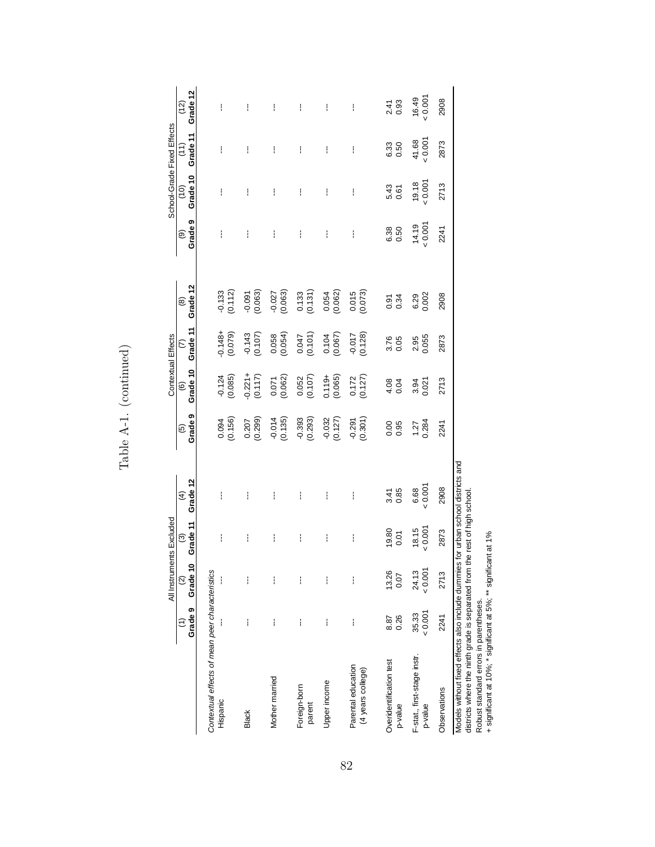|                                                                                                                                                                                                                                             |                | All Instruments Excluded          |                                     |                                |                                 | Contextual Effects         |                         |                           |                                          | School-Grade Fixed Effects |                               |                      |
|---------------------------------------------------------------------------------------------------------------------------------------------------------------------------------------------------------------------------------------------|----------------|-----------------------------------|-------------------------------------|--------------------------------|---------------------------------|----------------------------|-------------------------|---------------------------|------------------------------------------|----------------------------|-------------------------------|----------------------|
|                                                                                                                                                                                                                                             |                | Grade 9 Grade 10<br>$\widehat{a}$ | Grade 11<br>$\widehat{\mathcal{O}}$ | Grade 12<br>$\widehat{4}$      | Grade 9<br>$\widetilde{\Theta}$ | Grade 10<br>$\circledcirc$ | Grade 11<br>$\tilde{c}$ | Grade 12<br>$\circledast$ | Grade <sub>9</sub><br>$\widehat{\Theta}$ | Grade 10<br>$\frac{1}{2}$  | Grade 11<br>$\left(11\right)$ | Grade 12<br>(12)     |
| Contextual effects of mean peer characteristics<br>Hispanic                                                                                                                                                                                 |                |                                   | I                                   | ì                              | (0.156)                         | $-0.124$<br>$(0.085)$      | $-0.148 +$<br>(0.079)   | $-0.133$<br>$(0.112)$     | I                                        | ł                          | ì                             | ł                    |
| <b>Black</b>                                                                                                                                                                                                                                | I              | i                                 | ł                                   | ł                              | (0.299)<br>0.207                | $-0.221 +$<br>(0.117)      | $-0.143$<br>$(0.107)$   | $-0.091$<br>$(0.063)$     | ł                                        | ł                          | I                             | ł                    |
| Mother married                                                                                                                                                                                                                              | ł              |                                   | ł                                   | I                              | (0.135)<br>$-0.014$             | $0.071$<br>$(0.062)$       | (0.058)                 | $-0.027$<br>$(0.063)$     | ł                                        | ł                          | ł                             | ł                    |
| Foreign-born<br>parent                                                                                                                                                                                                                      | ł              | i                                 | I                                   | ŧ                              | $-0.393$<br>$(0.293)$           | $0.052$<br>$(0.107)$       | (0.101)                 | $\frac{0.133}{(0.131)}$   | ł                                        | ł                          | ł                             | ł                    |
| Upper income                                                                                                                                                                                                                                | ł              | i                                 | I                                   | ł                              | $-0.032$<br>$(0.127)$           | $0.119 +$<br>(0.065)       | $(0.104$<br>$(0.067)$   | $0.054$<br>$(0.062)$      | ł                                        | I                          | ł                             | ŧ                    |
| Parental education<br>(4 years college)                                                                                                                                                                                                     | ł              |                                   | ł                                   | ł                              | $-0.291$<br>$(0.301)$           | $0.172$<br>$(0.127)$       | $-0.017$<br>$(0.128)$   | $0.015$<br>$(0.073)$      | ł                                        | ł                          | ł                             | ł                    |
| Overidentification test<br>p-value                                                                                                                                                                                                          | 0.26<br>8.87   | 13.26<br>0.07                     | 19.80<br>0.01                       | 0.85<br>3.41                   | 0.05<br>0.95                    | $4.08$<br>0.04             | 3.76<br>0.05            | 0.34<br>0.91              | 0.50<br>6.38                             | 5.43<br>0.61               | 0.50<br>6.33                  | $2.41$<br>0.93       |
| F-stat., first-stage instr.<br>p-value                                                                                                                                                                                                      | 0.001<br>35.33 | 0.001<br>24.13                    | 0.001<br>18.15                      | $6.68$<br>$0.001$              | $1.27$<br>0.284                 | 3.94<br>0.021              | 0.055<br>2.95           | 6.29<br>0.002             | $14.19$<br>$-0.001$                      | $19.18$<br>$\times 0.001$  | 41.68                         | $16.49$<br>$- 0.001$ |
| Observations                                                                                                                                                                                                                                | 2241           | 2713                              | 2873                                | 2908                           | 2241                            | 2713                       | 2873                    | 2908                      | 2241                                     | 2713                       | 2873                          | 2908                 |
| districts where the ninth grade is separated from the rest of high school<br>+ significant at 10%; * significant at 5%; ** significant at 1%<br>Models without fixed effects also include dummies<br>Robust standard errors in parentheses. |                |                                   |                                     | for urban school districts and |                                 |                            |                         |                           |                                          |                            |                               |                      |

Table A-1. (continued) Table A-1. (continued)

+ significant at 10%; \* significant at 5%; \*\* significant at 1%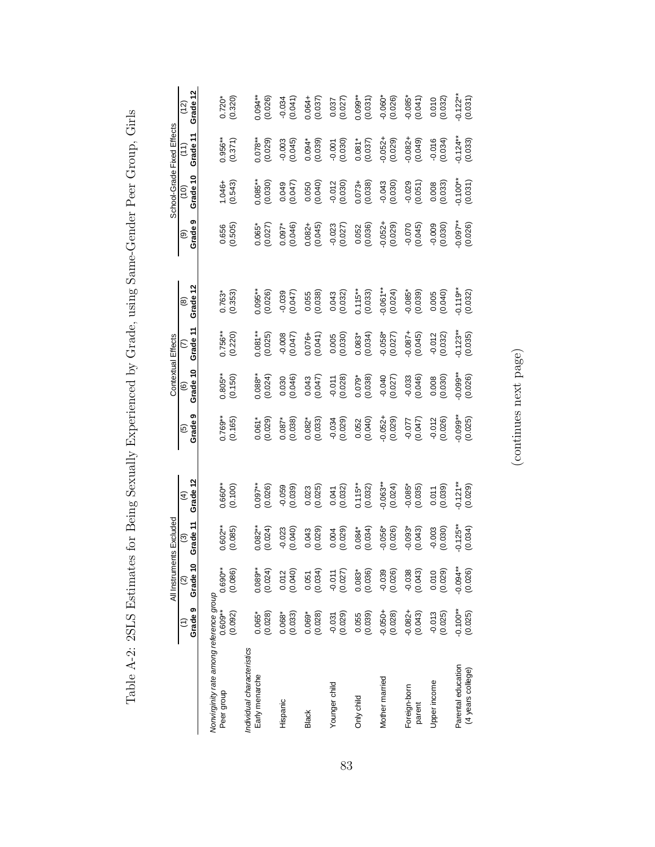|                                                       |                         | All Instruments Excluded |                       |                                  |                       | Contextual Effects    |                        |                                               |                         | School-Grade Fixed Effects |                         |                           |
|-------------------------------------------------------|-------------------------|--------------------------|-----------------------|----------------------------------|-----------------------|-----------------------|------------------------|-----------------------------------------------|-------------------------|----------------------------|-------------------------|---------------------------|
|                                                       | Grade 9                 | Grade 10                 | Grade 11<br>ල         | Grade 12<br>⊕                    | თ<br>Grade<br>قا      | Grade 10<br>ම         | Grade 11               | Grade 12<br>@                                 | თ<br>Grade<br>ම         | Grade 10<br>$\frac{1}{2}$  | Grade 11<br>E           | Grade 12<br><u>์ (12)</u> |
| Nonvirginity rate among reference group<br>Peer group | $0.609**$<br>(0.092)    | $0.690**$<br>(0.086)     | $0.602***$<br>(0.085) | 1.660**<br>(0.100)               | $0.769**$<br>(0.165)  | $0.805**$<br>(0.150)  | $0.756**$<br>(0.220)   | $0.763*$<br>$(0.353)$                         | $(0.556)$<br>$(0.505)$  | $1.046 +$<br>(0.543)       | $0.956**$<br>$(0.371)$  | $0.720*$<br>$(0.320)$     |
| Individual characteristics<br>Early menarche          | (0.028)<br>$0.065*$     | (0.024)<br>$0.089**$     | $0.082***$<br>(0.024) | $0.097***$<br>(0.026)            | $0.061*$<br>$(0.029)$ | $0.088**$<br>(0.024)  | $0.081***$<br>(0.025)  | 0.095**<br>(0.026)                            | $0.065*$<br>(0.027)     | $0.085**$<br>(0.030)       | $0.078**$<br>(0.029)    | 0.094**<br>(0.026)        |
| Hispanic                                              | (0.033)<br>$0.068*$     | $0.012$<br>$(0.040)$     | $-0.023$<br>$(0.040)$ | (650.0)                          | (0.038)<br>$0.087*$   | (0.030)               | (0.047)                | (270.00)<br>(0.047)                           | $0.097*$<br>(0.046)     | 0.047)<br>(0.047)          | (0.003)                 | (0.041)                   |
| <b>Black</b>                                          | $0.069*$<br>$(0.028)$   | (0.051)                  | (0.029)<br>0.043      | $0.023$<br>$(0.025)$             | $0.082*$<br>(0.033)   | (0.047)               | $0.076 +$<br>(0.041)   | $\begin{array}{c} 0.055 \\ 0.038 \end{array}$ | $0.082 +$<br>$(0.045)$  | (0.050)                    | $0.094*0.010000$        | $0.064 +$<br>$(0.037)$    |
| Younger child                                         | (620.0)                 | $-0.011$<br>(0.027)      | $0.004$<br>(0.029)    | (0.041)                          | (620.0)               | $-0.011$<br>$(0.028)$ | $0.005$<br>$(0.030)$   | $0.043$<br>$(0.032)$                          | $-0.023$<br>$(0.027)$   | $-0.012$<br>(0.030)        | (0.030)                 | (0.037)                   |
| Only child                                            | $0.055$<br>$(0.039)$    | $0.083*$<br>(0.036)      | $(0.084*0.034)$       | $0.115***$<br>(0.032)            | 0.052<br>(0.040)      | $0.079*$<br>(0.038)   | $0.083*$<br>$(0.034)$  | $0.115***$<br>(0.033)                         | $0.052$<br>$(0.036)$    | $(0.073 +$                 | $0.081*$<br>(0.037)     | $0.099**$<br>(0.031)      |
| Mother married                                        | $-0.050 +$<br>$(0.028)$ | $-0.039$<br>$(0.026)$    | $-0.056*$<br>(0.026)  | $-0.063***$<br>(0.024)           | $-0.052 +$<br>(0.029) | (0.040)               | $-0.058*$<br>$(0.027)$ | $-0.061**$<br>(0.024)                         | $-0.052 +$<br>$(0.029)$ | $-0.043$<br>(0.030)        | $-0.052 +$<br>(0.029)   | $-0.060*$<br>(0.026)      |
| Foreign-born<br>parent                                | $-0.082 +$<br>(0.043)   | $-0.038$<br>$(0.043)$    | $-0.093*$<br>(0.043)  | $-0.085$ <sup>*</sup><br>(0.035) | (0.047)               | $-0.033$<br>$(0.046)$ | $-0.087 +$<br>(0.045)  | $-0.085*$<br>(0.039)                          | $-0.070$<br>(0.045)     | $-0.029$<br>$(0.051)$      | $-0.082 +$<br>$(0.049)$ | $-0.085*$<br>$(0.041)$    |
| Upper income                                          | (0.025)<br>$-0.013$     | (0.010)                  | (0.030)<br>$-0.003$   | (0.011)                          | $-0.012$<br>$(0.026)$ | (0.008)               | $-0.012$<br>$(0.032)$  | (0.005)                                       | (0.030)                 | (0.008)                    | (0.034)                 | (0.010)                   |
| Parental education<br>(4 years college)               | $-0.100**$<br>(0.025)   | $-0.094**$<br>(0.026)    | $-0.125**$<br>(0.034) | $-0.121**$<br>(0.029)            | $0.099**$<br>(0.025)  | $-0.099**$<br>(0.026) | $-0.123**$<br>(0.035)  | $-0.119***$<br>(0.032)                        | $0.097***$<br>(0.026)   | $-0.100**$<br>(0.031)      | $-0.124**$<br>(0.033)   | $-0.122**$<br>(0.031)     |

Table A-2: 2SLS Estimates for Being Sexually Experienced by Grade, using Same-Gender Peer Group, Girls Table A-2: 2SLS Estimates for Being Sexually Experienced by Grade, using Same-Gender Peer Group, Girls

 $\left(\text{continues next page}\right)$ (continues next page)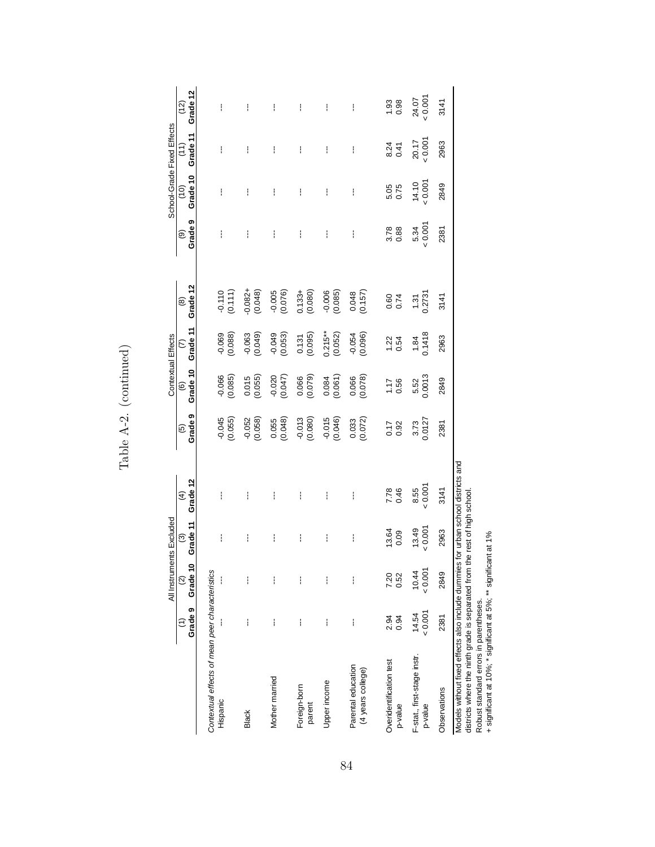|                                                                                                                                                                                                                                             |                | All Instruments Excluded       |                                     |                                |                           | Contextual Effects         |                        |                           |                         | School-Grade Fixed Effects |                  |                                             |
|---------------------------------------------------------------------------------------------------------------------------------------------------------------------------------------------------------------------------------------------|----------------|--------------------------------|-------------------------------------|--------------------------------|---------------------------|----------------------------|------------------------|---------------------------|-------------------------|----------------------------|------------------|---------------------------------------------|
|                                                                                                                                                                                                                                             | Grade 9        | Grade 10<br>$\widehat{\infty}$ | Grade 11<br>$\widehat{\mathcal{C}}$ | Grade 12<br>$\widehat{f}$      | Grade 9<br>$\overline{6}$ | Grade 10<br>$\circledcirc$ | Grade 11<br>$\epsilon$ | Grade 12<br>$\circledast$ | Grade <sub>9</sub><br>ම | Grade 10<br>$\frac{1}{2}$  | Grade 11<br>(11) | Grade 12<br>(12)                            |
| Contextual effects of mean peer characteristics<br>Hispanic                                                                                                                                                                                 |                |                                | ł                                   | I                              | $-0.045$<br>(0.055)       | $-0.066$<br>$(0.085)$      | (0.068)                | $-0.110$<br>$(0.111)$     | ł                       | ł                          | I                | ł                                           |
| <b>Black</b>                                                                                                                                                                                                                                | I              | I                              | I                                   | I                              | $-0.052$<br>(0.058)       | (0.015)                    | $(640.0 - 0.063)$      | $-0.082 +$<br>(0.048)     | I                       | ł                          | i                | I                                           |
| Mother married                                                                                                                                                                                                                              | ł              | i                              | ł                                   | ł                              | (0.048)<br>0.055          | $-0.020$<br>$(0.047)$      | $-0.049$<br>$(0.053)$  | $-0.005$<br>$(0.076)$     | ł                       | ł                          | i                | ł                                           |
| Foreign-born<br>parent                                                                                                                                                                                                                      | ł              | i                              | ł                                   | ŧ                              | $-0.013$<br>(0.080)       | $0.066$<br>$(0.079)$       | (0.131)                | $(0.133 +$<br>$(0.080)$   | ł                       | ł                          | ł                | ŧ                                           |
| Upper income                                                                                                                                                                                                                                | ł              | i                              | I                                   | ł                              | $-0.015$<br>(0.046)       | (0.084)                    | $0.215**$<br>(0.052)   | $-0.006$<br>$(0.085)$     | ł                       | ł                          | ł                | ł                                           |
| Parental education<br>(4 years college)                                                                                                                                                                                                     | ł              |                                | ł                                   | ł                              | $0.033$<br>$(0.072)$      | 0.066<br>(0.078)           | $-0.054$<br>(0.096)    | $0.048$<br>$(0.157)$      | ł                       | I                          | ł                | ł                                           |
| Overidentification test<br>p-value                                                                                                                                                                                                          | 2.94<br>0.94   | 7.20<br>0.52                   | 13.64<br>0.09                       | 7.78<br>0.46                   | 0.17<br>0.92              | $1.17$<br>0.56             | $1.22$<br>0.54         | 0.60<br>0.74              | $3.78$<br>$0.88$        | 5.05<br>0.75               | $8.24$<br>0.41   | $\begin{array}{c} 1.93 \\ 0.98 \end{array}$ |
| F-stat., first-stage instr.<br>p-value                                                                                                                                                                                                      | 0.001<br>14.54 | $10.44$<br>$< 0.001$           | $13.49$<br>$< 0.001$                | $8.55$<br>$0.001$              | 3.73<br>0.0127            | 5.52<br>0.0013             | 1.84<br>0.1418         | $\frac{1.31}{0.2731}$     | $5.34$<br>< $0.001$     | $14.10$<br>$0.001$         | 20.17            | $24.07$<br>< 0.001                          |
| Observations                                                                                                                                                                                                                                | 2381           | 2849                           | 2963                                | 3141                           | 2381                      | 2849                       | 2963                   | 3141                      | 2381                    | 2849                       | 2963             | 3141                                        |
| districts where the ninth grade is separated from the rest of high school<br>+ significant at 10%; * significant at 5%; ** significant at 1%<br>Models without fixed effects also include dummies<br>Robust standard errors in parentheses. |                |                                |                                     | for urban school districts and |                           |                            |                        |                           |                         |                            |                  |                                             |

Table A-2. (continued) Table A-2. (continued)

84

+ significant at 10%; \* significant at 5%; \*\* significant at 1%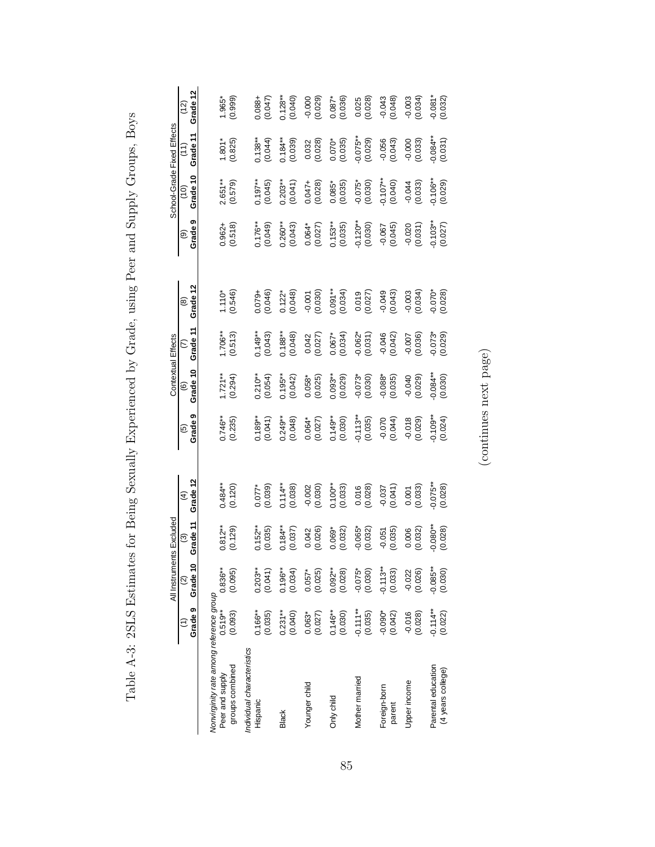|                                                                               |                        | All Instruments Excluded       |                       |                       |                       | Contextual Effects            |                                  |                       |                       | School-Grade Fixed Effects |                       |                        |
|-------------------------------------------------------------------------------|------------------------|--------------------------------|-----------------------|-----------------------|-----------------------|-------------------------------|----------------------------------|-----------------------|-----------------------|----------------------------|-----------------------|------------------------|
|                                                                               | Grade 9                | Grade 10<br>$\widehat{\infty}$ | Grade 11<br>ම         | Grade 12<br>E)        | Grade 9<br>ම          | Grade 10<br>$\widehat{\circ}$ | Grade 11<br>$\widehat{\epsilon}$ | Grade 12<br>@         | Grade 9<br>ම          | Grade 10<br>(10)           | Grade 11<br>(11)      | Grade 12<br>(12)       |
| Nonvirginity rate among reference group<br>groups combined<br>Peer and supply | $0.519***$<br>(0.093)  | $0.836**$<br>(0.095)           | $0.812***$<br>(0.129) | $0.484***$<br>(0.120) | $0.746**$<br>(0.235)  | $1.721**$<br>(0.294)          | $1.706**$<br>(0.513)             | $1.110*$<br>$(0.546)$ | $0.962 +$<br>(0.518)  | $2.651***$<br>(0.579)      | (0.825)<br>$1.801*$   | (0.999)<br>1.965*      |
| Individual characteristics<br>Hispanic                                        | $0.166***$<br>(0.035)  | (0.041)<br>$0.203**$           | $0.152**$<br>(0.035)  | $(0.077$ *<br>(0.039) | $0.189**$<br>(0.041)  | $0.210***$<br>(0.054)         | 0.149**<br>(0.043)               | $0.079 +$<br>(0.046)  | $(0.176**$            | $0.197**$<br>(0.045)       | $0.138**$<br>(0.044)  | $0.088 +$<br>(0.047)   |
| <b>Black</b>                                                                  | $0.231**$<br>(0.040)   | $0.196***$<br>(0.034)          | $0.184***$<br>(0.037) | $0.114**$<br>(0.038)  | $0.249***$<br>(0.048) | $0.195***$<br>(0.042)         | $0.188**$<br>(0.048)             | $0.122*$<br>$(0.048)$ | $0.260***$<br>(0.043) | $0.203**$<br>(0.041)       | $0.184**$<br>(0.039)  | $0.128**$<br>$(0.040)$ |
| Younger child                                                                 | $0.063*$<br>(0.027)    | (0.025)<br>$0.057*$            | (0.026)<br>0.042      | (0.030)               | $0.064*$<br>(0.027)   | $0.058*$<br>$(0.025)$         | $0.042$<br>(0.027)               | (0.030)               | $0.064*$<br>(0.027)   | $0.047 +$<br>(0.028)       | $0.032$<br>$(0.028)$  | (620)                  |
| Only child                                                                    | $0.146***$<br>(0.030)  | $0.092***$<br>(0.028)          | $0.069*$<br>$(0.032)$ | $0.100**$<br>(0.033)  | $0.149**$<br>(0.030)  | $0.093***$<br>(0.029)         | $0.067*$<br>(0.034)              | $0.091**$<br>(0.034)  | $0.153**$<br>(0.035)  | $0.085*$<br>(0.035)        | $0.070*$<br>(0.035)   | $0.087*$<br>(0.036)    |
| Mother married                                                                | $-0.111**$<br>(0.035)  | $-0.075*$                      | $-0.065*$<br>(0.032)  | $0.016$<br>$(0.028)$  | $-0.113**$<br>(0.035) | $-0.073*$                     | $-0.062*$<br>$(0.031)$           | (0.019)               | $-0.120**$<br>(0.030) | $-0.075*$<br>(0.030)       | $-0.075***$           | $0.025$<br>$(0.028)$   |
| Foreign-born<br>parent                                                        | $-0.090*$<br>$(0.042)$ | $-0.113**$<br>(0.033)          | $-0.051$<br>$(0.035)$ | (140.01)<br>180.0-    | (0.044)               | $-0.088*$<br>$(0.035)$        | $-0.046$<br>(0.042)              | (60.043)              | $-0.067$<br>(0.045)   | $-0.107**$                 | $-0.056$<br>$(0.043)$ | $-0.043$<br>$(0.048)$  |
| Upper income                                                                  | $-0.016$<br>$(0.028)$  | $-0.022$<br>$(0.026)$          | (0.032)<br>0.006      | $0.001$<br>$(0.033)$  | (620.0)               | (620.0)                       | (0.007)                          | (0.036)               | $-0.020$<br>$(0.031)$ | $-0.044$<br>(0.033)        | (0.0000)              | (6.0300)               |
| Parental education<br>(4 years college)                                       | $-0.114**$<br>(0.022)  | $-0.085***$<br>(0.030)         | $-0.080**$<br>(0.028) | $-0.075**$<br>(0.028) | $-0.109**$<br>(0.024) | (0.030)                       | $-0.073$ * $(0.029)$             | $-0.070*0.00$         | $-0.103**$<br>(0.027) | $-0.106**$<br>(0.029)      | $0.084**$<br>(0.031)  | $-0.081*$<br>$(0.032)$ |

Table A-3: 2SLS Estimates for Being Sexually Experienced by Grade, using Peer and Supply Groups, Boys Table A-3: 2SLS Estimates for Being Sexually Experienced by Grade, using Peer and Supply Groups, Boys

 $\left(\text{continues next page}\right)$ (continues next page)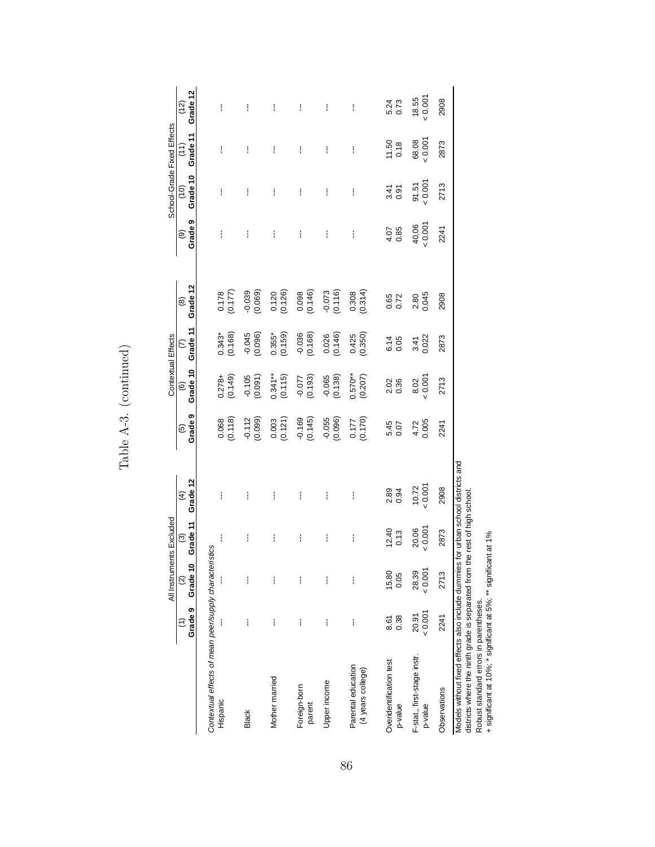|                                                                                                                                                                                                                                             |                | All Instruments Excluded  |                                     |                                |                           | Contextual Effects                 |                                  |                                                 |                         | School-Grade Fixed Effects |                               |                    |
|---------------------------------------------------------------------------------------------------------------------------------------------------------------------------------------------------------------------------------------------|----------------|---------------------------|-------------------------------------|--------------------------------|---------------------------|------------------------------------|----------------------------------|-------------------------------------------------|-------------------------|----------------------------|-------------------------------|--------------------|
|                                                                                                                                                                                                                                             | Grade 9<br>Ξ   | Grade 10<br>$\widehat{c}$ | Grade 11<br>$\widehat{\mathcal{O}}$ | Grade 12<br>$\widehat{4}$      | Grade 9<br>$\overline{6}$ | Grade 10<br>$\widehat{\mathbf{e}}$ | Grade 11<br>$\widehat{\epsilon}$ | Grade 12<br>$\circledast$                       | Grade <sub>9</sub><br>ම | Grade 10<br>(10)           | Grade 11<br>$\widetilde{(-)}$ | Grade 12<br>(12)   |
| Contextual effects of mean peer/supply characteristics<br>Hispanic                                                                                                                                                                          |                |                           | ł                                   | ł                              | $0.068$<br>$(0.118)$      | (0.149)<br>$0.278 +$               | $0.343*$<br>(0.168)              | (0.178)                                         | ł                       | ł                          | ł                             | ŧ                  |
| <b>Black</b>                                                                                                                                                                                                                                | I              | ì                         | ł                                   | ł                              | $-0.112$<br>(0.099)       | $-0.105$<br>$(0.091)$              | $-0.045$<br>$(0.096)$            | (690.0)                                         | ł                       | ł                          | ł                             | ł                  |
| Mother married                                                                                                                                                                                                                              | ł              | i                         | ł                                   | ł                              | $0.003$<br>$(0.121)$      | $0.341***$<br>(0.115)              | $0.355*$<br>$(0.159)$            | $\begin{array}{c} 0.120 \\ (0.126) \end{array}$ | ł                       | ł                          | ŧ                             | ł                  |
| Foreign-born<br>parent                                                                                                                                                                                                                      | I              | i                         | ł                                   | I                              | $-0.169$<br>$(0.145)$     | (61.07)                            | $-0.036$<br>$(0.168)$            | $\begin{array}{c} 0.098 \\ (0.146) \end{array}$ | ł                       | ł                          | I                             | ł                  |
| Upper income                                                                                                                                                                                                                                | ł              | i                         | I                                   | ł                              | $-0.055$<br>$(0.096)$     | $-0.065$<br>$(0.138)$              | $0.026$<br>$(0.146)$             | $-0.073$<br>$(0.116)$                           | ł                       | I                          | ł                             | ł                  |
| Parental education<br>(4 years college)                                                                                                                                                                                                     | ł              | I                         | ł                                   | ł                              | (0.177)                   | $0.570**$<br>(0.207)               | $(0.425)$<br>$(0.350)$           | $0.308$<br>$(0.314)$                            | ł                       | ł                          | ł                             | ł                  |
| Overidentification test<br>p-value                                                                                                                                                                                                          | 0.38<br>8.61   | 15.80<br>0.05             | 12.40<br>0.13                       | 0.94<br>2.89                   | 5.45<br>0.07              | 2.02<br>0.36                       | 0.05<br>6.14                     | 0.65<br>0.72                                    | 0.85<br>4.07            | 3.41<br>0.91               | 11.50<br>0.18                 | 5.24<br>0.73       |
| F-stat., first-stage instr.<br>p-value                                                                                                                                                                                                      | 0.001<br>20.91 | 0.001<br>28.39            | $20.06$<br>< $0.007$                | 10.72                          | 4.72<br>0.005             | 8.02<br>0.001                      | 3.41<br>0.022                    | 2.80<br>0.045                                   | $40.06$<br>$0.007$      | $91.51$<br>< $0.001$       | 0.001<br>68.08                | $18.55$<br>$0.001$ |
| Observations                                                                                                                                                                                                                                | 2241           | 2713                      | 2873                                | 2908                           | 2241                      | 2713                               | 2873                             | 2908                                            | 2241                    | 2713                       | 2873                          | 2908               |
| districts where the ninth grade is separated from the rest of high school<br>+ significant at 10%; * significant at 5%; ** significant at 1%<br>Models without fixed effects also include dummies<br>Robust standard errors in parentheses. |                |                           |                                     | for urban school districts and |                           |                                    |                                  |                                                 |                         |                            |                               |                    |

Table A-3. (continued) Table A-3. (continued)

86

+ significant at 10%; \* significant at 5%; \*\* significant at 1%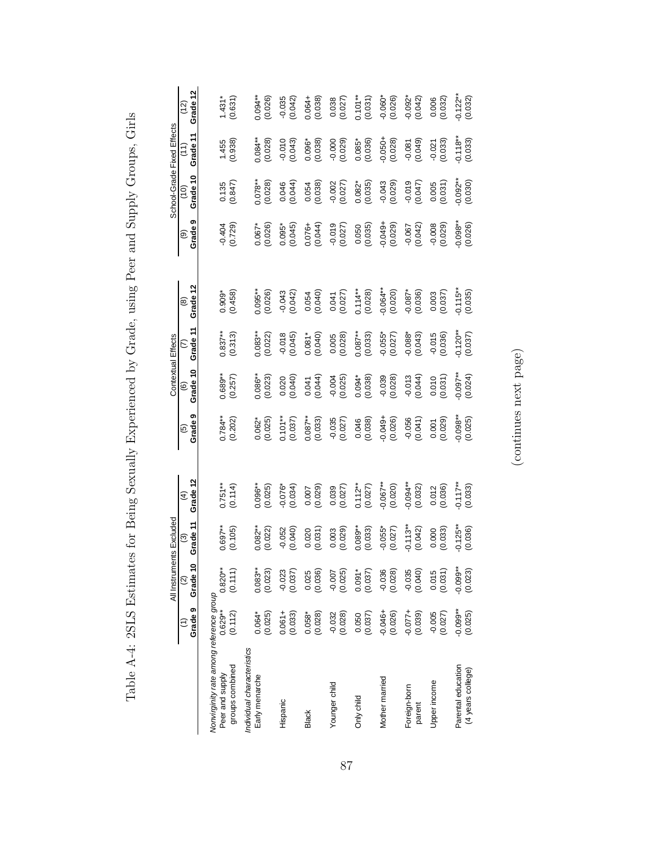|                                                                               |                       | All Instruments Excluded |                       |                        |                       | Contextual Effects     |                        |                       |                              | School-Grade Fixed Effects |                         |                           |
|-------------------------------------------------------------------------------|-----------------------|--------------------------|-----------------------|------------------------|-----------------------|------------------------|------------------------|-----------------------|------------------------------|----------------------------|-------------------------|---------------------------|
|                                                                               | Grade 9               | Grade 10                 | Grade 11<br>ල         | Grade 12<br>⊕          | თ<br>Grade<br>قا      | Grade 10<br>ම          | Grade 11               | Grade 12<br>@         | თ<br>Grade <sup>®</sup><br>ම | Grade 10<br>$\frac{1}{2}$  | Grade 11<br>E           | Grade 12<br><u>์ (12)</u> |
| Nonvirginity rate among reference group<br>groups combined<br>Peer and supply | $0.629**$<br>(0.112)  | $0.820**$<br>(0.111)     | $0.697***$<br>(0.105) | $0.751***$<br>(0.114)  | $0.784**$<br>(0.202)  | $0.689**$<br>(0.257)   | $0.837***$<br>(0.313)  | $0.909*$<br>$(0.458)$ | $-0.404$<br>$(0.729)$        | $\frac{0.135}{0.847}$      | 1.455<br>(0.938)        | $1.431*$<br>(0.631)       |
| Individual characteristics<br>Early menarche                                  | $0.064*$<br>(0.025)   | (0.023)<br>$0.083**$     | $0.082***$<br>(0.022) | $0.096***$<br>(0.025)  | $0.062*$<br>$(0.025)$ | 1.086**<br>(0.023)     | $0.083**$<br>(0.022)   | $0.095**$<br>(0.026)  | $0.067*$<br>(0.026)          | $0.078**$<br>(0.028)       | (0.028)<br>$0.084***$   | $0.094**$<br>(0.026)      |
| Hispanic                                                                      | (0.033)<br>$0.061 +$  | $-0.023$<br>(0.037)      | $-0.052$<br>$(0.040)$ | $-0.076$ * $(0.034)$   | $0.101***$<br>(0.037) | $0.020$<br>$(0.040)$   | (0.018)                | (0.043)               | $0.095*$<br>$(0.045)$        | $0.046$<br>$(0.044)$       | (0.010)                 | $-0.035$<br>$(0.042)$     |
| <b>Black</b>                                                                  | $0.058*$<br>$(0.028)$ | $0.025$<br>$(0.036)$     | (0.031)<br>0.020      | (620)                  | $0.087***$            | (0.041)                | $0.081*$<br>(0.040)    | (0.054)               | 0.076+<br>(0.044)            | $0.054$<br>$(0.038)$       | $0.096*$<br>$(0.038)$   | $0.064 +$<br>$(0.038)$    |
| Younger child                                                                 | $-0.032$<br>$(0.028)$ | $-0.007$<br>(0.025)      | $0.003$<br>$(0.029)$  | (0.039)                | $-0.035$<br>(0.027)   | $-0.004$<br>(0.025)    | $0.005$<br>$(0.028)$   | (0.041)               | (0.027)                      | $-0.002$<br>(0.027)        | (620)                   | (0.038)                   |
| Only child                                                                    | $0.050$<br>$(0.037)$  | $0.091*$<br>(0.037)      | $0.089***$<br>(0.033) | $0.112***$<br>(0.027)  | $0.046$<br>$(0.038)$  | $0.094*$<br>(0.038)    | $0.087**$<br>(0.033)   | $0.114**$<br>(0.028)  | (0.050)                      | $0.082*$<br>(0.035)        | $0.085*$<br>(0.036)     | $0.101**$<br>(0.031)      |
| Mother married                                                                | $-0.046+$<br>(0.026)  | $-0.036$<br>$(0.028)$    | $-0.055*$<br>(0.027)  | $-0.067***$<br>(0.020) | $-0.049 +$<br>(0.026) | (6.028)                | $-0.055*$<br>$(0.027)$ | $-0.064**$<br>(0.020) | $-0.049 +$<br>(0.029)        | $-0.043$<br>(0.029)        | $-0.050 +$<br>$(0.028)$ | $-0.060*$<br>(0.026)      |
| Foreign-born<br>parent                                                        | $+210.07$             | $-0.035$<br>(0.040)      | $0.113***$<br>(0.042) | $-0.094***$<br>(0.032) | $-0.056$<br>$(0.041)$ | $-0.013$<br>$(0.044)$  | $-0.088$ * $(0.043)$   | $-0.087*$             | $-0.067$<br>$(0.042)$        | (210.0)                    | (6400)                  | $-0.092*$<br>$(0.042)$    |
| Upper income                                                                  | (0.027)<br>$-0.005$   | $0.015$<br>$(0.031)$     | $0.000$<br>$(0.033)$  | $0.012$<br>$(0.036)$   | (0.001)               | (0.010)                | $-0.015$<br>$(0.036)$  | (0.003)               | $(62000 -$                   | (0.005)                    | $-0.021$<br>$(0.033)$   | $0.006$<br>$(0.032)$      |
| Parental education<br>(4 years college)                                       | $-0.099**$<br>(0.025) | $-0.099**$<br>(0.023)    | $-0.125**$<br>(0.036) | $-0.117**$<br>(0.033)  | $0.098**$<br>(0.025)  | $-0.097***$<br>(0.024) | $-0.120**$<br>(0.037)  | $-0.115**$<br>(0.035) | $0.098**$<br>(0.026)         | $-0.092***$                | $-0.118**$<br>(0.033)   | $-0.122**$<br>(0.032)     |

Table A-4: 2SLS Estimates for Being Sexually Experienced by Grade, using Peer and Supply Groups, Girls Table A-4: 2SLS Estimates for Being Sexually Experienced by Grade, using Peer and Supply Groups, Girls

 $\left(\text{continues next page}\right)$ (continues next page)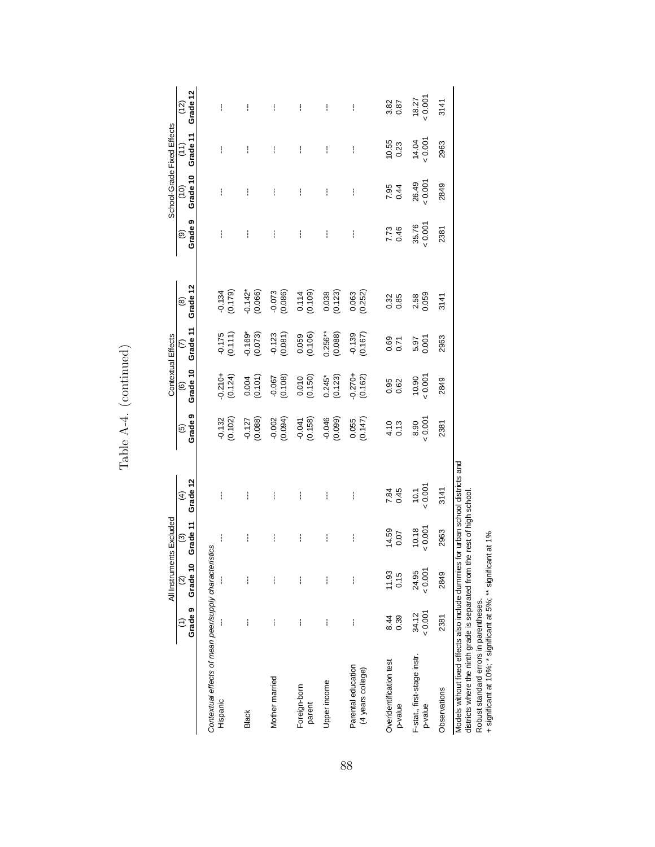| School-Grade Fixed Effects | Grade 12<br>(12)<br>Grade 11<br>$\left( \begin{matrix} 1 \ 1 \end{matrix} \right)$ | ł<br>I                                                             | ł<br>I                 | ł<br>i                | ł<br>i                 | ł<br>i               | ł<br>İ                                  | $3.82$<br>$0.87$<br>$10.55$<br>$0.23$ | $18.27$<br>$\times 0.001$<br>$14.04$<br>$\times 0.001$ | 3141<br>2963 |                                                                                                                                                                                                         |
|----------------------------|------------------------------------------------------------------------------------|--------------------------------------------------------------------|------------------------|-----------------------|------------------------|----------------------|-----------------------------------------|---------------------------------------|--------------------------------------------------------|--------------|---------------------------------------------------------------------------------------------------------------------------------------------------------------------------------------------------------|
|                            | Grade 10<br>$\binom{0}{1}$<br>Grade <sub>9</sub><br>$\widehat{\Theta}$             | ł<br>ł                                                             | ł<br>ł                 | ł<br>I                | ŧ<br>ŧ                 | ŧ<br>ł               | ł<br>ł                                  | 7.95<br>0.44<br>7.73<br>0.46          | 26.49<br>35.76                                         | 2849<br>2381 |                                                                                                                                                                                                         |
|                            | Grade 12<br>$\circledR$                                                            | (61.10)                                                            | $-0.142*$<br>(0.066)   | $-0.073$<br>$(0.086)$ | $(0.114)$<br>$(0.109)$ | $0.038$<br>$(0.123)$ | $0.063$<br>$(0.252)$                    | 0.32<br>0.85                          | 2.58<br>0.059                                          | 3141         |                                                                                                                                                                                                         |
| Contextual Effects         | Grade 11<br>$\widehat{\epsilon}$                                                   | $-0.175$<br>(0.111)                                                | $-0.169*$<br>$(0.073)$ | $-0.123$<br>$(0.081)$ | 0.059<br>(0.106)       | $0.256**$<br>(0.088) | $-0.139$<br>$(0.167)$                   | 0.69<br>0.71                          | 5.97                                                   | 2963         |                                                                                                                                                                                                         |
|                            | Grade 10<br>$\widehat{\circ}$                                                      | $-0.210+$<br>(0.124)                                               | $0.004$<br>$(0.101)$   | $-0.067$<br>$(0.108)$ | $0.010$<br>$(0.150)$   | $0.245*$<br>(0.123)  | $-0.270+$<br>(0.162)                    | 0.95<br>0.62                          | $10.90$<br>$0.007$                                     | 2849         |                                                                                                                                                                                                         |
|                            | Grade <sub>9</sub><br>$\overline{6}$                                               | $-0.132$<br>$(0.102)$                                              | $-0.127$<br>(0.088)    | $-0.002$<br>(0.094)   | $-0.041$<br>(0.158)    | (0.046)              | $0.055$<br>$(0.147)$                    | $4.10$<br>0.13                        | 8.90                                                   | 2381         |                                                                                                                                                                                                         |
|                            | Grade 12<br>$\widehat{\mathcal{F}}$                                                | Í                                                                  | I                      | I                     | i                      | I                    | İ                                       | 7.84<br>0.45                          | $10.1$<br>$-0.001$                                     | 3141         |                                                                                                                                                                                                         |
|                            |                                                                                    | ł                                                                  | ł                      | ł                     | ł                      | ł                    | ł                                       | 14.59<br>0.07                         | $10.18$<br>$0.001$                                     | 2963         |                                                                                                                                                                                                         |
| All Instruments Excluded   | (1) $(2)$ $(3)$<br>Grade 9 Grade 10 Grade 11                                       |                                                                    | I                      | i                     |                        | i                    |                                         | 11.93<br>0.15                         | 24.95<br>0.001                                         | 2849         |                                                                                                                                                                                                         |
|                            |                                                                                    |                                                                    | ł                      | ł                     | ł                      | ł                    | ł                                       | 8.44<br>0.39                          | 0.001<br>34.12                                         | 2381         |                                                                                                                                                                                                         |
|                            |                                                                                    | Contextual effects of mean peer/supply characteristics<br>Hispanic | <b>Black</b>           | Mother married        | Foreign-born<br>parent | Upper income         | Parental education<br>(4 years college) | Overidentification test<br>p-value    | F-stat., first-stage instr.<br>p-value                 | Observations | Models without fixed effects also include dummies for urban school districts and<br>districts where the ninth grade is separated from the rest of high school<br>Robust standard errors in parentheses. |

Table A-4. (continued) Table A-4. (continued)

88

+ significant at 10%; \* significant at 5%; \*\* significant at 1%